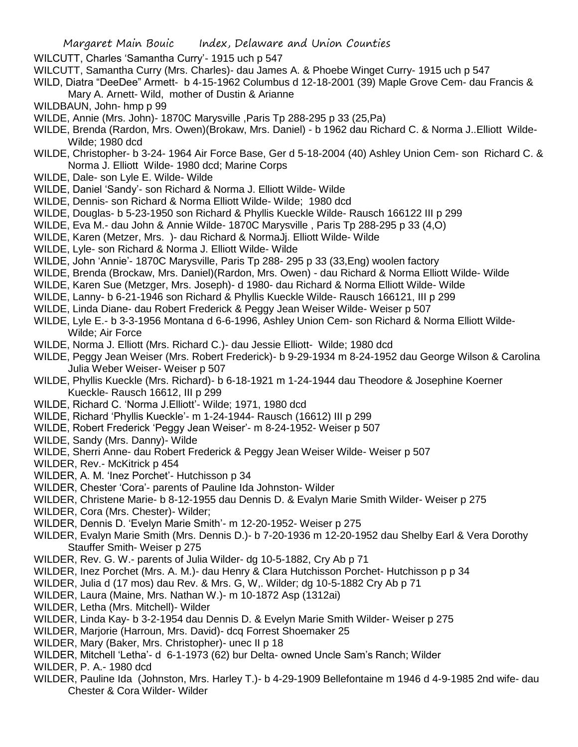WILCUTT, Charles 'Samantha Curry'- 1915 uch p 547

- WILCUTT, Samantha Curry (Mrs. Charles)- dau James A. & Phoebe Winget Curry- 1915 uch p 547
- WILD, Diatra "DeeDee" Armett- b 4-15-1962 Columbus d 12-18-2001 (39) Maple Grove Cem- dau Francis &
	- Mary A. Arnett- Wild, mother of Dustin & Arianne
- WILDBAUN, John- hmp p 99
- WILDE, Annie (Mrs. John)- 1870C Marysville ,Paris Tp 288-295 p 33 (25,Pa)
- WILDE, Brenda (Rardon, Mrs. Owen)(Brokaw, Mrs. Daniel) b 1962 dau Richard C. & Norma J..Elliott Wilde-Wilde; 1980 dcd
- WILDE, Christopher- b 3-24- 1964 Air Force Base, Ger d 5-18-2004 (40) Ashley Union Cem- son Richard C. & Norma J. Elliott Wilde- 1980 dcd; Marine Corps
- WILDE, Dale- son Lyle E. Wilde- Wilde
- WILDE, Daniel 'Sandy'- son Richard & Norma J. Elliott Wilde- Wilde
- WILDE, Dennis- son Richard & Norma Elliott Wilde- Wilde; 1980 dcd
- WILDE, Douglas- b 5-23-1950 son Richard & Phyllis Kueckle Wilde- Rausch 166122 III p 299
- WILDE, Eva M.- dau John & Annie Wilde- 1870C Marysville , Paris Tp 288-295 p 33 (4,O)
- WILDE, Karen (Metzer, Mrs. )- dau Richard & NormaJj. Elliott Wilde- Wilde
- WILDE, Lyle- son Richard & Norma J. Elliott Wilde- Wilde
- WILDE, John 'Annie'- 1870C Marysville, Paris Tp 288- 295 p 33 (33,Eng) woolen factory
- WILDE, Brenda (Brockaw, Mrs. Daniel)(Rardon, Mrs. Owen) dau Richard & Norma Elliott Wilde- Wilde
- WILDE, Karen Sue (Metzger, Mrs. Joseph)- d 1980- dau Richard & Norma Elliott Wilde- Wilde
- WILDE, Lanny- b 6-21-1946 son Richard & Phyllis Kueckle Wilde- Rausch 166121, III p 299
- WILDE, Linda Diane- dau Robert Frederick & Peggy Jean Weiser Wilde- Weiser p 507
- WILDE, Lyle E.- b 3-3-1956 Montana d 6-6-1996, Ashley Union Cem- son Richard & Norma Elliott Wilde-Wilde; Air Force
- WILDE, Norma J. Elliott (Mrs. Richard C.)- dau Jessie Elliott- Wilde; 1980 dcd
- WILDE, Peggy Jean Weiser (Mrs. Robert Frederick)- b 9-29-1934 m 8-24-1952 dau George Wilson & Carolina Julia Weber Weiser- Weiser p 507
- WILDE, Phyllis Kueckle (Mrs. Richard)- b 6-18-1921 m 1-24-1944 dau Theodore & Josephine Koerner Kueckle- Rausch 16612, III p 299
- WILDE, Richard C. 'Norma J.Elliott'- Wilde; 1971, 1980 dcd
- WILDE, Richard 'Phyllis Kueckle'- m 1-24-1944- Rausch (16612) III p 299
- WILDE, Robert Frederick 'Peggy Jean Weiser'- m 8-24-1952- Weiser p 507
- WILDE, Sandy (Mrs. Danny)- Wilde
- WILDE, Sherri Anne- dau Robert Frederick & Peggy Jean Weiser Wilde- Weiser p 507
- WILDER, Rev.- McKitrick p 454
- WILDER, A. M. 'Inez Porchet'- Hutchisson p 34
- WILDER, Chester 'Cora'- parents of Pauline Ida Johnston- Wilder
- WILDER, Christene Marie- b 8-12-1955 dau Dennis D. & Evalyn Marie Smith Wilder- Weiser p 275
- WILDER, Cora (Mrs. Chester)- Wilder;
- WILDER, Dennis D. 'Evelyn Marie Smith'- m 12-20-1952- Weiser p 275
- WILDER, Evalyn Marie Smith (Mrs. Dennis D.)- b 7-20-1936 m 12-20-1952 dau Shelby Earl & Vera Dorothy Stauffer Smith- Weiser p 275
- WILDER, Rev. G. W.- parents of Julia Wilder- dg 10-5-1882, Cry Ab p 71
- WILDER, Inez Porchet (Mrs. A. M.)- dau Henry & Clara Hutchisson Porchet- Hutchisson p p 34
- WILDER, Julia d (17 mos) dau Rev. & Mrs. G, W,. Wilder; dg 10-5-1882 Cry Ab p 71
- WILDER, Laura (Maine, Mrs. Nathan W.)- m 10-1872 Asp (1312ai)
- WILDER, Letha (Mrs. Mitchell)- Wilder
- WILDER, Linda Kay- b 3-2-1954 dau Dennis D. & Evelyn Marie Smith Wilder- Weiser p 275
- WILDER, Marjorie (Harroun, Mrs. David)- dcq Forrest Shoemaker 25
- WILDER, Mary (Baker, Mrs. Christopher)- unec II p 18
- WILDER, Mitchell 'Letha'- d 6-1-1973 (62) bur Delta- owned Uncle Sam's Ranch; Wilder

WILDER, P. A.- 1980 dcd

WILDER, Pauline Ida (Johnston, Mrs. Harley T.)- b 4-29-1909 Bellefontaine m 1946 d 4-9-1985 2nd wife- dau Chester & Cora Wilder- Wilder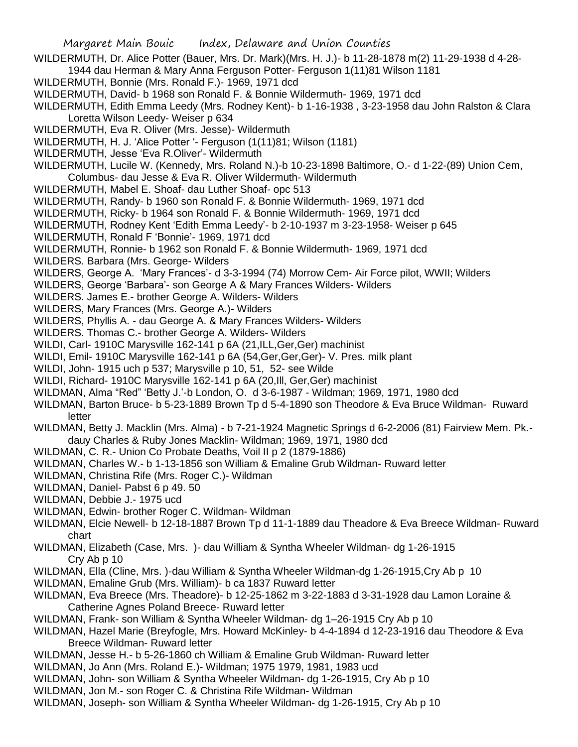- Margaret Main Bouic Index, Delaware and Union Counties WILDERMUTH, Dr. Alice Potter (Bauer, Mrs. Dr. Mark)(Mrs. H. J.)- b 11-28-1878 m(2) 11-29-1938 d 4-28- 1944 dau Herman & Mary Anna Ferguson Potter- Ferguson 1(11)81 Wilson 1181 WILDERMUTH, Bonnie (Mrs. Ronald F.)- 1969, 1971 dcd WILDERMUTH, David- b 1968 son Ronald F. & Bonnie Wildermuth- 1969, 1971 dcd WILDERMUTH, Edith Emma Leedy (Mrs. Rodney Kent)- b 1-16-1938 , 3-23-1958 dau John Ralston & Clara Loretta Wilson Leedy- Weiser p 634 WILDERMUTH, Eva R. Oliver (Mrs. Jesse)- Wildermuth WILDERMUTH, H. J. 'Alice Potter '- Ferguson (1(11)81; Wilson (1181) WILDERMUTH, Jesse 'Eva R.Oliver'- Wildermuth WILDERMUTH, Lucile W. (Kennedy, Mrs. Roland N.)-b 10-23-1898 Baltimore, O.- d 1-22-(89) Union Cem, Columbus- dau Jesse & Eva R. Oliver Wildermuth- Wildermuth WILDERMUTH, Mabel E. Shoaf- dau Luther Shoaf- opc 513 WILDERMUTH, Randy- b 1960 son Ronald F. & Bonnie Wildermuth- 1969, 1971 dcd WILDERMUTH, Ricky- b 1964 son Ronald F. & Bonnie Wildermuth- 1969, 1971 dcd WILDERMUTH, Rodney Kent 'Edith Emma Leedy'- b 2-10-1937 m 3-23-1958- Weiser p 645 WILDERMUTH, Ronald F 'Bonnie'- 1969, 1971 dcd WILDERMUTH, Ronnie- b 1962 son Ronald F. & Bonnie Wildermuth- 1969, 1971 dcd WILDERS. Barbara (Mrs. George- Wilders WILDERS, George A. 'Mary Frances'- d 3-3-1994 (74) Morrow Cem- Air Force pilot, WWII; Wilders WILDERS, George 'Barbara'- son George A & Mary Frances Wilders- Wilders WILDERS. James E.- brother George A. Wilders- Wilders WILDERS, Mary Frances (Mrs. George A.)- Wilders WILDERS, Phyllis A. - dau George A. & Mary Frances Wilders- Wilders WILDERS. Thomas C.- brother George A. Wilders- Wilders WILDI, Carl- 1910C Marysville 162-141 p 6A (21,ILL,Ger,Ger) machinist WILDI, Emil- 1910C Marysville 162-141 p 6A (54,Ger,Ger,Ger)- V. Pres. milk plant WILDI, John- 1915 uch p 537; Marysville p 10, 51, 52- see Wilde WILDI, Richard- 1910C Marysville 162-141 p 6A (20,Ill, Ger,Ger) machinist WILDMAN, Alma "Red" 'Betty J.'-b London, O. d 3-6-1987 - Wildman; 1969, 1971, 1980 dcd WILDMAN, Barton Bruce- b 5-23-1889 Brown Tp d 5-4-1890 son Theodore & Eva Bruce Wildman- Ruward letter WILDMAN, Betty J. Macklin (Mrs. Alma) - b 7-21-1924 Magnetic Springs d 6-2-2006 (81) Fairview Mem. Pk. dauy Charles & Ruby Jones Macklin- Wildman; 1969, 1971, 1980 dcd WILDMAN, C. R.- Union Co Probate Deaths, Voil II p 2 (1879-1886) WILDMAN, Charles W.- b 1-13-1856 son William & Emaline Grub Wildman- Ruward letter WILDMAN, Christina Rife (Mrs. Roger C.)- Wildman WILDMAN, Daniel- Pabst 6 p 49. 50 WILDMAN, Debbie J.- 1975 ucd WILDMAN, Edwin- brother Roger C. Wildman- Wildman WILDMAN, Elcie Newell- b 12-18-1887 Brown Tp d 11-1-1889 dau Theadore & Eva Breece Wildman- Ruward chart
	- WILDMAN, Elizabeth (Case, Mrs. )- dau William & Syntha Wheeler Wildman- dg 1-26-1915 Cry Ab p 10
	- WILDMAN, Ella (Cline, Mrs. )-dau William & Syntha Wheeler Wildman-dg 1-26-1915,Cry Ab p 10
	- WILDMAN, Emaline Grub (Mrs. William)- b ca 1837 Ruward letter
	- WILDMAN, Eva Breece (Mrs. Theadore)- b 12-25-1862 m 3-22-1883 d 3-31-1928 dau Lamon Loraine & Catherine Agnes Poland Breece- Ruward letter
	- WILDMAN, Frank- son William & Syntha Wheeler Wildman- dg 1–26-1915 Cry Ab p 10
	- WILDMAN, Hazel Marie (Breyfogle, Mrs. Howard McKinley- b 4-4-1894 d 12-23-1916 dau Theodore & Eva Breece Wildman- Ruward letter
	- WILDMAN, Jesse H.- b 5-26-1860 ch William & Emaline Grub Wildman- Ruward letter
	- WILDMAN, Jo Ann (Mrs. Roland E.)- Wildman; 1975 1979, 1981, 1983 ucd
	- WILDMAN, John- son William & Syntha Wheeler Wildman- dg 1-26-1915, Cry Ab p 10
	- WILDMAN, Jon M.- son Roger C. & Christina Rife Wildman- Wildman
	- WILDMAN, Joseph- son William & Syntha Wheeler Wildman- dg 1-26-1915, Cry Ab p 10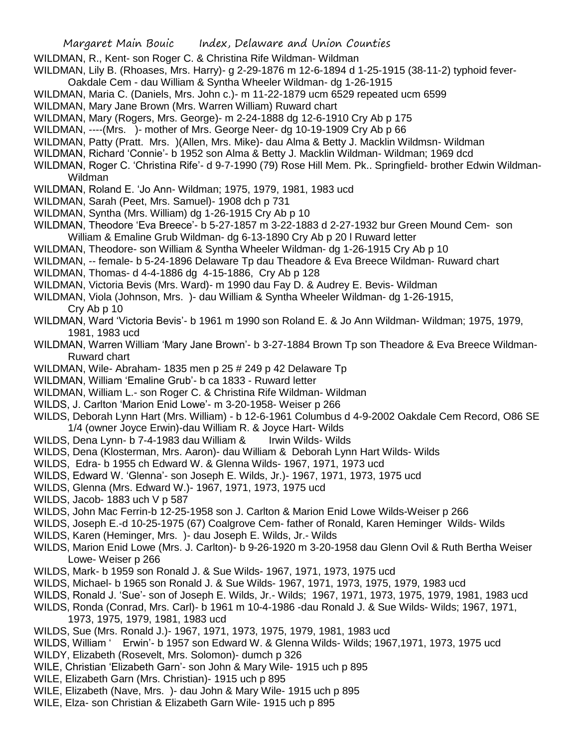- WILDMAN, R., Kent- son Roger C. & Christina Rife Wildman- Wildman
- WILDMAN, Lily B. (Rhoases, Mrs. Harry)- g 2-29-1876 m 12-6-1894 d 1-25-1915 (38-11-2) typhoid fever-
- Oakdale Cem dau William & Syntha Wheeler Wildman- dg 1-26-1915
- WILDMAN, Maria C. (Daniels, Mrs. John c.)- m 11-22-1879 ucm 6529 repeated ucm 6599
- WILDMAN, Mary Jane Brown (Mrs. Warren William) Ruward chart
- WILDMAN, Mary (Rogers, Mrs. George)- m 2-24-1888 dg 12-6-1910 Cry Ab p 175
- WILDMAN, ----(Mrs. )- mother of Mrs. George Neer- dg 10-19-1909 Cry Ab p 66
- WILDMAN, Patty (Pratt. Mrs. )(Allen, Mrs. Mike)- dau Alma & Betty J. Macklin Wildmsn- Wildman
- WILDMAN, Richard 'Connie'- b 1952 son Alma & Betty J. Macklin Wildman- Wildman; 1969 dcd
- WILDMAN, Roger C. 'Christina Rife'- d 9-7-1990 (79) Rose Hill Mem. Pk.. Springfield- brother Edwin Wildman-Wildman
- WILDMAN, Roland E. 'Jo Ann- Wildman; 1975, 1979, 1981, 1983 ucd
- WILDMAN, Sarah (Peet, Mrs. Samuel)- 1908 dch p 731
- WILDMAN, Syntha (Mrs. William) dg 1-26-1915 Cry Ab p 10
- WILDMAN, Theodore 'Eva Breece'- b 5-27-1857 m 3-22-1883 d 2-27-1932 bur Green Mound Cem- son William & Emaline Grub Wildman- dg 6-13-1890 Cry Ab p 20 l Ruward letter
- WILDMAN, Theodore- son William & Syntha Wheeler Wildman- dg 1-26-1915 Cry Ab p 10
- WILDMAN, -- female- b 5-24-1896 Delaware Tp dau Theadore & Eva Breece Wildman- Ruward chart
- WILDMAN, Thomas- d 4-4-1886 dg 4-15-1886, Cry Ab p 128
- WILDMAN, Victoria Bevis (Mrs. Ward)- m 1990 dau Fay D. & Audrey E. Bevis- Wildman
- WILDMAN, Viola (Johnson, Mrs. )- dau William & Syntha Wheeler Wildman- dg 1-26-1915,
	- Cry Ab p 10
- WILDMAN, Ward 'Victoria Bevis'- b 1961 m 1990 son Roland E. & Jo Ann Wildman- Wildman; 1975, 1979, 1981, 1983 ucd
- WILDMAN, Warren William 'Mary Jane Brown'- b 3-27-1884 Brown Tp son Theadore & Eva Breece Wildman-Ruward chart
- WILDMAN, Wile- Abraham- 1835 men p 25 # 249 p 42 Delaware Tp
- WILDMAN, William 'Emaline Grub'- b ca 1833 Ruward letter
- WILDMAN, William L.- son Roger C. & Christina Rife Wildman- Wildman
- WILDS, J. Carlton 'Marion Enid Lowe'- m 3-20-1958- Weiser p 266
- WILDS, Deborah Lynn Hart (Mrs. William) b 12-6-1961 Columbus d 4-9-2002 Oakdale Cem Record, O86 SE 1/4 (owner Joyce Erwin)-dau William R. & Joyce Hart- Wilds
- WILDS, Dena Lynn- b 7-4-1983 dau William & Irwin Wilds- Wilds
- WILDS, Dena (Klosterman, Mrs. Aaron)- dau William & Deborah Lynn Hart Wilds- Wilds
- WILDS, Edra- b 1955 ch Edward W. & Glenna Wilds- 1967, 1971, 1973 ucd
- WILDS, Edward W. 'Glenna'- son Joseph E. Wilds, Jr.)- 1967, 1971, 1973, 1975 ucd
- WILDS, Glenna (Mrs. Edward W.)- 1967, 1971, 1973, 1975 ucd
- WILDS, Jacob- 1883 uch V p 587
- WILDS, John Mac Ferrin-b 12-25-1958 son J. Carlton & Marion Enid Lowe Wilds-Weiser p 266
- WILDS, Joseph E.-d 10-25-1975 (67) Coalgrove Cem- father of Ronald, Karen Heminger Wilds- Wilds
- WILDS, Karen (Heminger, Mrs. )- dau Joseph E. Wilds, Jr.- Wilds
- WILDS, Marion Enid Lowe (Mrs. J. Carlton)- b 9-26-1920 m 3-20-1958 dau Glenn Ovil & Ruth Bertha Weiser Lowe- Weiser p 266
- WILDS, Mark- b 1959 son Ronald J. & Sue Wilds- 1967, 1971, 1973, 1975 ucd
- WILDS, Michael- b 1965 son Ronald J. & Sue Wilds- 1967, 1971, 1973, 1975, 1979, 1983 ucd
- WILDS, Ronald J. 'Sue'- son of Joseph E. Wilds, Jr.- Wilds; 1967, 1971, 1973, 1975, 1979, 1981, 1983 ucd
- WILDS, Ronda (Conrad, Mrs. Carl)- b 1961 m 10-4-1986 -dau Ronald J. & Sue Wilds- Wilds; 1967, 1971, 1973, 1975, 1979, 1981, 1983 ucd
- WILDS, Sue (Mrs. Ronald J.)- 1967, 1971, 1973, 1975, 1979, 1981, 1983 ucd
- WILDS, William ' Erwin'- b 1957 son Edward W. & Glenna Wilds- Wilds; 1967,1971, 1973, 1975 ucd
- WILDY, Elizabeth (Rosevelt, Mrs. Solomon)- dumch p 326
- WILE, Christian 'Elizabeth Garn'- son John & Mary Wile- 1915 uch p 895
- WILE, Elizabeth Garn (Mrs. Christian)- 1915 uch p 895
- WILE, Elizabeth (Nave, Mrs. )- dau John & Mary Wile- 1915 uch p 895
- WILE, Elza- son Christian & Elizabeth Garn Wile- 1915 uch p 895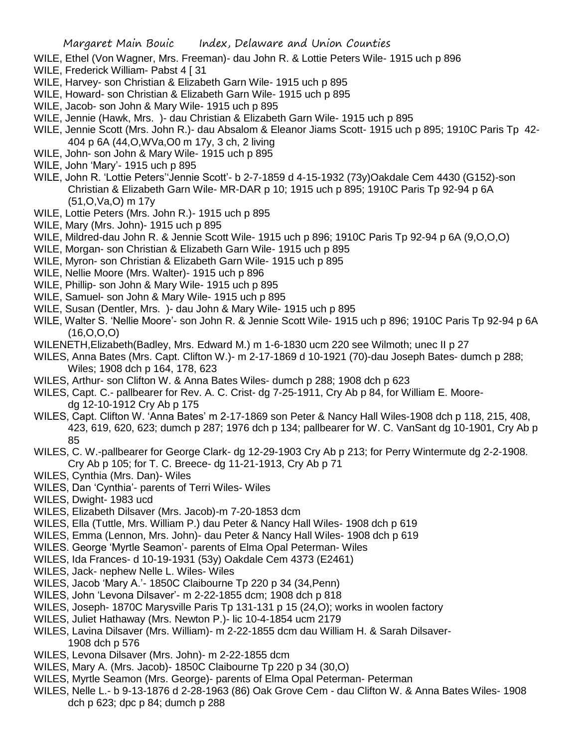- WILE, Ethel (Von Wagner, Mrs. Freeman)- dau John R. & Lottie Peters Wile- 1915 uch p 896
- WILE, Frederick William- Pabst 4 [ 31
- WILE, Harvey- son Christian & Elizabeth Garn Wile- 1915 uch p 895
- WILE, Howard- son Christian & Elizabeth Garn Wile- 1915 uch p 895
- WILE, Jacob- son John & Mary Wile- 1915 uch p 895
- WILE, Jennie (Hawk, Mrs. )- dau Christian & Elizabeth Garn Wile- 1915 uch p 895
- WILE, Jennie Scott (Mrs. John R.)- dau Absalom & Eleanor Jiams Scott- 1915 uch p 895; 1910C Paris Tp 42- 404 p 6A (44,O,WVa,O0 m 17y, 3 ch, 2 living
- WILE, John- son John & Mary Wile- 1915 uch p 895
- WILE, John 'Mary'- 1915 uch p 895
- WILE, John R. 'Lottie Peters''Jennie Scott'- b 2-7-1859 d 4-15-1932 (73y)Oakdale Cem 4430 (G152)-son Christian & Elizabeth Garn Wile- MR-DAR p 10; 1915 uch p 895; 1910C Paris Tp 92-94 p 6A (51,O,Va,O) m 17y
- WILE, Lottie Peters (Mrs. John R.)- 1915 uch p 895
- WILE, Mary (Mrs. John)- 1915 uch p 895
- WILE, Mildred-dau John R. & Jennie Scott Wile- 1915 uch p 896; 1910C Paris Tp 92-94 p 6A (9,O,O,O)
- WILE, Morgan- son Christian & Elizabeth Garn Wile- 1915 uch p 895
- WILE, Myron- son Christian & Elizabeth Garn Wile- 1915 uch p 895
- WILE, Nellie Moore (Mrs. Walter)- 1915 uch p 896
- WILE, Phillip- son John & Mary Wile- 1915 uch p 895
- WILE, Samuel- son John & Mary Wile- 1915 uch p 895
- WILE, Susan (Dentler, Mrs. )- dau John & Mary Wile- 1915 uch p 895
- WILE, Walter S. 'Nellie Moore'- son John R. & Jennie Scott Wile- 1915 uch p 896; 1910C Paris Tp 92-94 p 6A (16,O,O,O)
- WILENETH,Elizabeth(Badley, Mrs. Edward M.) m 1-6-1830 ucm 220 see Wilmoth; unec II p 27
- WILES, Anna Bates (Mrs. Capt. Clifton W.)- m 2-17-1869 d 10-1921 (70)-dau Joseph Bates- dumch p 288; Wiles; 1908 dch p 164, 178, 623
- WILES, Arthur- son Clifton W. & Anna Bates Wiles- dumch p 288; 1908 dch p 623
- WILES, Capt. C.- pallbearer for Rev. A. C. Crist- dg 7-25-1911, Cry Ab p 84, for William E. Mooredg 12-10-1912 Cry Ab p 175
- WILES, Capt. Clifton W. 'Anna Bates' m 2-17-1869 son Peter & Nancy Hall Wiles-1908 dch p 118, 215, 408, 423, 619, 620, 623; dumch p 287; 1976 dch p 134; pallbearer for W. C. VanSant dg 10-1901, Cry Ab p 85
- WILES, C. W.-pallbearer for George Clark- dg 12-29-1903 Cry Ab p 213; for Perry Wintermute dg 2-2-1908. Cry Ab p 105; for T. C. Breece- dg 11-21-1913, Cry Ab p 71
- WILES, Cynthia (Mrs. Dan)- Wiles
- WILES, Dan 'Cynthia'- parents of Terri Wiles- Wiles
- WILES, Dwight- 1983 ucd
- WILES, Elizabeth Dilsaver (Mrs. Jacob)-m 7-20-1853 dcm
- WILES, Ella (Tuttle, Mrs. William P.) dau Peter & Nancy Hall Wiles- 1908 dch p 619
- WILES, Emma (Lennon, Mrs. John)- dau Peter & Nancy Hall Wiles- 1908 dch p 619
- WILES. George 'Myrtle Seamon'- parents of Elma Opal Peterman- Wiles
- WILES, Ida Frances- d 10-19-1931 (53y) Oakdale Cem 4373 (E2461)
- WILES, Jack- nephew Nelle L. Wiles- Wiles
- WILES, Jacob 'Mary A.'- 1850C Claibourne Tp 220 p 34 (34,Penn)
- WILES, John 'Levona Dilsaver'- m 2-22-1855 dcm; 1908 dch p 818
- WILES, Joseph- 1870C Marysville Paris Tp 131-131 p 15 (24,O); works in woolen factory
- WILES, Juliet Hathaway (Mrs. Newton P.)- lic 10-4-1854 ucm 2179
- WILES, Lavina Dilsaver (Mrs. William)- m 2-22-1855 dcm dau William H. & Sarah Dilsaver-1908 dch p 576
- WILES, Levona Dilsaver (Mrs. John)- m 2-22-1855 dcm
- WILES, Mary A. (Mrs. Jacob)- 1850C Claibourne Tp 220 p 34 (30,O)
- WILES, Myrtle Seamon (Mrs. George)- parents of Elma Opal Peterman- Peterman
- WILES, Nelle L.- b 9-13-1876 d 2-28-1963 (86) Oak Grove Cem dau Clifton W. & Anna Bates Wiles- 1908 dch p 623; dpc p 84; dumch p 288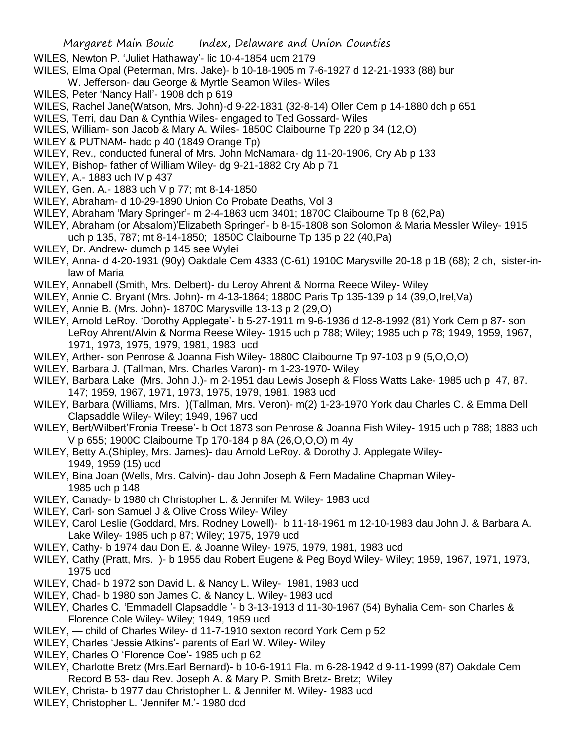WILES, Newton P. 'Juliet Hathaway'- lic 10-4-1854 ucm 2179

- WILES, Elma Opal (Peterman, Mrs. Jake)- b 10-18-1905 m 7-6-1927 d 12-21-1933 (88) bur
	- W. Jefferson- dau George & Myrtle Seamon Wiles- Wiles
- WILES, Peter 'Nancy Hall'- 1908 dch p 619
- WILES, Rachel Jane(Watson, Mrs. John)-d 9-22-1831 (32-8-14) Oller Cem p 14-1880 dch p 651
- WILES, Terri, dau Dan & Cynthia Wiles- engaged to Ted Gossard- Wiles
- WILES, William- son Jacob & Mary A. Wiles- 1850C Claibourne Tp 220 p 34 (12,O)
- WILEY & PUTNAM- hadc p 40 (1849 Orange Tp)
- WILEY, Rev., conducted funeral of Mrs. John McNamara- dg 11-20-1906, Cry Ab p 133
- WILEY, Bishop- father of William Wiley- dg 9-21-1882 Cry Ab p 71
- WILEY, A.- 1883 uch IV p 437
- WILEY, Gen. A.- 1883 uch V p 77; mt 8-14-1850
- WILEY, Abraham- d 10-29-1890 Union Co Probate Deaths, Vol 3
- WILEY, Abraham 'Mary Springer'- m 2-4-1863 ucm 3401; 1870C Claibourne Tp 8 (62,Pa)
- WILEY, Abraham (or Absalom)'Elizabeth Springer'- b 8-15-1808 son Solomon & Maria Messler Wiley- 1915 uch p 135, 787; mt 8-14-1850; 1850C Claibourne Tp 135 p 22 (40,Pa)
- WILEY, Dr. Andrew- dumch p 145 see Wylei
- WILEY, Anna- d 4-20-1931 (90y) Oakdale Cem 4333 (C-61) 1910C Marysville 20-18 p 1B (68); 2 ch, sister-inlaw of Maria
- WILEY, Annabell (Smith, Mrs. Delbert)- du Leroy Ahrent & Norma Reece Wiley- Wiley
- WILEY, Annie C. Bryant (Mrs. John)- m 4-13-1864; 1880C Paris Tp 135-139 p 14 (39,O,Irel,Va)
- WILEY, Annie B. (Mrs. John)- 1870C Marysville 13-13 p 2 (29,O)
- WILEY, Arnold LeRoy. 'Dorothy Applegate'- b 5-27-1911 m 9-6-1936 d 12-8-1992 (81) York Cem p 87- son LeRoy Ahrent/Alvin & Norma Reese Wiley- 1915 uch p 788; Wiley; 1985 uch p 78; 1949, 1959, 1967, 1971, 1973, 1975, 1979, 1981, 1983 ucd
- WILEY, Arther- son Penrose & Joanna Fish Wiley- 1880C Claibourne Tp 97-103 p 9 (5,O,O,O)
- WILEY, Barbara J. (Tallman, Mrs. Charles Varon)- m 1-23-1970- Wiley
- WILEY, Barbara Lake (Mrs. John J.)- m 2-1951 dau Lewis Joseph & Floss Watts Lake- 1985 uch p 47, 87. 147; 1959, 1967, 1971, 1973, 1975, 1979, 1981, 1983 ucd
- WILEY, Barbara (Williams, Mrs. )(Tallman, Mrs. Veron)- m(2) 1-23-1970 York dau Charles C. & Emma Dell Clapsaddle Wiley- Wiley; 1949, 1967 ucd
- WILEY, Bert/Wilbert'Fronia Treese'- b Oct 1873 son Penrose & Joanna Fish Wiley- 1915 uch p 788; 1883 uch V p 655; 1900C Claibourne Tp 170-184 p 8A (26,O,O,O) m 4y
- WILEY, Betty A.(Shipley, Mrs. James)- dau Arnold LeRoy. & Dorothy J. Applegate Wiley-1949, 1959 (15) ucd
- WILEY, Bina Joan (Wells, Mrs. Calvin)- dau John Joseph & Fern Madaline Chapman Wiley-1985 uch p 148
- WILEY, Canady- b 1980 ch Christopher L. & Jennifer M. Wiley- 1983 ucd
- WILEY, Carl- son Samuel J & Olive Cross Wiley- Wiley
- WILEY, Carol Leslie (Goddard, Mrs. Rodney Lowell)- b 11-18-1961 m 12-10-1983 dau John J. & Barbara A. Lake Wiley- 1985 uch p 87; Wiley; 1975, 1979 ucd
- WILEY, Cathy- b 1974 dau Don E. & Joanne Wiley- 1975, 1979, 1981, 1983 ucd
- WILEY, Cathy (Pratt, Mrs. )- b 1955 dau Robert Eugene & Peg Boyd Wiley- Wiley; 1959, 1967, 1971, 1973, 1975 ucd
- WILEY, Chad- b 1972 son David L. & Nancy L. Wiley- 1981, 1983 ucd
- WILEY, Chad- b 1980 son James C. & Nancy L. Wiley- 1983 ucd
- WILEY, Charles C. 'Emmadell Clapsaddle '- b 3-13-1913 d 11-30-1967 (54) Byhalia Cem- son Charles & Florence Cole Wiley- Wiley; 1949, 1959 ucd
- WILEY, child of Charles Wiley- d 11-7-1910 sexton record York Cem p 52
- WILEY, Charles 'Jessie Atkins'- parents of Earl W. Wiley- Wiley
- WILEY, Charles O 'Florence Coe'- 1985 uch p 62
- WILEY, Charlotte Bretz (Mrs.Earl Bernard)- b 10-6-1911 Fla. m 6-28-1942 d 9-11-1999 (87) Oakdale Cem Record B 53- dau Rev. Joseph A. & Mary P. Smith Bretz- Bretz; Wiley
- WILEY, Christa- b 1977 dau Christopher L. & Jennifer M. Wiley- 1983 ucd
- WILEY, Christopher L. 'Jennifer M.'- 1980 dcd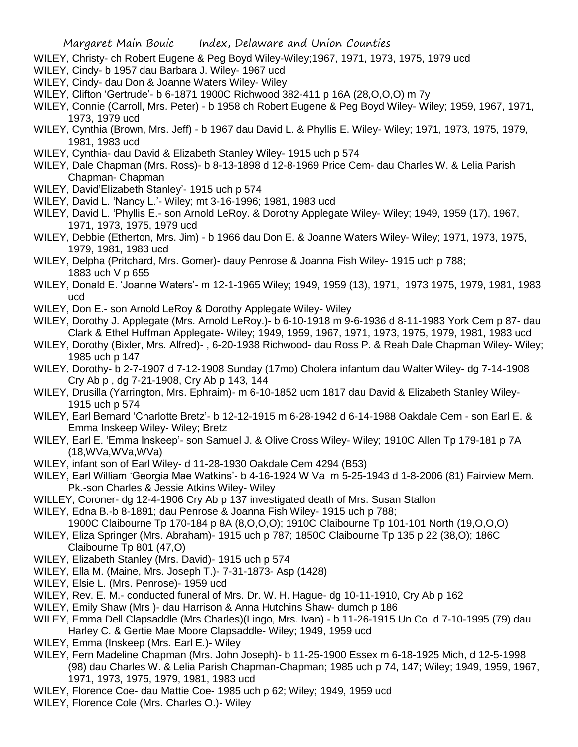- WILEY, Christy- ch Robert Eugene & Peg Boyd Wiley-Wiley;1967, 1971, 1973, 1975, 1979 ucd
- WILEY, Cindy- b 1957 dau Barbara J. Wiley- 1967 ucd
- WILEY, Cindy- dau Don & Joanne Waters Wiley- Wiley
- WILEY, Clifton 'Gertrude'- b 6-1871 1900C Richwood 382-411 p 16A (28,O,O,O) m 7y
- WILEY, Connie (Carroll, Mrs. Peter) b 1958 ch Robert Eugene & Peg Boyd Wiley- Wiley; 1959, 1967, 1971, 1973, 1979 ucd
- WILEY, Cynthia (Brown, Mrs. Jeff) b 1967 dau David L. & Phyllis E. Wiley- Wiley; 1971, 1973, 1975, 1979, 1981, 1983 ucd
- WILEY, Cynthia- dau David & Elizabeth Stanley Wiley- 1915 uch p 574
- WILEY, Dale Chapman (Mrs. Ross)- b 8-13-1898 d 12-8-1969 Price Cem- dau Charles W. & Lelia Parish Chapman- Chapman
- WILEY, David'Elizabeth Stanley'- 1915 uch p 574
- WILEY, David L. 'Nancy L.'- Wiley; mt 3-16-1996; 1981, 1983 ucd
- WILEY, David L. 'Phyllis E.- son Arnold LeRoy. & Dorothy Applegate Wiley- Wiley; 1949, 1959 (17), 1967, 1971, 1973, 1975, 1979 ucd
- WILEY, Debbie (Etherton, Mrs. Jim) b 1966 dau Don E. & Joanne Waters Wiley- Wiley; 1971, 1973, 1975, 1979, 1981, 1983 ucd
- WILEY, Delpha (Pritchard, Mrs. Gomer)- dauy Penrose & Joanna Fish Wiley- 1915 uch p 788; 1883 uch V p 655
- WILEY, Donald E. 'Joanne Waters'- m 12-1-1965 Wiley; 1949, 1959 (13), 1971, 1973 1975, 1979, 1981, 1983 ucd
- WILEY, Don E.- son Arnold LeRoy & Dorothy Applegate Wiley- Wiley
- WILEY, Dorothy J. Applegate (Mrs. Arnold LeRoy.)- b 6-10-1918 m 9-6-1936 d 8-11-1983 York Cem p 87- dau Clark & Ethel Huffman Applegate- Wiley; 1949, 1959, 1967, 1971, 1973, 1975, 1979, 1981, 1983 ucd
- WILEY, Dorothy (Bixler, Mrs. Alfred)- , 6-20-1938 Richwood- dau Ross P. & Reah Dale Chapman Wiley- Wiley; 1985 uch p 147
- WILEY, Dorothy- b 2-7-1907 d 7-12-1908 Sunday (17mo) Cholera infantum dau Walter Wiley- dg 7-14-1908 Cry Ab p , dg 7-21-1908, Cry Ab p 143, 144
- WILEY, Drusilla (Yarrington, Mrs. Ephraim)- m 6-10-1852 ucm 1817 dau David & Elizabeth Stanley Wiley-1915 uch p 574
- WILEY, Earl Bernard 'Charlotte Bretz'- b 12-12-1915 m 6-28-1942 d 6-14-1988 Oakdale Cem son Earl E. & Emma Inskeep Wiley- Wiley; Bretz
- WILEY, Earl E. 'Emma Inskeep'- son Samuel J. & Olive Cross Wiley- Wiley; 1910C Allen Tp 179-181 p 7A (18,WVa,WVa,WVa)
- WILEY, infant son of Earl Wiley- d 11-28-1930 Oakdale Cem 4294 (B53)
- WILEY, Earl William 'Georgia Mae Watkins'- b 4-16-1924 W Va m 5-25-1943 d 1-8-2006 (81) Fairview Mem. Pk.-son Charles & Jessie Atkins Wiley- Wiley
- WILLEY, Coroner- dg 12-4-1906 Cry Ab p 137 investigated death of Mrs. Susan Stallon
- WILEY, Edna B.-b 8-1891; dau Penrose & Joanna Fish Wiley- 1915 uch p 788;
- 1900C Claibourne Tp 170-184 p 8A (8,O,O,O); 1910C Claibourne Tp 101-101 North (19,O,O,O)
- WILEY, Eliza Springer (Mrs. Abraham)- 1915 uch p 787; 1850C Claibourne Tp 135 p 22 (38,O); 186C Claibourne Tp 801 (47,O)
- WILEY, Elizabeth Stanley (Mrs. David)- 1915 uch p 574
- WILEY, Ella M. (Maine, Mrs. Joseph T.)- 7-31-1873- Asp (1428)
- WILEY, Elsie L. (Mrs. Penrose)- 1959 ucd
- WILEY, Rev. E. M.- conducted funeral of Mrs. Dr. W. H. Hague- dg 10-11-1910, Cry Ab p 162
- WILEY, Emily Shaw (Mrs )- dau Harrison & Anna Hutchins Shaw- dumch p 186
- WILEY, Emma Dell Clapsaddle (Mrs Charles)(Lingo, Mrs. Ivan) b 11-26-1915 Un Co d 7-10-1995 (79) dau
	- Harley C. & Gertie Mae Moore Clapsaddle- Wiley; 1949, 1959 ucd
- WILEY, Emma (Inskeep (Mrs. Earl E.)- Wiley
- WILEY, Fern Madeline Chapman (Mrs. John Joseph)- b 11-25-1900 Essex m 6-18-1925 Mich, d 12-5-1998 (98) dau Charles W. & Lelia Parish Chapman-Chapman; 1985 uch p 74, 147; Wiley; 1949, 1959, 1967, 1971, 1973, 1975, 1979, 1981, 1983 ucd
- WILEY, Florence Coe- dau Mattie Coe- 1985 uch p 62; Wiley; 1949, 1959 ucd
- WILEY, Florence Cole (Mrs. Charles O.)- Wiley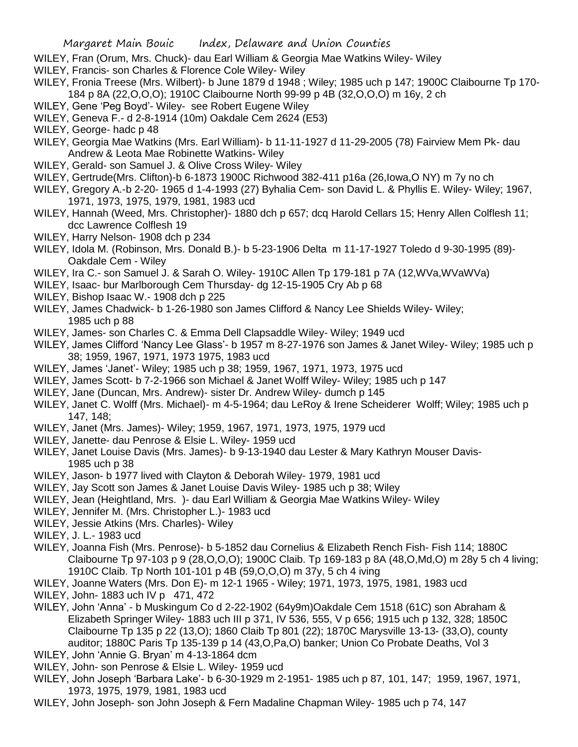- WILEY, Fran (Orum, Mrs. Chuck)- dau Earl William & Georgia Mae Watkins Wiley- Wiley
- WILEY, Francis- son Charles & Florence Cole Wiley- Wiley
- WILEY, Fronia Treese (Mrs. Wilbert)- b June 1879 d 1948 ; Wiley; 1985 uch p 147; 1900C Claibourne Tp 170- 184 p 8A (22,O,O,O); 1910C Claibourne North 99-99 p 4B (32,O,O,O) m 16y, 2 ch
- WILEY, Gene 'Peg Boyd'- Wiley- see Robert Eugene Wiley
- WILEY, Geneva F.- d 2-8-1914 (10m) Oakdale Cem 2624 (E53)
- WILEY, George- hadc p 48
- WILEY, Georgia Mae Watkins (Mrs. Earl William)- b 11-11-1927 d 11-29-2005 (78) Fairview Mem Pk- dau Andrew & Leota Mae Robinette Watkins- Wiley
- WILEY, Gerald- son Samuel J. & Olive Cross Wiley- Wiley
- WILEY, Gertrude(Mrs. Clifton)-b 6-1873 1900C Richwood 382-411 p16a (26,Iowa,O NY) m 7y no ch
- WILEY, Gregory A.-b 2-20- 1965 d 1-4-1993 (27) Byhalia Cem- son David L. & Phyllis E. Wiley- Wiley; 1967, 1971, 1973, 1975, 1979, 1981, 1983 ucd
- WILEY, Hannah (Weed, Mrs. Christopher)- 1880 dch p 657; dcq Harold Cellars 15; Henry Allen Colflesh 11; dcc Lawrence Colflesh 19
- WILEY, Harry Nelson- 1908 dch p 234
- WILEY, Idola M. (Robinson, Mrs. Donald B.)- b 5-23-1906 Delta m 11-17-1927 Toledo d 9-30-1995 (89)- Oakdale Cem - Wiley
- WILEY, Ira C.- son Samuel J. & Sarah O. Wiley- 1910C Allen Tp 179-181 p 7A (12,WVa,WVaWVa)
- WILEY, Isaac- bur Marlborough Cem Thursday- dg 12-15-1905 Cry Ab p 68
- WILEY, Bishop Isaac W.- 1908 dch p 225
- WILEY, James Chadwick- b 1-26-1980 son James Clifford & Nancy Lee Shields Wiley- Wiley; 1985 uch p 88
- WILEY, James- son Charles C. & Emma Dell Clapsaddle Wiley- Wiley; 1949 ucd
- WILEY, James Clifford 'Nancy Lee Glass'- b 1957 m 8-27-1976 son James & Janet Wiley- Wiley; 1985 uch p 38; 1959, 1967, 1971, 1973 1975, 1983 ucd
- WILEY, James 'Janet'- Wiley; 1985 uch p 38; 1959, 1967, 1971, 1973, 1975 ucd
- WILEY, James Scott- b 7-2-1966 son Michael & Janet Wolff Wiley- Wiley; 1985 uch p 147
- WILEY, Jane (Duncan, Mrs. Andrew)- sister Dr. Andrew Wiley- dumch p 145
- WILEY, Janet C. Wolff (Mrs. Michael)- m 4-5-1964; dau LeRoy & Irene Scheiderer Wolff; Wiley; 1985 uch p 147, 148;
- WILEY, Janet (Mrs. James)- Wiley; 1959, 1967, 1971, 1973, 1975, 1979 ucd
- WILEY, Janette- dau Penrose & Elsie L. Wiley- 1959 ucd
- WILEY, Janet Louise Davis (Mrs. James)- b 9-13-1940 dau Lester & Mary Kathryn Mouser Davis-1985 uch p 38
- WILEY, Jason- b 1977 lived with Clayton & Deborah Wiley- 1979, 1981 ucd
- WILEY, Jay Scott son James & Janet Louise Davis Wiley- 1985 uch p 38; Wiley
- WILEY, Jean (Heightland, Mrs. )- dau Earl William & Georgia Mae Watkins Wiley- Wiley
- WILEY, Jennifer M. (Mrs. Christopher L.)- 1983 ucd
- WILEY, Jessie Atkins (Mrs. Charles)- Wiley
- WILEY, J. L.- 1983 ucd
- WILEY, Joanna Fish (Mrs. Penrose)- b 5-1852 dau Cornelius & Elizabeth Rench Fish- Fish 114; 1880C Claibourne Tp 97-103 p 9 (28,O,O,O); 1900C Claib. Tp 169-183 p 8A (48,O,Md,O) m 28y 5 ch 4 living; 1910C Claib. Tp North 101-101 p 4B (59,O,O,O) m 37y, 5 ch 4 iving
- WILEY, Joanne Waters (Mrs. Don E)- m 12-1 1965 Wiley; 1971, 1973, 1975, 1981, 1983 ucd WILEY, John- 1883 uch IV p 471, 472
- WILEY, John 'Anna' b Muskingum Co d 2-22-1902 (64y9m)Oakdale Cem 1518 (61C) son Abraham & Elizabeth Springer Wiley- 1883 uch III p 371, IV 536, 555, V p 656; 1915 uch p 132, 328; 1850C Claibourne Tp 135 p 22 (13,O); 1860 Claib Tp 801 (22); 1870C Marysville 13-13- (33,O), county auditor; 1880C Paris Tp 135-139 p 14 (43,O,Pa,O) banker; Union Co Probate Deaths, Vol 3
- WILEY, John 'Annie G. Bryan' m 4-13-1864 dcm
- WILEY, John- son Penrose & Elsie L. Wiley- 1959 ucd
- WILEY, John Joseph 'Barbara Lake'- b 6-30-1929 m 2-1951- 1985 uch p 87, 101, 147; 1959, 1967, 1971, 1973, 1975, 1979, 1981, 1983 ucd
- WILEY, John Joseph- son John Joseph & Fern Madaline Chapman Wiley- 1985 uch p 74, 147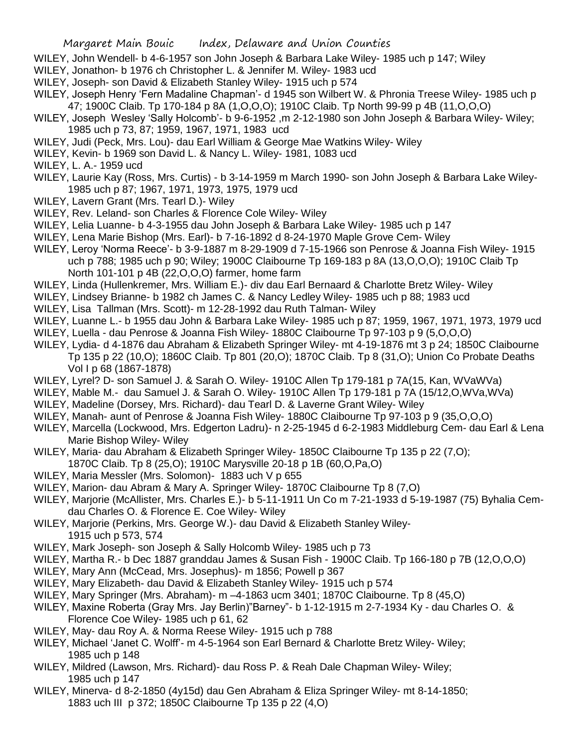- WILEY, John Wendell- b 4-6-1957 son John Joseph & Barbara Lake Wiley- 1985 uch p 147; Wiley
- WILEY, Jonathon- b 1976 ch Christopher L. & Jennifer M. Wiley- 1983 ucd
- WILEY, Joseph- son David & Elizabeth Stanley Wiley- 1915 uch p 574
- WILEY, Joseph Henry 'Fern Madaline Chapman'- d 1945 son Wilbert W. & Phronia Treese Wiley- 1985 uch p 47; 1900C Claib. Tp 170-184 p 8A (1,O,O,O); 1910C Claib. Tp North 99-99 p 4B (11,O,O,O)
- WILEY, Joseph Wesley 'Sally Holcomb'- b 9-6-1952 ,m 2-12-1980 son John Joseph & Barbara Wiley- Wiley; 1985 uch p 73, 87; 1959, 1967, 1971, 1983 ucd
- WILEY, Judi (Peck, Mrs. Lou)- dau Earl William & George Mae Watkins Wiley- Wiley
- WILEY, Kevin- b 1969 son David L. & Nancy L. Wiley- 1981, 1083 ucd
- WILEY, L. A.- 1959 ucd
- WILEY, Laurie Kay (Ross, Mrs. Curtis) b 3-14-1959 m March 1990- son John Joseph & Barbara Lake Wiley-1985 uch p 87; 1967, 1971, 1973, 1975, 1979 ucd
- WILEY, Lavern Grant (Mrs. Tearl D.)- Wiley
- WILEY, Rev. Leland- son Charles & Florence Cole Wiley- Wiley
- WILEY, Lelia Luanne- b 4-3-1955 dau John Joseph & Barbara Lake Wiley- 1985 uch p 147
- WILEY, Lena Marie Bishop (Mrs. Earl)- b 7-16-1892 d 8-24-1970 Maple Grove Cem- Wiley
- WILEY, Leroy 'Norma Reece'- b 3-9-1887 m 8-29-1909 d 7-15-1966 son Penrose & Joanna Fish Wiley- 1915 uch p 788; 1985 uch p 90; Wiley; 1900C Claibourne Tp 169-183 p 8A (13,O,O,O); 1910C Claib Tp North 101-101 p 4B (22,O,O,O) farmer, home farm
- WILEY, Linda (Hullenkremer, Mrs. William E.)- div dau Earl Bernaard & Charlotte Bretz Wiley- Wiley
- WILEY, Lindsey Brianne- b 1982 ch James C. & Nancy Ledley Wiley- 1985 uch p 88; 1983 ucd
- WILEY, Lisa Tallman (Mrs. Scott)- m 12-28-1992 dau Ruth Talman- Wiley
- WILEY, Luanne L.- b 1955 dau John & Barbara Lake Wiley- 1985 uch p 87; 1959, 1967, 1971, 1973, 1979 ucd
- WILEY, Luella dau Penrose & Joanna Fish Wiley- 1880C Claibourne Tp 97-103 p 9 (5,O,O,O)
- WILEY, Lydia- d 4-1876 dau Abraham & Elizabeth Springer Wiley- mt 4-19-1876 mt 3 p 24; 1850C Claibourne Tp 135 p 22 (10,O); 1860C Claib. Tp 801 (20,O); 1870C Claib. Tp 8 (31,O); Union Co Probate Deaths Vol I p 68 (1867-1878)
- WILEY, Lyrel? D- son Samuel J. & Sarah O. Wiley- 1910C Allen Tp 179-181 p 7A(15, Kan, WVaWVa)
- WILEY, Mable M.- dau Samuel J. & Sarah O. Wiley- 1910C Allen Tp 179-181 p 7A (15/12,O,WVa,WVa)
- WILEY, Madeline (Dorsey, Mrs. Richard)- dau Tearl D. & Laverne Grant Wiley- Wiley
- WILEY, Manah- aunt of Penrose & Joanna Fish Wiley- 1880C Claibourne Tp 97-103 p 9 (35,O,O,O)
- WILEY, Marcella (Lockwood, Mrs. Edgerton Ladru)- n 2-25-1945 d 6-2-1983 Middleburg Cem- dau Earl & Lena Marie Bishop Wiley- Wiley
- WILEY, Maria- dau Abraham & Elizabeth Springer Wiley- 1850C Claibourne Tp 135 p 22 (7,O);
- 1870C Claib. Tp 8 (25,O); 1910C Marysville 20-18 p 1B (60,O,Pa,O)
- WILEY, Maria Messler (Mrs. Solomon)- 1883 uch V p 655
- WILEY, Marion- dau Abram & Mary A. Springer Wiley- 1870C Claibourne Tp 8 (7,O)
- WILEY, Marjorie (McAllister, Mrs. Charles E.)- b 5-11-1911 Un Co m 7-21-1933 d 5-19-1987 (75) Byhalia Cemdau Charles O. & Florence E. Coe Wiley- Wiley
- WILEY, Marjorie (Perkins, Mrs. George W.)- dau David & Elizabeth Stanley Wiley-1915 uch p 573, 574
- WILEY, Mark Joseph- son Joseph & Sally Holcomb Wiley- 1985 uch p 73
- WILEY, Martha R.- b Dec 1887 granddau James & Susan Fish 1900C Claib. Tp 166-180 p 7B (12,O,O,O)
- WILEY, Mary Ann (McCead, Mrs. Josephus)- m 1856; Powell p 367
- WILEY, Mary Elizabeth- dau David & Elizabeth Stanley Wiley- 1915 uch p 574
- WILEY, Mary Springer (Mrs. Abraham)- m –4-1863 ucm 3401; 1870C Claibourne. Tp 8 (45,O)
- WILEY, Maxine Roberta (Gray Mrs. Jay Berlin)"Barney"- b 1-12-1915 m 2-7-1934 Ky dau Charles O. & Florence Coe Wiley- 1985 uch p 61, 62
- WILEY, May- dau Roy A. & Norma Reese Wiley- 1915 uch p 788
- WILEY, Michael 'Janet C. Wolff'- m 4-5-1964 son Earl Bernard & Charlotte Bretz Wiley- Wiley; 1985 uch p 148
- WILEY, Mildred (Lawson, Mrs. Richard)- dau Ross P. & Reah Dale Chapman Wiley- Wiley; 1985 uch p 147
- WILEY, Minerva- d 8-2-1850 (4y15d) dau Gen Abraham & Eliza Springer Wiley- mt 8-14-1850; 1883 uch III p 372; 1850C Claibourne Tp 135 p 22 (4,O)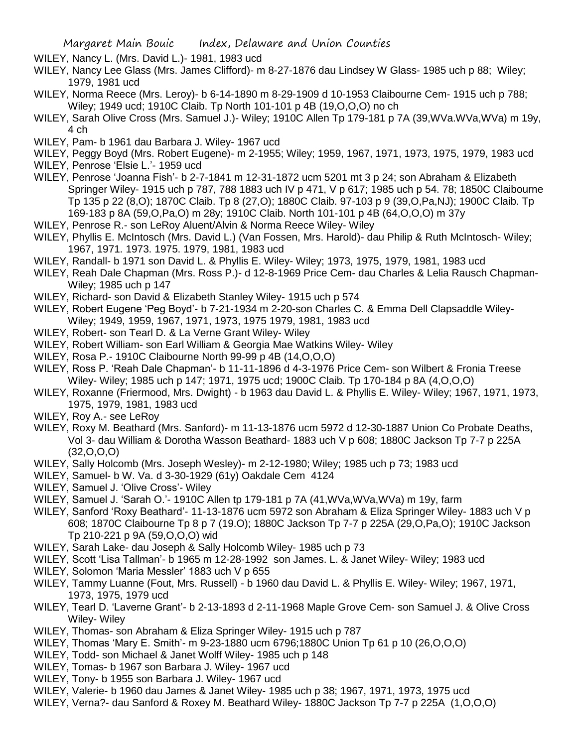WILEY, Nancy L. (Mrs. David L.)- 1981, 1983 ucd

- WILEY, Nancy Lee Glass (Mrs. James Clifford)- m 8-27-1876 dau Lindsey W Glass- 1985 uch p 88; Wiley; 1979, 1981 ucd
- WILEY, Norma Reece (Mrs. Leroy)- b 6-14-1890 m 8-29-1909 d 10-1953 Claibourne Cem- 1915 uch p 788; Wiley; 1949 ucd; 1910C Claib. Tp North 101-101 p 4B (19,O,O,O) no ch
- WILEY, Sarah Olive Cross (Mrs. Samuel J.)- Wiley; 1910C Allen Tp 179-181 p 7A (39,WVa.WVa,WVa) m 19y, 4 ch
- WILEY, Pam- b 1961 dau Barbara J. Wiley- 1967 ucd
- WILEY, Peggy Boyd (Mrs. Robert Eugene)- m 2-1955; Wiley; 1959, 1967, 1971, 1973, 1975, 1979, 1983 ucd
- WILEY, Penrose 'Elsie L.'- 1959 ucd
- WILEY, Penrose 'Joanna Fish'- b 2-7-1841 m 12-31-1872 ucm 5201 mt 3 p 24; son Abraham & Elizabeth Springer Wiley- 1915 uch p 787, 788 1883 uch IV p 471, V p 617; 1985 uch p 54. 78; 1850C Claibourne Tp 135 p 22 (8,O); 1870C Claib. Tp 8 (27,O); 1880C Claib. 97-103 p 9 (39,O,Pa,NJ); 1900C Claib. Tp 169-183 p 8A (59,O,Pa,O) m 28y; 1910C Claib. North 101-101 p 4B (64,O,O,O) m 37y
- WILEY, Penrose R.- son LeRoy Aluent/Alvin & Norma Reece Wiley- Wiley
- WILEY, Phyllis E. McIntosch (Mrs. David L.) (Van Fossen, Mrs. Harold)- dau Philip & Ruth McIntosch- Wiley; 1967, 1971. 1973. 1975. 1979, 1981, 1983 ucd
- WILEY, Randall- b 1971 son David L. & Phyllis E. Wiley- Wiley; 1973, 1975, 1979, 1981, 1983 ucd
- WILEY, Reah Dale Chapman (Mrs. Ross P.)- d 12-8-1969 Price Cem- dau Charles & Lelia Rausch Chapman-Wiley; 1985 uch p 147
- WILEY, Richard- son David & Elizabeth Stanley Wiley- 1915 uch p 574
- WILEY, Robert Eugene 'Peg Boyd'- b 7-21-1934 m 2-20-son Charles C. & Emma Dell Clapsaddle Wiley-Wiley; 1949, 1959, 1967, 1971, 1973, 1975 1979, 1981, 1983 ucd
- WILEY, Robert- son Tearl D. & La Verne Grant Wiley- Wiley
- WILEY, Robert William- son Earl William & Georgia Mae Watkins Wiley- Wiley
- WILEY, Rosa P.- 1910C Claibourne North 99-99 p 4B (14,O,O,O)
- WILEY, Ross P. 'Reah Dale Chapman'- b 11-11-1896 d 4-3-1976 Price Cem- son Wilbert & Fronia Treese Wiley- Wiley; 1985 uch p 147; 1971, 1975 ucd; 1900C Claib. Tp 170-184 p 8A (4,O,O,O)
- WILEY, Roxanne (Friermood, Mrs. Dwight) b 1963 dau David L. & Phyllis E. Wiley- Wiley; 1967, 1971, 1973, 1975, 1979, 1981, 1983 ucd
- WILEY, Roy A.- see LeRoy
- WILEY, Roxy M. Beathard (Mrs. Sanford)- m 11-13-1876 ucm 5972 d 12-30-1887 Union Co Probate Deaths, Vol 3- dau William & Dorotha Wasson Beathard- 1883 uch V p 608; 1880C Jackson Tp 7-7 p 225A (32,O,O,O)
- WILEY, Sally Holcomb (Mrs. Joseph Wesley)- m 2-12-1980; Wiley; 1985 uch p 73; 1983 ucd
- WILEY, Samuel- b W. Va. d 3-30-1929 (61y) Oakdale Cem 4124
- WILEY, Samuel J. 'Olive Cross'- Wiley
- WILEY, Samuel J. 'Sarah O.'- 1910C Allen tp 179-181 p 7A (41,WVa,WVa,WVa) m 19y, farm
- WILEY, Sanford 'Roxy Beathard'- 11-13-1876 ucm 5972 son Abraham & Eliza Springer Wiley- 1883 uch V p 608; 1870C Claibourne Tp 8 p 7 (19.O); 1880C Jackson Tp 7-7 p 225A (29,O,Pa,O); 1910C Jackson Tp 210-221 p 9A (59,O,O,O) wid
- WILEY, Sarah Lake- dau Joseph & Sally Holcomb Wiley- 1985 uch p 73
- WILEY, Scott 'Lisa Tallman'- b 1965 m 12-28-1992 son James. L. & Janet Wiley- Wiley; 1983 ucd
- WILEY, Solomon 'Maria Messler' 1883 uch V p 655
- WILEY, Tammy Luanne (Fout, Mrs. Russell) b 1960 dau David L. & Phyllis E. Wiley- Wiley; 1967, 1971, 1973, 1975, 1979 ucd
- WILEY, Tearl D. 'Laverne Grant'- b 2-13-1893 d 2-11-1968 Maple Grove Cem- son Samuel J. & Olive Cross Wiley- Wiley
- WILEY, Thomas- son Abraham & Eliza Springer Wiley- 1915 uch p 787
- WILEY, Thomas 'Mary E. Smith'- m 9-23-1880 ucm 6796;1880C Union Tp 61 p 10 (26,O,O,O)
- WILEY, Todd- son Michael & Janet Wolff Wiley- 1985 uch p 148
- WILEY, Tomas- b 1967 son Barbara J. Wiley- 1967 ucd
- WILEY, Tony- b 1955 son Barbara J. Wiley- 1967 ucd
- WILEY, Valerie- b 1960 dau James & Janet Wiley- 1985 uch p 38; 1967, 1971, 1973, 1975 ucd
- WILEY, Verna?- dau Sanford & Roxey M. Beathard Wiley- 1880C Jackson Tp 7-7 p 225A (1,O,O,O)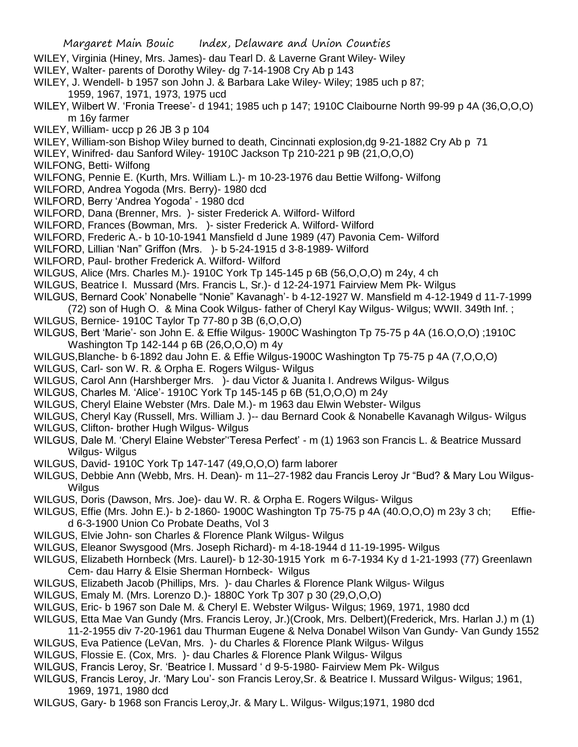- WILEY, Virginia (Hiney, Mrs. James)- dau Tearl D. & Laverne Grant Wiley- Wiley
- WILEY, Walter- parents of Dorothy Wiley- dg 7-14-1908 Cry Ab p 143
- WILEY, J. Wendell- b 1957 son John J. & Barbara Lake Wiley- Wiley; 1985 uch p 87; 1959, 1967, 1971, 1973, 1975 ucd
- WILEY, Wilbert W. 'Fronia Treese'- d 1941; 1985 uch p 147; 1910C Claibourne North 99-99 p 4A (36,O,O,O) m 16y farmer
- WILEY, William- uccp p 26 JB 3 p 104
- WILEY, William-son Bishop Wiley burned to death, Cincinnati explosion,dg 9-21-1882 Cry Ab p 71
- WILEY, Winifred- dau Sanford Wiley- 1910C Jackson Tp 210-221 p 9B (21,O,O,O)
- WILFONG, Betti- Wilfong
- WILFONG, Pennie E. (Kurth, Mrs. William L.)- m 10-23-1976 dau Bettie Wilfong- Wilfong
- WILFORD, Andrea Yogoda (Mrs. Berry)- 1980 dcd
- WILFORD, Berry 'Andrea Yogoda' 1980 dcd
- WILFORD, Dana (Brenner, Mrs. )- sister Frederick A. Wilford- Wilford
- WILFORD, Frances (Bowman, Mrs. )- sister Frederick A. Wilford- Wilford
- WILFORD, Frederic A.- b 10-10-1941 Mansfield d June 1989 (47) Pavonia Cem- Wilford
- WILFORD, Lillian 'Nan" Griffon (Mrs. )- b 5-24-1915 d 3-8-1989- Wilford
- WILFORD, Paul- brother Frederick A. Wilford- Wilford
- WILGUS, Alice (Mrs. Charles M.)- 1910C York Tp 145-145 p 6B (56,O,O,O) m 24y, 4 ch
- WILGUS, Beatrice I. Mussard (Mrs. Francis L, Sr.)- d 12-24-1971 Fairview Mem Pk- Wilgus
- WILGUS, Bernard Cook' Nonabelle "Nonie" Kavanagh'- b 4-12-1927 W. Mansfield m 4-12-1949 d 11-7-1999 (72) son of Hugh O. & Mina Cook Wilgus- father of Cheryl Kay Wilgus- Wilgus; WWII. 349th Inf. ;
- WILGUS, Bernice- 1910C Taylor Tp 77-80 p 3B (6,O,O,O)
- WILGUS, Bert 'Marie'- son John E. & Effie Wilgus- 1900C Washington Tp 75-75 p 4A (16.O,O,O) ;1910C Washington Tp 142-144 p 6B (26,O,O,O) m 4y
- WILGUS,Blanche- b 6-1892 dau John E. & Effie Wilgus-1900C Washington Tp 75-75 p 4A (7,O,O,O)
- WILGUS, Carl- son W. R. & Orpha E. Rogers Wilgus- Wilgus
- WILGUS, Carol Ann (Harshberger Mrs. )- dau Victor & Juanita I. Andrews Wilgus- Wilgus
- WILGUS, Charles M. 'Alice'- 1910C York Tp 145-145 p 6B (51,O,O,O) m 24y
- WILGUS, Cheryl Elaine Webster (Mrs. Dale M.)- m 1963 dau Elwin Webster- Wilgus
- WILGUS, Cheryl Kay (Russell, Mrs. William J. )-- dau Bernard Cook & Nonabelle Kavanagh Wilgus- Wilgus
- WILGUS, Clifton- brother Hugh Wilgus- Wilgus
- WILGUS, Dale M. 'Cheryl Elaine Webster''Teresa Perfect' m (1) 1963 son Francis L. & Beatrice Mussard Wilgus- Wilgus
- WILGUS, David- 1910C York Tp 147-147 (49,O,O,O) farm laborer
- WILGUS, Debbie Ann (Webb, Mrs. H. Dean)- m 11–27-1982 dau Francis Leroy Jr "Bud? & Mary Lou Wilgus-Wilgus
- WILGUS, Doris (Dawson, Mrs. Joe)- dau W. R. & Orpha E. Rogers Wilgus- Wilgus
- WILGUS, Effie (Mrs. John E.)- b 2-1860- 1900C Washington Tp 75-75 p 4A (40.O,O,O) m 23y 3 ch; Effied 6-3-1900 Union Co Probate Deaths, Vol 3
- WILGUS, Elvie John- son Charles & Florence Plank Wilgus- Wilgus
- WILGUS, Eleanor Swysgood (Mrs. Joseph Richard)- m 4-18-1944 d 11-19-1995- Wilgus
- WILGUS, Elizabeth Hornbeck (Mrs. Laurel)- b 12-30-1915 York m 6-7-1934 Ky d 1-21-1993 (77) Greenlawn Cem- dau Harry & Elsie Sherman Hornbeck- Wilgus
- WILGUS, Elizabeth Jacob (Phillips, Mrs. )- dau Charles & Florence Plank Wilgus- Wilgus
- WILGUS, Emaly M. (Mrs. Lorenzo D.)- 1880C York Tp 307 p 30 (29,O,O,O)
- WILGUS, Eric- b 1967 son Dale M. & Cheryl E. Webster Wilgus- Wilgus; 1969, 1971, 1980 dcd
- WILGUS, Etta Mae Van Gundy (Mrs. Francis Leroy, Jr.)(Crook, Mrs. Delbert)(Frederick, Mrs. Harlan J.) m (1)
- 11-2-1955 div 7-20-1961 dau Thurman Eugene & Nelva Donabel Wilson Van Gundy- Van Gundy 1552
- WILGUS, Eva Patience (LeVan, Mrs. )- du Charles & Florence Plank Wilgus- Wilgus
- WILGUS, Flossie E. (Cox, Mrs. )- dau Charles & Florence Plank Wilgus- Wilgus
- WILGUS, Francis Leroy, Sr. 'Beatrice I. Mussard ' d 9-5-1980- Fairview Mem Pk- Wilgus
- WILGUS, Francis Leroy, Jr. 'Mary Lou'- son Francis Leroy,Sr. & Beatrice I. Mussard Wilgus- Wilgus; 1961, 1969, 1971, 1980 dcd
- WILGUS, Gary- b 1968 son Francis Leroy,Jr. & Mary L. Wilgus- Wilgus;1971, 1980 dcd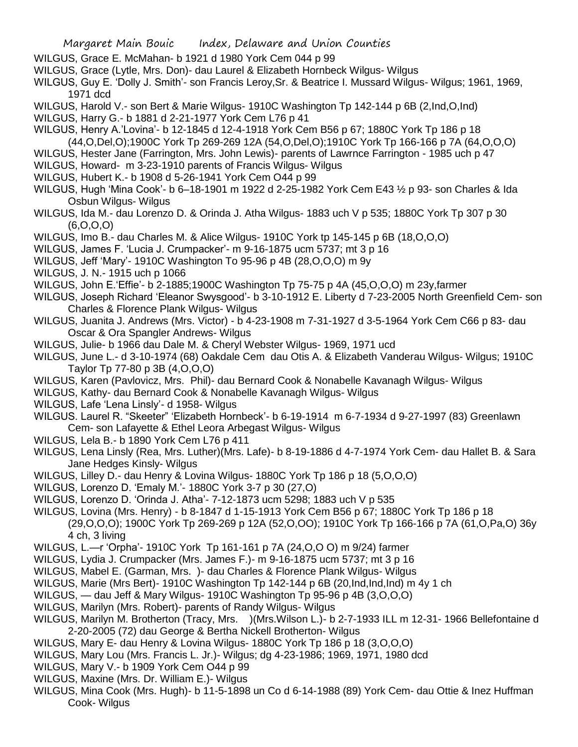- WILGUS, Grace E. McMahan- b 1921 d 1980 York Cem 044 p 99
- WILGUS, Grace (Lytle, Mrs. Don)- dau Laurel & Elizabeth Hornbeck Wilgus- Wilgus
- WILGUS, Guy E. 'Dolly J. Smith'- son Francis Leroy,Sr. & Beatrice I. Mussard Wilgus- Wilgus; 1961, 1969, 1971 dcd
- WILGUS, Harold V.- son Bert & Marie Wilgus- 1910C Washington Tp 142-144 p 6B (2,Ind,O,Ind)
- WILGUS, Harry G.- b 1881 d 2-21-1977 York Cem L76 p 41
- WILGUS, Henry A.'Lovina'- b 12-1845 d 12-4-1918 York Cem B56 p 67; 1880C York Tp 186 p 18
- (44,O,Del,O);1900C York Tp 269-269 12A (54,O,Del,O);1910C York Tp 166-166 p 7A (64,O,O,O)
- WILGUS, Hester Jane (Farrington, Mrs. John Lewis)- parents of Lawrnce Farrington 1985 uch p 47
- WILGUS, Howard- m 3-23-1910 parents of Francis Wilgus- Wilgus
- WILGUS, Hubert K.- b 1908 d 5-26-1941 York Cem O44 p 99
- WILGUS, Hugh 'Mina Cook'- b 6–18-1901 m 1922 d 2-25-1982 York Cem E43 ½ p 93- son Charles & Ida Osbun Wilgus- Wilgus
- WILGUS, Ida M.- dau Lorenzo D. & Orinda J. Atha Wilgus- 1883 uch V p 535; 1880C York Tp 307 p 30 (6,O,O,O)
- WILGUS, Imo B.- dau Charles M. & Alice Wilgus- 1910C York tp 145-145 p 6B (18,O,O,O)
- WILGUS, James F. 'Lucia J. Crumpacker'- m 9-16-1875 ucm 5737; mt 3 p 16
- WILGUS, Jeff 'Mary'- 1910C Washington To 95-96 p 4B (28,O,O,O) m 9y
- WILGUS, J. N.- 1915 uch p 1066
- WILGUS, John E.'Effie'- b 2-1885;1900C Washington Tp 75-75 p 4A (45,O,O,O) m 23y,farmer
- WILGUS, Joseph Richard 'Eleanor Swysgood'- b 3-10-1912 E. Liberty d 7-23-2005 North Greenfield Cem- son Charles & Florence Plank Wilgus- Wilgus
- WILGUS, Juanita J. Andrews (Mrs. Victor) b 4-23-1908 m 7-31-1927 d 3-5-1964 York Cem C66 p 83- dau Oscar & Ora Spangler Andrews- Wilgus
- WILGUS, Julie- b 1966 dau Dale M. & Cheryl Webster Wilgus- 1969, 1971 ucd
- WILGUS, June L.- d 3-10-1974 (68) Oakdale Cem dau Otis A. & Elizabeth Vanderau Wilgus- Wilgus; 1910C Taylor Tp 77-80 p 3B (4,O,O,O)
- WILGUS, Karen (Pavlovicz, Mrs. Phil)- dau Bernard Cook & Nonabelle Kavanagh Wilgus- Wilgus
- WILGUS, Kathy- dau Bernard Cook & Nonabelle Kavanagh Wilgus- Wilgus
- WILGUS, Lafe 'Lena Linsly'- d 1958- Wilgus
- WILGUS. Laurel R. "Skeeter" 'Elizabeth Hornbeck'- b 6-19-1914 m 6-7-1934 d 9-27-1997 (83) Greenlawn Cem- son Lafayette & Ethel Leora Arbegast Wilgus- Wilgus
- WILGUS, Lela B.- b 1890 York Cem L76 p 411
- WILGUS, Lena Linsly (Rea, Mrs. Luther)(Mrs. Lafe)- b 8-19-1886 d 4-7-1974 York Cem- dau Hallet B. & Sara Jane Hedges Kinsly- Wilgus
- WILGUS, Lilley D.- dau Henry & Lovina Wilgus- 1880C York Tp 186 p 18 (5,O,O,O)
- WILGUS, Lorenzo D. 'Emaly M.'- 1880C York 3-7 p 30 (27,O)
- WILGUS, Lorenzo D. 'Orinda J. Atha'- 7-12-1873 ucm 5298; 1883 uch V p 535
- WILGUS, Lovina (Mrs. Henry) b 8-1847 d 1-15-1913 York Cem B56 p 67; 1880C York Tp 186 p 18
	- (29,O,O,O); 1900C York Tp 269-269 p 12A (52,O,OO); 1910C York Tp 166-166 p 7A (61,O,Pa,O) 36y 4 ch, 3 living
- WILGUS, L.—r 'Orpha'- 1910C York Tp 161-161 p 7A (24,O,O O) m 9/24) farmer
- WILGUS, Lydia J. Crumpacker (Mrs. James F.)- m 9-16-1875 ucm 5737; mt 3 p 16
- WILGUS, Mabel E. (Garman, Mrs. )- dau Charles & Florence Plank Wilgus- Wilgus
- WILGUS, Marie (Mrs Bert)- 1910C Washington Tp 142-144 p 6B (20, Ind, Ind, Ind) m 4y 1 ch
- WILGUS, dau Jeff & Mary Wilgus- 1910C Washington Tp 95-96 p 4B (3,O,O,O)
- WILGUS, Marilyn (Mrs. Robert)- parents of Randy Wilgus- Wilgus
- WILGUS, Marilyn M. Brotherton (Tracy, Mrs. )(Mrs.Wilson L.)- b 2-7-1933 ILL m 12-31- 1966 Bellefontaine d 2-20-2005 (72) dau George & Bertha Nickell Brotherton- Wilgus
- WILGUS, Mary E- dau Henry & Lovina Wilgus- 1880C York Tp 186 p 18 (3,O,O,O)
- WILGUS, Mary Lou (Mrs. Francis L. Jr.)- Wilgus; dg 4-23-1986; 1969, 1971, 1980 dcd
- WILGUS, Mary V.- b 1909 York Cem O44 p 99
- WILGUS, Maxine (Mrs. Dr. William E.)- Wilgus
- WILGUS, Mina Cook (Mrs. Hugh)- b 11-5-1898 un Co d 6-14-1988 (89) York Cem- dau Ottie & Inez Huffman Cook- Wilgus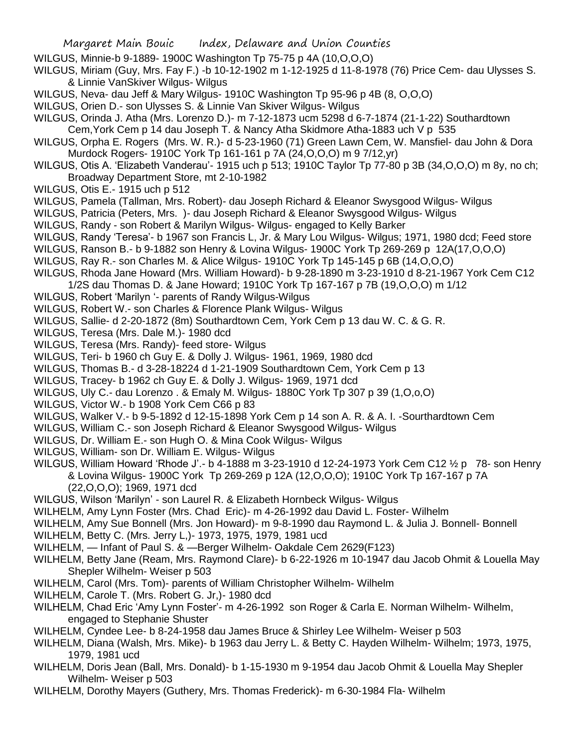- WILGUS, Minnie-b 9-1889- 1900C Washington Tp 75-75 p 4A (10,O,O,O)
- WILGUS, Miriam (Guy, Mrs. Fay F.) -b 10-12-1902 m 1-12-1925 d 11-8-1978 (76) Price Cem- dau Ulysses S. & Linnie VanSkiver Wilgus- Wilgus
- WILGUS, Neva- dau Jeff & Mary Wilgus- 1910C Washington Tp 95-96 p 4B (8, O,O,O)
- WILGUS, Orien D.- son Ulysses S. & Linnie Van Skiver Wilgus- Wilgus
- WILGUS, Orinda J. Atha (Mrs. Lorenzo D.)- m 7-12-1873 ucm 5298 d 6-7-1874 (21-1-22) Southardtown
- Cem,York Cem p 14 dau Joseph T. & Nancy Atha Skidmore Atha-1883 uch V p 535
- WILGUS, Orpha E. Rogers (Mrs. W. R.)- d 5-23-1960 (71) Green Lawn Cem, W. Mansfiel- dau John & Dora Murdock Rogers- 1910C York Tp 161-161 p 7A (24,O,O,O) m 9 7/12,yr)
- WILGUS, Otis A. 'Elizabeth Vanderau'- 1915 uch p 513; 1910C Taylor Tp 77-80 p 3B (34,O,O,O) m 8y, no ch; Broadway Department Store, mt 2-10-1982
- WILGUS, Otis E.- 1915 uch p 512
- WILGUS, Pamela (Tallman, Mrs. Robert)- dau Joseph Richard & Eleanor Swysgood Wilgus- Wilgus
- WILGUS, Patricia (Peters, Mrs. )- dau Joseph Richard & Eleanor Swysgood Wilgus- Wilgus
- WILGUS, Randy son Robert & Marilyn Wilgus- Wilgus- engaged to Kelly Barker
- WILGUS, Randy 'Teresa'- b 1967 son Francis L, Jr. & Mary Lou Wilgus- Wilgus; 1971, 1980 dcd; Feed store
- WILGUS, Ranson B.- b 9-1882 son Henry & Lovina Wilgus- 1900C York Tp 269-269 p 12A(17,O,O,O)
- WILGUS, Ray R.- son Charles M. & Alice Wilgus- 1910C York Tp 145-145 p 6B (14,O,O,O)
- WILGUS, Rhoda Jane Howard (Mrs. William Howard)- b 9-28-1890 m 3-23-1910 d 8-21-1967 York Cem C12 1/2S dau Thomas D. & Jane Howard; 1910C York Tp 167-167 p 7B (19,O,O,O) m 1/12
- WILGUS, Robert 'Marilyn '- parents of Randy Wilgus-Wilgus
- WILGUS, Robert W.- son Charles & Florence Plank Wilgus- Wilgus
- WILGUS, Sallie- d 2-20-1872 (8m) Southardtown Cem, York Cem p 13 dau W. C. & G. R.
- WILGUS, Teresa (Mrs. Dale M.)- 1980 dcd
- WILGUS, Teresa (Mrs. Randy)- feed store- Wilgus
- WILGUS, Teri- b 1960 ch Guy E. & Dolly J. Wilgus- 1961, 1969, 1980 dcd
- WILGUS, Thomas B.- d 3-28-18224 d 1-21-1909 Southardtown Cem, York Cem p 13
- WILGUS, Tracey- b 1962 ch Guy E. & Dolly J. Wilgus- 1969, 1971 dcd
- WILGUS, Uly C.- dau Lorenzo . & Emaly M. Wilgus- 1880C York Tp 307 p 39 (1,O,o,O)
- WILGUS, Victor W.- b 1908 York Cem C66 p 83
- WILGUS, Walker V.- b 9-5-1892 d 12-15-1898 York Cem p 14 son A. R. & A. I. -Sourthardtown Cem
- WILGUS, William C.- son Joseph Richard & Eleanor Swysgood Wilgus- Wilgus
- WILGUS, Dr. William E.- son Hugh O. & Mina Cook Wilgus- Wilgus
- WILGUS, William- son Dr. William E. Wilgus- Wilgus
- WILGUS, William Howard 'Rhode J'.- b 4-1888 m 3-23-1910 d 12-24-1973 York Cem C12 ½ p 78- son Henry & Lovina Wilgus- 1900C York Tp 269-269 p 12A (12,O,O,O); 1910C York Tp 167-167 p 7A (22,O,O,O); 1969, 1971 dcd
- WILGUS, Wilson 'Marilyn' son Laurel R. & Elizabeth Hornbeck Wilgus- Wilgus
- WILHELM, Amy Lynn Foster (Mrs. Chad Eric)- m 4-26-1992 dau David L. Foster- Wilhelm
- WILHELM, Amy Sue Bonnell (Mrs. Jon Howard)- m 9-8-1990 dau Raymond L. & Julia J. Bonnell- Bonnell
- WILHELM, Betty C. (Mrs. Jerry L,)- 1973, 1975, 1979, 1981 ucd
- WILHELM, Infant of Paul S. & —Berger Wilhelm- Oakdale Cem 2629(F123)
- WILHELM, Betty Jane (Ream, Mrs. Raymond Clare)- b 6-22-1926 m 10-1947 dau Jacob Ohmit & Louella May Shepler Wilhelm- Weiser p 503
- WILHELM, Carol (Mrs. Tom)- parents of William Christopher Wilhelm- Wilhelm
- WILHELM, Carole T. (Mrs. Robert G. Jr,)- 1980 dcd
- WILHELM, Chad Eric 'Amy Lynn Foster'- m 4-26-1992 son Roger & Carla E. Norman Wilhelm- Wilhelm, engaged to Stephanie Shuster
- WILHELM, Cyndee Lee- b 8-24-1958 dau James Bruce & Shirley Lee Wilhelm- Weiser p 503
- WILHELM, Diana (Walsh, Mrs. Mike)- b 1963 dau Jerry L. & Betty C. Hayden Wilhelm- Wilhelm; 1973, 1975, 1979, 1981 ucd
- WILHELM, Doris Jean (Ball, Mrs. Donald)- b 1-15-1930 m 9-1954 dau Jacob Ohmit & Louella May Shepler Wilhelm- Weiser p 503
- WILHELM, Dorothy Mayers (Guthery, Mrs. Thomas Frederick)- m 6-30-1984 Fla- Wilhelm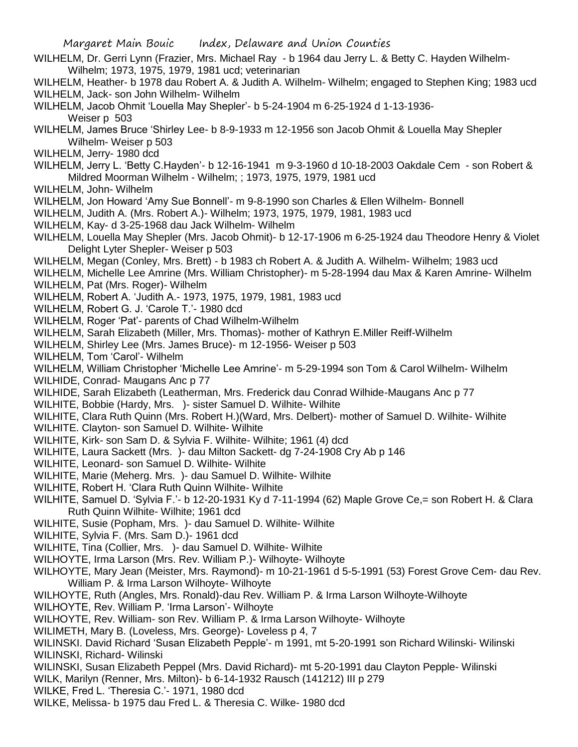Margaret Main Bouic Index, Delaware and Union Counties WILHELM, Dr. Gerri Lynn (Frazier, Mrs. Michael Ray - b 1964 dau Jerry L. & Betty C. Hayden Wilhelm-Wilhelm; 1973, 1975, 1979, 1981 ucd; veterinarian WILHELM, Heather- b 1978 dau Robert A. & Judith A. Wilhelm- Wilhelm; engaged to Stephen King; 1983 ucd WILHELM, Jack- son John Wilhelm- Wilhelm WILHELM, Jacob Ohmit 'Louella May Shepler'- b 5-24-1904 m 6-25-1924 d 1-13-1936- Weiser p 503 WILHELM, James Bruce 'Shirley Lee- b 8-9-1933 m 12-1956 son Jacob Ohmit & Louella May Shepler Wilhelm- Weiser p 503 WILHELM, Jerry- 1980 dcd WILHELM, Jerry L. 'Betty C.Hayden'- b 12-16-1941 m 9-3-1960 d 10-18-2003 Oakdale Cem - son Robert & Mildred Moorman Wilhelm - Wilhelm; ; 1973, 1975, 1979, 1981 ucd WILHELM, John- Wilhelm WILHELM, Jon Howard 'Amy Sue Bonnell'- m 9-8-1990 son Charles & Ellen Wilhelm- Bonnell WILHELM, Judith A. (Mrs. Robert A.)- Wilhelm; 1973, 1975, 1979, 1981, 1983 ucd WILHELM, Kay- d 3-25-1968 dau Jack Wilhelm- Wilhelm WILHELM, Louella May Shepler (Mrs. Jacob Ohmit)- b 12-17-1906 m 6-25-1924 dau Theodore Henry & Violet Delight Lyter Shepler- Weiser p 503 WILHELM, Megan (Conley, Mrs. Brett) - b 1983 ch Robert A. & Judith A. Wilhelm- Wilhelm; 1983 ucd WILHELM, Michelle Lee Amrine (Mrs. William Christopher)- m 5-28-1994 dau Max & Karen Amrine- Wilhelm WILHELM, Pat (Mrs. Roger)- Wilhelm WILHELM, Robert A. 'Judith A.- 1973, 1975, 1979, 1981, 1983 ucd WILHELM, Robert G. J. 'Carole T.'- 1980 dcd WILHELM, Roger 'Pat'- parents of Chad Wilhelm-Wilhelm WILHELM, Sarah Elizabeth (Miller, Mrs. Thomas)- mother of Kathryn E.Miller Reiff-Wilhelm WILHELM, Shirley Lee (Mrs. James Bruce)- m 12-1956- Weiser p 503 WILHELM, Tom 'Carol'- Wilhelm WILHELM, William Christopher 'Michelle Lee Amrine'- m 5-29-1994 son Tom & Carol Wilhelm- Wilhelm WILHIDE, Conrad- Maugans Anc p 77 WILHIDE, Sarah Elizabeth (Leatherman, Mrs. Frederick dau Conrad Wilhide-Maugans Anc p 77 WILHITE, Bobbie (Hardy, Mrs. )- sister Samuel D. Wilhite- Wilhite WILHITE, Clara Ruth Quinn (Mrs. Robert H.)(Ward, Mrs. Delbert)- mother of Samuel D. Wilhite- Wilhite WILHITE. Clayton- son Samuel D. Wilhite- Wilhite WILHITE, Kirk- son Sam D. & Sylvia F. Wilhite- Wilhite; 1961 (4) dcd WILHITE, Laura Sackett (Mrs. )- dau Milton Sackett- dg 7-24-1908 Cry Ab p 146 WILHITE, Leonard- son Samuel D. Wilhite- Wilhite WILHITE, Marie (Meherg. Mrs. )- dau Samuel D. Wilhite- Wilhite WILHITE, Robert H. 'Clara Ruth Quinn Wilhite- Wilhite WILHITE, Samuel D. 'Sylvia F.'- b 12-20-1931 Ky d 7-11-1994 (62) Maple Grove Ce,= son Robert H. & Clara Ruth Quinn Wilhite- Wilhite; 1961 dcd WILHITE, Susie (Popham, Mrs. )- dau Samuel D. Wilhite- Wilhite WILHITE, Sylvia F. (Mrs. Sam D.)- 1961 dcd WILHITE, Tina (Collier, Mrs. )- dau Samuel D. Wilhite- Wilhite WILHOYTE, Irma Larson (Mrs. Rev. William P.)- Wilhoyte- Wilhoyte WILHOYTE, Mary Jean (Meister, Mrs. Raymond)- m 10-21-1961 d 5-5-1991 (53) Forest Grove Cem- dau Rev. William P. & Irma Larson Wilhoyte- Wilhoyte WILHOYTE, Ruth (Angles, Mrs. Ronald)-dau Rev. William P. & Irma Larson Wilhoyte-Wilhoyte WILHOYTE, Rev. William P. 'Irma Larson'- Wilhoyte WILHOYTE, Rev. William- son Rev. William P. & Irma Larson Wilhoyte- Wilhoyte WILIMETH, Mary B. (Loveless, Mrs. George)- Loveless p 4, 7 WILINSKI. David Richard 'Susan Elizabeth Pepple'- m 1991, mt 5-20-1991 son Richard Wilinski- Wilinski WILINSKI, Richard- Wilinski WILINSKI, Susan Elizabeth Peppel (Mrs. David Richard)- mt 5-20-1991 dau Clayton Pepple- Wilinski WILK, Marilyn (Renner, Mrs. Milton)- b 6-14-1932 Rausch (141212) III p 279 WILKE, Fred L. 'Theresia C.'- 1971, 1980 dcd WILKE, Melissa- b 1975 dau Fred L. & Theresia C. Wilke- 1980 dcd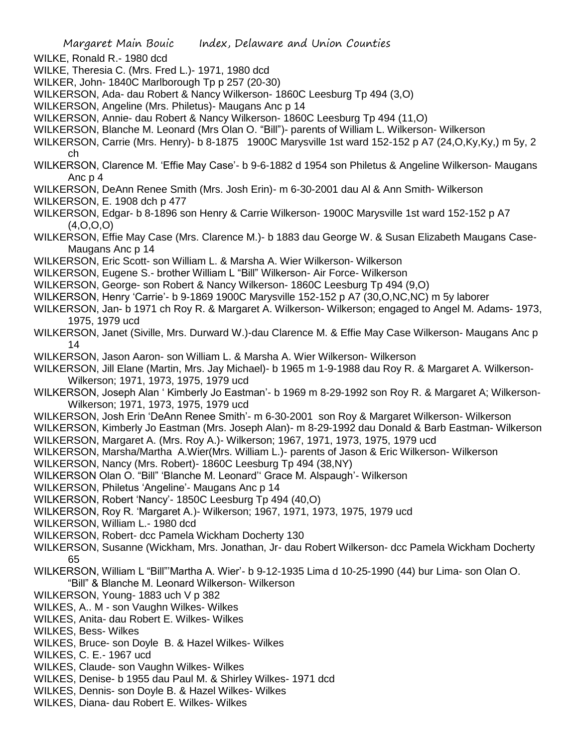- WILKE, Ronald R.- 1980 dcd
- WILKE, Theresia C. (Mrs. Fred L.)- 1971, 1980 dcd
- WILKER, John- 1840C Marlborough Tp p 257 (20-30)
- WILKERSON, Ada- dau Robert & Nancy Wilkerson- 1860C Leesburg Tp 494 (3,O)
- WILKERSON, Angeline (Mrs. Philetus)- Maugans Anc p 14
- WILKERSON, Annie- dau Robert & Nancy Wilkerson- 1860C Leesburg Tp 494 (11,O)
- WILKERSON, Blanche M. Leonard (Mrs Olan O. "Bill")- parents of William L. Wilkerson- Wilkerson
- WILKERSON, Carrie (Mrs. Henry)- b 8-1875 1900C Marysville 1st ward 152-152 p A7 (24,O,Ky,Ky,) m 5y, 2 ch
- WILKERSON, Clarence M. 'Effie May Case'- b 9-6-1882 d 1954 son Philetus & Angeline Wilkerson- Maugans Anc p 4
- WILKERSON, DeAnn Renee Smith (Mrs. Josh Erin)- m 6-30-2001 dau Al & Ann Smith- Wilkerson
- WILKERSON, E. 1908 dch p 477
- WILKERSON, Edgar- b 8-1896 son Henry & Carrie Wilkerson- 1900C Marysville 1st ward 152-152 p A7 (4,O,O,O)
- WILKERSON, Effie May Case (Mrs. Clarence M.)- b 1883 dau George W. & Susan Elizabeth Maugans Case-Maugans Anc p 14
- WILKERSON, Eric Scott- son William L. & Marsha A. Wier Wilkerson- Wilkerson
- WILKERSON, Eugene S.- brother William L "Bill" Wilkerson- Air Force- Wilkerson
- WILKERSON, George- son Robert & Nancy Wilkerson- 1860C Leesburg Tp 494 (9,O)
- WILKERSON, Henry 'Carrie'- b 9-1869 1900C Marysville 152-152 p A7 (30,O,NC,NC) m 5y laborer
- WILKERSON, Jan- b 1971 ch Roy R. & Margaret A. Wilkerson- Wilkerson; engaged to Angel M. Adams- 1973, 1975, 1979 ucd
- WILKERSON, Janet (Siville, Mrs. Durward W.)-dau Clarence M. & Effie May Case Wilkerson- Maugans Anc p 14
- WILKERSON, Jason Aaron- son William L. & Marsha A. Wier Wilkerson- Wilkerson
- WILKERSON, Jill Elane (Martin, Mrs. Jay Michael)- b 1965 m 1-9-1988 dau Roy R. & Margaret A. Wilkerson-Wilkerson; 1971, 1973, 1975, 1979 ucd
- WILKERSON, Joseph Alan ' Kimberly Jo Eastman'- b 1969 m 8-29-1992 son Roy R. & Margaret A; Wilkerson-Wilkerson; 1971, 1973, 1975, 1979 ucd
- WILKERSON, Josh Erin 'DeAnn Renee Smith'- m 6-30-2001 son Roy & Margaret Wilkerson- Wilkerson
- WILKERSON, Kimberly Jo Eastman (Mrs. Joseph Alan)- m 8-29-1992 dau Donald & Barb Eastman- Wilkerson WILKERSON, Margaret A. (Mrs. Roy A.)- Wilkerson; 1967, 1971, 1973, 1975, 1979 ucd
- WILKERSON, Marsha/Martha A.Wier(Mrs. William L.)- parents of Jason & Eric Wilkerson- Wilkerson
- WILKERSON, Nancy (Mrs. Robert)- 1860C Leesburg Tp 494 (38,NY)
- WILKERSON Olan O. "Bill" 'Blanche M. Leonard'' Grace M. Alspaugh'- Wilkerson
- WILKERSON, Philetus 'Angeline'- Maugans Anc p 14
- WILKERSON, Robert 'Nancy'- 1850C Leesburg Tp 494 (40,O)
- WILKERSON, Roy R. 'Margaret A.)- Wilkerson; 1967, 1971, 1973, 1975, 1979 ucd
- WILKERSON, William L.- 1980 dcd
- WILKERSON, Robert- dcc Pamela Wickham Docherty 130
- WILKERSON, Susanne (Wickham, Mrs. Jonathan, Jr- dau Robert Wilkerson- dcc Pamela Wickham Docherty 65
- WILKERSON, William L "Bill"'Martha A. Wier'- b 9-12-1935 Lima d 10-25-1990 (44) bur Lima- son Olan O. "Bill" & Blanche M. Leonard Wilkerson- Wilkerson
- WILKERSON, Young- 1883 uch V p 382
- WILKES, A.. M son Vaughn Wilkes- Wilkes
- WILKES, Anita- dau Robert E. Wilkes- Wilkes
- WILKES, Bess- Wilkes
- WILKES, Bruce- son Doyle B. & Hazel Wilkes- Wilkes
- WILKES, C. E.- 1967 ucd
- WILKES, Claude- son Vaughn Wilkes- Wilkes
- WILKES, Denise- b 1955 dau Paul M. & Shirley Wilkes- 1971 dcd
- WILKES, Dennis- son Doyle B. & Hazel Wilkes- Wilkes
- WILKES, Diana- dau Robert E. Wilkes- Wilkes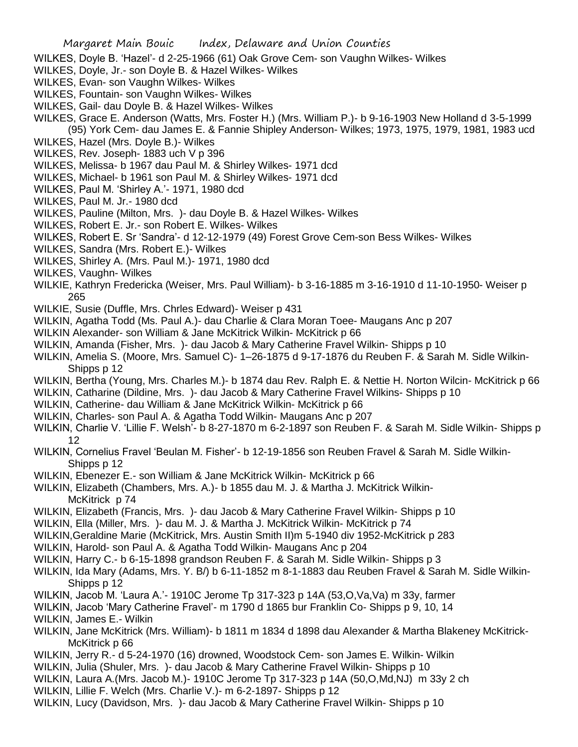- WILKES, Doyle B. 'Hazel'- d 2-25-1966 (61) Oak Grove Cem- son Vaughn Wilkes- Wilkes
- WILKES, Doyle, Jr.- son Doyle B. & Hazel Wilkes- Wilkes
- WILKES, Evan- son Vaughn Wilkes- Wilkes
- WILKES, Fountain- son Vaughn Wilkes- Wilkes
- WILKES, Gail- dau Doyle B. & Hazel Wilkes- Wilkes

WILKES, Grace E. Anderson (Watts, Mrs. Foster H.) (Mrs. William P.)- b 9-16-1903 New Holland d 3-5-1999 (95) York Cem- dau James E. & Fannie Shipley Anderson- Wilkes; 1973, 1975, 1979, 1981, 1983 ucd

- WILKES, Hazel (Mrs. Doyle B.)- Wilkes
- WILKES, Rev. Joseph- 1883 uch V p 396
- WILKES, Melissa- b 1967 dau Paul M. & Shirley Wilkes- 1971 dcd
- WILKES, Michael- b 1961 son Paul M. & Shirley Wilkes- 1971 dcd
- WILKES, Paul M. 'Shirley A.'- 1971, 1980 dcd
- WILKES, Paul M. Jr.- 1980 dcd
- WILKES, Pauline (Milton, Mrs. )- dau Doyle B. & Hazel Wilkes- Wilkes
- WILKES, Robert E. Jr.- son Robert E. Wilkes- Wilkes
- WILKES, Robert E. Sr 'Sandra'- d 12-12-1979 (49) Forest Grove Cem-son Bess Wilkes- Wilkes
- WILKES, Sandra (Mrs. Robert E.)- Wilkes
- WILKES, Shirley A. (Mrs. Paul M.)- 1971, 1980 dcd
- WILKES, Vaughn- Wilkes
- WILKIE, Kathryn Fredericka (Weiser, Mrs. Paul William)- b 3-16-1885 m 3-16-1910 d 11-10-1950- Weiser p 265
- WILKIE, Susie (Duffle, Mrs. Chrles Edward)- Weiser p 431
- WILKIN, Agatha Todd (Ms. Paul A.)- dau Charlie & Clara Moran Toee- Maugans Anc p 207
- WILKIN Alexander- son William & Jane McKitrick Wilkin- McKitrick p 66
- WILKIN, Amanda (Fisher, Mrs. )- dau Jacob & Mary Catherine Fravel Wilkin- Shipps p 10
- WILKIN, Amelia S. (Moore, Mrs. Samuel C)- 1–26-1875 d 9-17-1876 du Reuben F. & Sarah M. Sidle Wilkin-Shipps p 12
- WILKIN, Bertha (Young, Mrs. Charles M.)- b 1874 dau Rev. Ralph E. & Nettie H. Norton Wilcin- McKitrick p 66
- WILKIN, Catharine (Dildine, Mrs. )- dau Jacob & Mary Catherine Fravel Wilkins- Shipps p 10
- WILKIN, Catherine- dau William & Jane McKitrick Wilkin- McKitrick p 66
- WILKIN, Charles- son Paul A. & Agatha Todd Wilkin- Maugans Anc p 207
- WILKIN, Charlie V. 'Lillie F. Welsh'- b 8-27-1870 m 6-2-1897 son Reuben F. & Sarah M. Sidle Wilkin- Shipps p 12
- WILKIN, Cornelius Fravel 'Beulan M. Fisher'- b 12-19-1856 son Reuben Fravel & Sarah M. Sidle Wilkin-Shipps p 12
- WILKIN, Ebenezer E.- son William & Jane McKitrick Wilkin- McKitrick p 66
- WILKIN, Elizabeth (Chambers, Mrs. A.)- b 1855 dau M. J. & Martha J. McKitrick Wilkin-McKitrick p 74
- WILKIN, Elizabeth (Francis, Mrs. )- dau Jacob & Mary Catherine Fravel Wilkin- Shipps p 10
- WILKIN, Ella (Miller, Mrs. )- dau M. J. & Martha J. McKitrick Wilkin- McKitrick p 74
- WILKIN,Geraldine Marie (McKitrick, Mrs. Austin Smith II)m 5-1940 div 1952-McKitrick p 283
- WILKIN, Harold- son Paul A. & Agatha Todd Wilkin- Maugans Anc p 204
- WILKIN, Harry C.- b 6-15-1898 grandson Reuben F. & Sarah M. Sidle Wilkin- Shipps p 3
- WILKIN, Ida Mary (Adams, Mrs. Y. B/) b 6-11-1852 m 8-1-1883 dau Reuben Fravel & Sarah M. Sidle Wilkin-Shipps p 12
- WILKIN, Jacob M. 'Laura A.'- 1910C Jerome Tp 317-323 p 14A (53,O,Va,Va) m 33y, farmer
- WILKIN, Jacob 'Mary Catherine Fravel'- m 1790 d 1865 bur Franklin Co- Shipps p 9, 10, 14
- WILKIN, James E.- Wilkin
- WILKIN, Jane McKitrick (Mrs. William)- b 1811 m 1834 d 1898 dau Alexander & Martha Blakeney McKitrick-McKitrick p 66
- WILKIN, Jerry R.- d 5-24-1970 (16) drowned, Woodstock Cem- son James E. Wilkin- Wilkin
- WILKIN, Julia (Shuler, Mrs. )- dau Jacob & Mary Catherine Fravel Wilkin- Shipps p 10
- WILKIN, Laura A.(Mrs. Jacob M.)- 1910C Jerome Tp 317-323 p 14A (50,O,Md,NJ) m 33y 2 ch
- WILKIN, Lillie F. Welch (Mrs. Charlie V.)- m 6-2-1897- Shipps p 12
- WILKIN, Lucy (Davidson, Mrs. )- dau Jacob & Mary Catherine Fravel Wilkin- Shipps p 10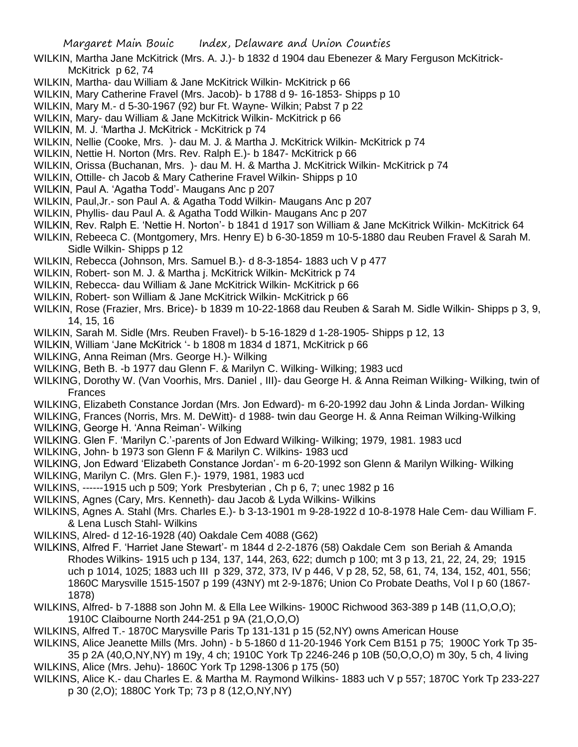- WILKIN, Martha Jane McKitrick (Mrs. A. J.)- b 1832 d 1904 dau Ebenezer & Mary Ferguson McKitrick-McKitrick p 62, 74
- WILKIN, Martha- dau William & Jane McKitrick Wilkin- McKitrick p 66
- WILKIN, Mary Catherine Fravel (Mrs. Jacob)- b 1788 d 9- 16-1853- Shipps p 10
- WILKIN, Mary M.- d 5-30-1967 (92) bur Ft. Wayne- Wilkin; Pabst 7 p 22
- WILKIN, Mary- dau William & Jane McKitrick Wilkin- McKitrick p 66
- WILKIN, M. J. 'Martha J. McKitrick McKitrick p 74
- WILKIN, Nellie (Cooke, Mrs. )- dau M. J. & Martha J. McKitrick Wilkin- McKitrick p 74
- WILKIN, Nettie H. Norton (Mrs. Rev. Ralph E.)- b 1847- McKitrick p 66
- WILKIN, Orissa (Buchanan, Mrs. )- dau M. H. & Martha J. McKitrick Wilkin- McKitrick p 74
- WILKIN, Ottille- ch Jacob & Mary Catherine Fravel Wilkin- Shipps p 10
- WILKIN, Paul A. 'Agatha Todd'- Maugans Anc p 207
- WILKIN, Paul,Jr.- son Paul A. & Agatha Todd Wilkin- Maugans Anc p 207
- WILKIN, Phyllis- dau Paul A. & Agatha Todd Wilkin- Maugans Anc p 207
- WILKIN, Rev. Ralph E. 'Nettie H. Norton'- b 1841 d 1917 son William & Jane McKitrick Wilkin- McKitrick 64
- WILKIN, Rebeeca C. (Montgomery, Mrs. Henry E) b 6-30-1859 m 10-5-1880 dau Reuben Fravel & Sarah M. Sidle Wilkin- Shipps p 12
- WILKIN, Rebecca (Johnson, Mrs. Samuel B.)- d 8-3-1854- 1883 uch V p 477
- WILKIN, Robert- son M. J. & Martha j. McKitrick Wilkin- McKitrick p 74
- WILKIN, Rebecca- dau William & Jane McKitrick Wilkin- McKitrick p 66
- WILKIN, Robert- son William & Jane McKitrick Wilkin- McKitrick p 66
- WILKIN, Rose (Frazier, Mrs. Brice)- b 1839 m 10-22-1868 dau Reuben & Sarah M. Sidle Wilkin- Shipps p 3, 9, 14, 15, 16
- WILKIN, Sarah M. Sidle (Mrs. Reuben Fravel)- b 5-16-1829 d 1-28-1905- Shipps p 12, 13
- WILKIN, William 'Jane McKitrick '- b 1808 m 1834 d 1871, McKitrick p 66
- WILKING, Anna Reiman (Mrs. George H.)- Wilking
- WILKING, Beth B. -b 1977 dau Glenn F. & Marilyn C. Wilking- Wilking; 1983 ucd
- WILKING, Dorothy W. (Van Voorhis, Mrs. Daniel , III)- dau George H. & Anna Reiman Wilking- Wilking, twin of Frances
- WILKING, Elizabeth Constance Jordan (Mrs. Jon Edward)- m 6-20-1992 dau John & Linda Jordan- Wilking
- WILKING, Frances (Norris, Mrs. M. DeWitt)- d 1988- twin dau George H. & Anna Reiman Wilking-Wilking
- WILKING, George H. 'Anna Reiman'- Wilking
- WILKING. Glen F. 'Marilyn C.'-parents of Jon Edward Wilking- Wilking; 1979, 1981. 1983 ucd
- WILKING, John- b 1973 son Glenn F & Marilyn C. Wilkins- 1983 ucd
- WILKING, Jon Edward 'Elizabeth Constance Jordan'- m 6-20-1992 son Glenn & Marilyn Wilking- Wilking
- WILKING, Marilyn C. (Mrs. Glen F.)- 1979, 1981, 1983 ucd
- WILKINS, ------1915 uch p 509; York Presbyterian , Ch p 6, 7; unec 1982 p 16
- WILKINS, Agnes (Cary, Mrs. Kenneth)- dau Jacob & Lyda Wilkins- Wilkins
- WILKINS, Agnes A. Stahl (Mrs. Charles E.)- b 3-13-1901 m 9-28-1922 d 10-8-1978 Hale Cem- dau William F. & Lena Lusch Stahl- Wilkins
- WILKINS, Alred- d 12-16-1928 (40) Oakdale Cem 4088 (G62)
- WILKINS, Alfred F. 'Harriet Jane Stewart'- m 1844 d 2-2-1876 (58) Oakdale Cem son Beriah & Amanda Rhodes Wilkins- 1915 uch p 134, 137, 144, 263, 622; dumch p 100; mt 3 p 13, 21, 22, 24, 29; 1915 uch p 1014, 1025; 1883 uch III p 329, 372, 373, IV p 446, V p 28, 52, 58, 61, 74, 134, 152, 401, 556; 1860C Marysville 1515-1507 p 199 (43NY) mt 2-9-1876; Union Co Probate Deaths, Vol I p 60 (1867- 1878)
- WILKINS, Alfred- b 7-1888 son John M. & Ella Lee Wilkins- 1900C Richwood 363-389 p 14B (11,O,O,O); 1910C Claibourne North 244-251 p 9A (21,O,O,O)
- WILKINS, Alfred T.- 1870C Marysville Paris Tp 131-131 p 15 (52,NY) owns American House
- WILKINS, Alice Jeanette Mills (Mrs. John) b 5-1860 d 11-20-1946 York Cem B151 p 75; 1900C York Tp 35-
- 35 p 2A (40,O,NY,NY) m 19y, 4 ch; 1910C York Tp 2246-246 p 10B (50,O,O,O) m 30y, 5 ch, 4 living WILKINS, Alice (Mrs. Jehu)- 1860C York Tp 1298-1306 p 175 (50)
- WILKINS, Alice K.- dau Charles E. & Martha M. Raymond Wilkins- 1883 uch V p 557; 1870C York Tp 233-227 p 30 (2,O); 1880C York Tp; 73 p 8 (12,O,NY,NY)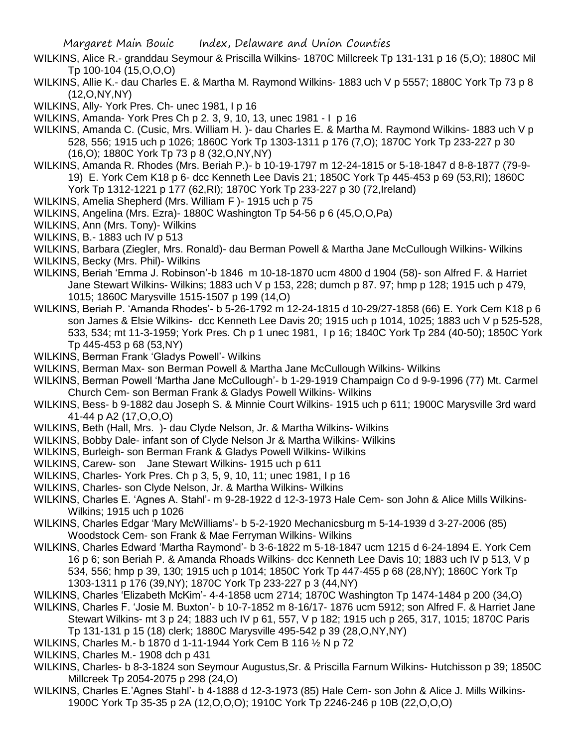- WILKINS, Alice R.- granddau Seymour & Priscilla Wilkins- 1870C Millcreek Tp 131-131 p 16 (5,O); 1880C Mil Tp 100-104 (15,O,O,O)
- WILKINS, Allie K.- dau Charles E. & Martha M. Raymond Wilkins- 1883 uch V p 5557; 1880C York Tp 73 p 8 (12,O,NY,NY)

WILKINS, Ally- York Pres. Ch- unec 1981, I p 16

WILKINS, Amanda- York Pres Ch p 2. 3, 9, 10, 13, unec 1981 - I p 16

WILKINS, Amanda C. (Cusic, Mrs. William H. )- dau Charles E. & Martha M. Raymond Wilkins- 1883 uch V p 528, 556; 1915 uch p 1026; 1860C York Tp 1303-1311 p 176 (7,O); 1870C York Tp 233-227 p 30 (16,O); 1880C York Tp 73 p 8 (32,O,NY,NY)

WILKINS, Amanda R. Rhodes (Mrs. Beriah P.)- b 10-19-1797 m 12-24-1815 or 5-18-1847 d 8-8-1877 (79-9- 19) E. York Cem K18 p 6- dcc Kenneth Lee Davis 21; 1850C York Tp 445-453 p 69 (53,RI); 1860C

York Tp 1312-1221 p 177 (62,RI); 1870C York Tp 233-227 p 30 (72,Ireland)

- WILKINS, Amelia Shepherd (Mrs. William F )- 1915 uch p 75
- WILKINS, Angelina (Mrs. Ezra)- 1880C Washington Tp 54-56 p 6 (45,O,O,Pa)
- WILKINS, Ann (Mrs. Tony)- Wilkins
- WILKINS, B.- 1883 uch IV p 513
- WILKINS, Barbara (Ziegler, Mrs. Ronald)- dau Berman Powell & Martha Jane McCullough Wilkins- Wilkins
- WILKINS, Becky (Mrs. Phil)- Wilkins
- WILKINS, Beriah 'Emma J. Robinson'-b 1846 m 10-18-1870 ucm 4800 d 1904 (58)- son Alfred F. & Harriet Jane Stewart Wilkins- Wilkins; 1883 uch V p 153, 228; dumch p 87. 97; hmp p 128; 1915 uch p 479, 1015; 1860C Marysville 1515-1507 p 199 (14,O)
- WILKINS, Beriah P. 'Amanda Rhodes'- b 5-26-1792 m 12-24-1815 d 10-29/27-1858 (66) E. York Cem K18 p 6 son James & Elsie Wilkins- dcc Kenneth Lee Davis 20; 1915 uch p 1014, 1025; 1883 uch V p 525-528, 533, 534; mt 11-3-1959; York Pres. Ch p 1 unec 1981, I p 16; 1840C York Tp 284 (40-50); 1850C York Tp 445-453 p 68 (53,NY)
- WILKINS, Berman Frank 'Gladys Powell'- Wilkins
- WILKINS, Berman Max- son Berman Powell & Martha Jane McCullough Wilkins- Wilkins
- WILKINS, Berman Powell 'Martha Jane McCullough'- b 1-29-1919 Champaign Co d 9-9-1996 (77) Mt. Carmel Church Cem- son Berman Frank & Gladys Powell Wilkins- Wilkins
- WILKINS, Bess- b 9-1882 dau Joseph S. & Minnie Court Wilkins- 1915 uch p 611; 1900C Marysville 3rd ward 41-44 p A2 (17,O,O,O)
- WILKINS, Beth (Hall, Mrs. )- dau Clyde Nelson, Jr. & Martha Wilkins- Wilkins
- WILKINS, Bobby Dale- infant son of Clyde Nelson Jr & Martha Wilkins- Wilkins
- WILKINS, Burleigh- son Berman Frank & Gladys Powell Wilkins- Wilkins
- WILKINS, Carew- son Jane Stewart Wilkins- 1915 uch p 611
- WILKINS, Charles- York Pres. Ch p 3, 5, 9, 10, 11; unec 1981, I p 16
- WILKINS, Charles- son Clyde Nelson, Jr. & Martha Wilkins- Wilkins
- WILKINS, Charles E. 'Agnes A. Stahl'- m 9-28-1922 d 12-3-1973 Hale Cem- son John & Alice Mills Wilkins-Wilkins; 1915 uch p 1026
- WILKINS, Charles Edgar 'Mary McWilliams'- b 5-2-1920 Mechanicsburg m 5-14-1939 d 3-27-2006 (85) Woodstock Cem- son Frank & Mae Ferryman Wilkins- Wilkins
- WILKINS, Charles Edward 'Martha Raymond'- b 3-6-1822 m 5-18-1847 ucm 1215 d 6-24-1894 E. York Cem 16 p 6; son Beriah P. & Amanda Rhoads Wilkins- dcc Kenneth Lee Davis 10; 1883 uch IV p 513, V p 534, 556; hmp p 39, 130; 1915 uch p 1014; 1850C York Tp 447-455 p 68 (28,NY); 1860C York Tp 1303-1311 p 176 (39,NY); 1870C York Tp 233-227 p 3 (44,NY)
- WILKINS, Charles 'Elizabeth McKim'- 4-4-1858 ucm 2714; 1870C Washington Tp 1474-1484 p 200 (34,O)
- WILKINS, Charles F. 'Josie M. Buxton'- b 10-7-1852 m 8-16/17- 1876 ucm 5912; son Alfred F. & Harriet Jane Stewart Wilkins- mt 3 p 24; 1883 uch IV p 61, 557, V p 182; 1915 uch p 265, 317, 1015; 1870C Paris
	- Tp 131-131 p 15 (18) clerk; 1880C Marysville 495-542 p 39 (28,O,NY,NY)
- WILKINS, Charles M.- b 1870 d 1-11-1944 York Cem B 116 ½ N p 72
- WILKINS, Charles M.- 1908 dch p 431
- WILKINS, Charles- b 8-3-1824 son Seymour Augustus,Sr. & Priscilla Farnum Wilkins- Hutchisson p 39; 1850C Millcreek Tp 2054-2075 p 298 (24,O)
- WILKINS, Charles E.'Agnes Stahl'- b 4-1888 d 12-3-1973 (85) Hale Cem- son John & Alice J. Mills Wilkins-1900C York Tp 35-35 p 2A (12,O,O,O); 1910C York Tp 2246-246 p 10B (22,O,O,O)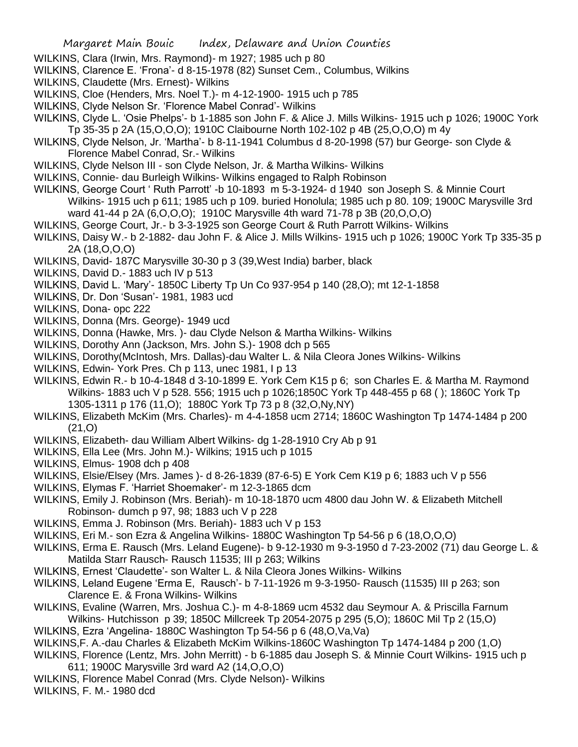- WILKINS, Clara (Irwin, Mrs. Raymond)- m 1927; 1985 uch p 80
- WILKINS, Clarence E. 'Frona'- d 8-15-1978 (82) Sunset Cem., Columbus, Wilkins
- WILKINS, Claudette (Mrs. Ernest)- Wilkins
- WILKINS, Cloe (Henders, Mrs. Noel T.)- m 4-12-1900- 1915 uch p 785
- WILKINS, Clyde Nelson Sr. 'Florence Mabel Conrad'- Wilkins
- WILKINS, Clyde L. 'Osie Phelps'- b 1-1885 son John F. & Alice J. Mills Wilkins- 1915 uch p 1026; 1900C York Tp 35-35 p 2A (15,O,O,O); 1910C Claibourne North 102-102 p 4B (25,O,O,O) m 4y
- WILKINS, Clyde Nelson, Jr. 'Martha'- b 8-11-1941 Columbus d 8-20-1998 (57) bur George- son Clyde & Florence Mabel Conrad, Sr.- Wilkins
- WILKINS, Clyde Nelson III son Clyde Nelson, Jr. & Martha Wilkins- Wilkins
- WILKINS, Connie- dau Burleigh Wilkins- Wilkins engaged to Ralph Robinson
- WILKINS, George Court ' Ruth Parrott' -b 10-1893 m 5-3-1924- d 1940 son Joseph S. & Minnie Court Wilkins- 1915 uch p 611; 1985 uch p 109. buried Honolula; 1985 uch p 80. 109; 1900C Marysville 3rd ward 41-44 p 2A (6,O,O,O); 1910C Marysville 4th ward 71-78 p 3B (20,O,O,O)
- WILKINS, George Court, Jr.- b 3-3-1925 son George Court & Ruth Parrott Wilkins- Wilkins
- WILKINS, Daisy W.- b 2-1882- dau John F. & Alice J. Mills Wilkins- 1915 uch p 1026; 1900C York Tp 335-35 p 2A (18,O,O,O)
- WILKINS, David- 187C Marysville 30-30 p 3 (39,West India) barber, black
- WILKINS, David D.- 1883 uch IV p 513
- WILKINS, David L. 'Mary'- 1850C Liberty Tp Un Co 937-954 p 140 (28,O); mt 12-1-1858
- WILKINS, Dr. Don 'Susan'- 1981, 1983 ucd
- WILKINS, Dona- opc 222
- WILKINS, Donna (Mrs. George)- 1949 ucd
- WILKINS, Donna (Hawke, Mrs. )- dau Clyde Nelson & Martha Wilkins- Wilkins
- WILKINS, Dorothy Ann (Jackson, Mrs. John S.)- 1908 dch p 565
- WILKINS, Dorothy(McIntosh, Mrs. Dallas)-dau Walter L. & Nila Cleora Jones Wilkins- Wilkins
- WILKINS, Edwin- York Pres. Ch p 113, unec 1981, I p 13
- WILKINS, Edwin R.- b 10-4-1848 d 3-10-1899 E. York Cem K15 p 6; son Charles E. & Martha M. Raymond Wilkins- 1883 uch V p 528. 556; 1915 uch p 1026;1850C York Tp 448-455 p 68 ( ); 1860C York Tp 1305-1311 p 176 (11,O); 1880C York Tp 73 p 8 (32,O,Ny,NY)
- WILKINS, Elizabeth McKim (Mrs. Charles)- m 4-4-1858 ucm 2714; 1860C Washington Tp 1474-1484 p 200  $(21.0)$
- WILKINS, Elizabeth- dau William Albert Wilkins- dg 1-28-1910 Cry Ab p 91
- WILKINS, Ella Lee (Mrs. John M.)- Wilkins; 1915 uch p 1015
- WILKINS, Elmus- 1908 dch p 408
- WILKINS, Elsie/Elsey (Mrs. James )- d 8-26-1839 (87-6-5) E York Cem K19 p 6; 1883 uch V p 556
- WILKINS, Elymas F. 'Harriet Shoemaker'- m 12-3-1865 dcm
- WILKINS, Emily J. Robinson (Mrs. Beriah)- m 10-18-1870 ucm 4800 dau John W. & Elizabeth Mitchell Robinson- dumch p 97, 98; 1883 uch V p 228
- WILKINS, Emma J. Robinson (Mrs. Beriah)- 1883 uch V p 153
- WILKINS, Eri M.- son Ezra & Angelina Wilkins- 1880C Washington Tp 54-56 p 6 (18,O,O,O)
- WILKINS, Erma E. Rausch (Mrs. Leland Eugene)- b 9-12-1930 m 9-3-1950 d 7-23-2002 (71) dau George L. & Matilda Starr Rausch- Rausch 11535; III p 263; Wilkins
- WILKINS, Ernest 'Claudette'- son Walter L. & Nila Cleora Jones Wilkins- Wilkins
- WILKINS, Leland Eugene 'Erma E, Rausch'- b 7-11-1926 m 9-3-1950- Rausch (11535) III p 263; son Clarence E. & Frona Wilkins- Wilkins
- WILKINS, Evaline (Warren, Mrs. Joshua C.)- m 4-8-1869 ucm 4532 dau Seymour A. & Priscilla Farnum Wilkins- Hutchisson p 39; 1850C Millcreek Tp 2054-2075 p 295 (5,O); 1860C Mil Tp 2 (15,O)
- WILKINS, Ezra 'Angelina- 1880C Washington Tp 54-56 p 6 (48, O, Va, Va)
- WILKINS,F. A.-dau Charles & Elizabeth McKim Wilkins-1860C Washington Tp 1474-1484 p 200 (1,O)
- WILKINS, Florence (Lentz, Mrs. John Merritt) b 6-1885 dau Joseph S. & Minnie Court Wilkins- 1915 uch p 611; 1900C Marysville 3rd ward A2 (14,O,O,O)
- WILKINS, Florence Mabel Conrad (Mrs. Clyde Nelson)- Wilkins
- WILKINS, F. M.- 1980 dcd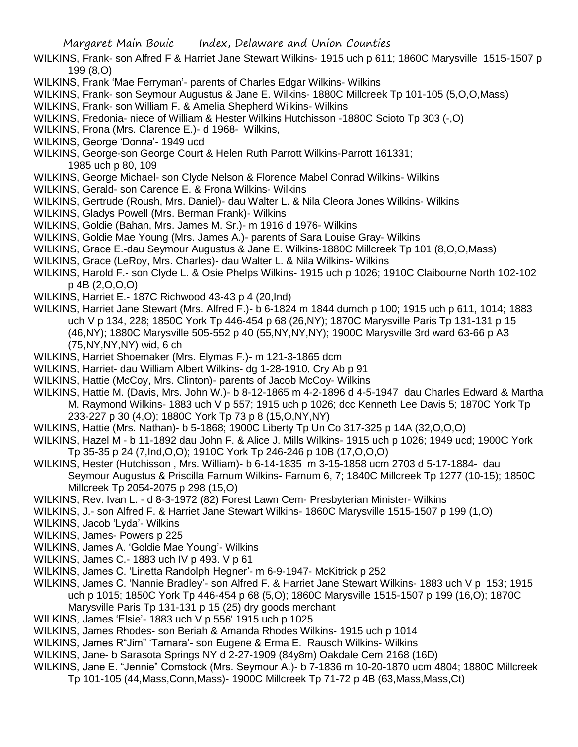- WILKINS, Frank- son Alfred F & Harriet Jane Stewart Wilkins- 1915 uch p 611; 1860C Marysville 1515-1507 p 199 (8,O)
- WILKINS, Frank 'Mae Ferryman'- parents of Charles Edgar Wilkins- Wilkins
- WILKINS, Frank- son Seymour Augustus & Jane E. Wilkins- 1880C Millcreek Tp 101-105 (5,O,O,Mass)
- WILKINS, Frank- son William F. & Amelia Shepherd Wilkins- Wilkins
- WILKINS, Fredonia- niece of William & Hester Wilkins Hutchisson -1880C Scioto Tp 303 (-,O)
- WILKINS, Frona (Mrs. Clarence E.)- d 1968- Wilkins,
- WILKINS, George 'Donna'- 1949 ucd
- WILKINS, George-son George Court & Helen Ruth Parrott Wilkins-Parrott 161331; 1985 uch p 80, 109
- WILKINS, George Michael- son Clyde Nelson & Florence Mabel Conrad Wilkins- Wilkins
- WILKINS, Gerald- son Carence E. & Frona Wilkins- Wilkins
- WILKINS, Gertrude (Roush, Mrs. Daniel)- dau Walter L. & Nila Cleora Jones Wilkins- Wilkins
- WILKINS, Gladys Powell (Mrs. Berman Frank)- Wilkins
- WILKINS, Goldie (Bahan, Mrs. James M. Sr.)- m 1916 d 1976- Wilkins
- WILKINS, Goldie Mae Young (Mrs. James A.)- parents of Sara Louise Gray- Wilkins
- WILKINS, Grace E.-dau Seymour Augustus & Jane E. Wilkins-1880C Millcreek Tp 101 (8,O,O,Mass)
- WILKINS, Grace (LeRoy, Mrs. Charles)- dau Walter L. & Nila Wilkins- Wilkins
- WILKINS, Harold F.- son Clyde L. & Osie Phelps Wilkins- 1915 uch p 1026; 1910C Claibourne North 102-102 p 4B (2,O,O,O)
- WILKINS, Harriet E.- 187C Richwood 43-43 p 4 (20,Ind)
- WILKINS, Harriet Jane Stewart (Mrs. Alfred F.)- b 6-1824 m 1844 dumch p 100; 1915 uch p 611, 1014; 1883 uch V p 134, 228; 1850C York Tp 446-454 p 68 (26,NY); 1870C Marysville Paris Tp 131-131 p 15 (46,NY); 1880C Marysville 505-552 p 40 (55,NY,NY,NY); 1900C Marysville 3rd ward 63-66 p A3 (75,NY,NY,NY) wid, 6 ch
- WILKINS, Harriet Shoemaker (Mrs. Elymas F.)- m 121-3-1865 dcm
- WILKINS, Harriet- dau William Albert Wilkins- dg 1-28-1910, Cry Ab p 91
- WILKINS, Hattie (McCoy, Mrs. Clinton)- parents of Jacob McCoy- Wilkins
- WILKINS, Hattie M. (Davis, Mrs. John W.)- b 8-12-1865 m 4-2-1896 d 4-5-1947 dau Charles Edward & Martha M. Raymond Wilkins- 1883 uch V p 557; 1915 uch p 1026; dcc Kenneth Lee Davis 5; 1870C York Tp 233-227 p 30 (4,O); 1880C York Tp 73 p 8 (15,O,NY,NY)
- WILKINS, Hattie (Mrs. Nathan)- b 5-1868; 1900C Liberty Tp Un Co 317-325 p 14A (32,O,O,O)
- WILKINS, Hazel M b 11-1892 dau John F. & Alice J. Mills Wilkins- 1915 uch p 1026; 1949 ucd; 1900C York Tp 35-35 p 24 (7,Ind,O,O); 1910C York Tp 246-246 p 10B (17,O,O,O)
- WILKINS, Hester (Hutchisson , Mrs. William)- b 6-14-1835 m 3-15-1858 ucm 2703 d 5-17-1884- dau Seymour Augustus & Priscilla Farnum Wilkins- Farnum 6, 7; 1840C Millcreek Tp 1277 (10-15); 1850C Millcreek Tp 2054-2075 p 298 (15,O)
- WILKINS, Rev. Ivan L. d 8-3-1972 (82) Forest Lawn Cem- Presbyterian Minister- Wilkins
- WILKINS, J.- son Alfred F. & Harriet Jane Stewart Wilkins- 1860C Marysville 1515-1507 p 199 (1,O)
- WILKINS, Jacob 'Lyda'- Wilkins
- WILKINS, James- Powers p 225
- WILKINS, James A. 'Goldie Mae Young'- Wilkins
- WILKINS, James C.- 1883 uch IV p 493. V p 61
- WILKINS, James C. 'Linetta Randolph Hegner'- m 6-9-1947- McKitrick p 252
- WILKINS, James C. 'Nannie Bradley'- son Alfred F. & Harriet Jane Stewart Wilkins- 1883 uch V p 153; 1915 uch p 1015; 1850C York Tp 446-454 p 68 (5,O); 1860C Marysville 1515-1507 p 199 (16,O); 1870C Marysville Paris Tp 131-131 p 15 (25) dry goods merchant
- WILKINS, James 'Elsie'- 1883 uch V p 556' 1915 uch p 1025
- WILKINS, James Rhodes- son Beriah & Amanda Rhodes Wilkins- 1915 uch p 1014
- WILKINS, James R"Jim" 'Tamara'- son Eugene & Erma E. Rausch Wilkins- Wilkins
- WILKINS, Jane- b Sarasota Springs NY d 2-27-1909 (84y8m) Oakdale Cem 2168 (16D)
- WILKINS, Jane E. "Jennie" Comstock (Mrs. Seymour A.)- b 7-1836 m 10-20-1870 ucm 4804; 1880C Millcreek
	- Tp 101-105 (44,Mass,Conn,Mass)- 1900C Millcreek Tp 71-72 p 4B (63,Mass,Mass,Ct)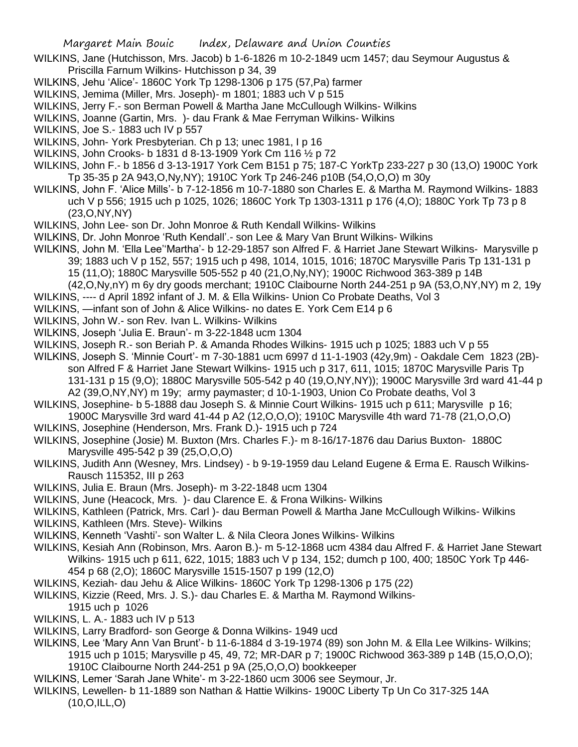- WILKINS, Jane (Hutchisson, Mrs. Jacob) b 1-6-1826 m 10-2-1849 ucm 1457; dau Seymour Augustus & Priscilla Farnum Wilkins- Hutchisson p 34, 39
- WILKINS, Jehu 'Alice'- 1860C York Tp 1298-1306 p 175 (57,Pa) farmer
- WILKINS, Jemima (Miller, Mrs. Joseph)- m 1801; 1883 uch V p 515
- WILKINS, Jerry F.- son Berman Powell & Martha Jane McCullough Wilkins- Wilkins
- WILKINS, Joanne (Gartin, Mrs. )- dau Frank & Mae Ferryman Wilkins- Wilkins
- WILKINS, Joe S.- 1883 uch IV p 557
- WILKINS, John- York Presbyterian. Ch p 13; unec 1981, I p 16
- WILKINS, John Crooks- b 1831 d 8-13-1909 York Cm 116 ½ p 72
- WILKINS, John F.- b 1856 d 3-13-1917 York Cem B151 p 75; 187-C YorkTp 233-227 p 30 (13,O) 1900C York Tp 35-35 p 2A 943,O,Ny,NY); 1910C York Tp 246-246 p10B (54,O,O,O) m 30y
- WILKINS, John F. 'Alice Mills'- b 7-12-1856 m 10-7-1880 son Charles E. & Martha M. Raymond Wilkins- 1883 uch V p 556; 1915 uch p 1025, 1026; 1860C York Tp 1303-1311 p 176 (4,O); 1880C York Tp 73 p 8 (23,O,NY,NY)
- WILKINS, John Lee- son Dr. John Monroe & Ruth Kendall Wilkins- Wilkins
- WILKINS, Dr. John Monroe 'Ruth Kendall'.- son Lee & Mary Van Brunt Wilkins- Wilkins
- WILKINS, John M. 'Ella Lee''Martha'- b 12-29-1857 son Alfred F. & Harriet Jane Stewart Wilkins- Marysville p 39; 1883 uch V p 152, 557; 1915 uch p 498, 1014, 1015, 1016; 1870C Marysville Paris Tp 131-131 p 15 (11,O); 1880C Marysville 505-552 p 40 (21,O,Ny,NY); 1900C Richwood 363-389 p 14B
- (42,O,Ny,nY) m 6y dry goods merchant; 1910C Claibourne North 244-251 p 9A (53,O,NY,NY) m 2, 19y WILKINS, ---- d April 1892 infant of J. M. & Ella Wilkins- Union Co Probate Deaths, Vol 3
- WILKINS, —infant son of John & Alice Wilkins- no dates E. York Cem E14 p 6
- WILKINS, John W.- son Rev. Ivan L. Wilkins- Wilkins
- WILKINS, Joseph 'Julia E. Braun'- m 3-22-1848 ucm 1304
- WILKINS, Joseph R.- son Beriah P. & Amanda Rhodes Wilkins- 1915 uch p 1025; 1883 uch V p 55
- WILKINS, Joseph S. 'Minnie Court'- m 7-30-1881 ucm 6997 d 11-1-1903 (42y,9m) Oakdale Cem 1823 (2B) son Alfred F & Harriet Jane Stewart Wilkins- 1915 uch p 317, 611, 1015; 1870C Marysville Paris Tp
	- 131-131 p 15 (9,O); 1880C Marysville 505-542 p 40 (19,O,NY,NY)); 1900C Marysville 3rd ward 41-44 p A2 (39,O,NY,NY) m 19y; army paymaster; d 10-1-1903, Union Co Probate deaths, Vol 3
- WILKINS, Josephine- b 5-1888 dau Joseph S. & Minnie Court Wilkins- 1915 uch p 611; Marysville p 16; 1900C Marysville 3rd ward 41-44 p A2 (12,O,O,O); 1910C Marysville 4th ward 71-78 (21,O,O,O)
- WILKINS, Josephine (Henderson, Mrs. Frank D.)- 1915 uch p 724
- WILKINS, Josephine (Josie) M. Buxton (Mrs. Charles F.)- m 8-16/17-1876 dau Darius Buxton- 1880C Marysville 495-542 p 39 (25,O,O,O)
- WILKINS, Judith Ann (Wesney, Mrs. Lindsey) b 9-19-1959 dau Leland Eugene & Erma E. Rausch Wilkins-Rausch 115352, III p 263
- WILKINS, Julia E. Braun (Mrs. Joseph)- m 3-22-1848 ucm 1304
- WILKINS, June (Heacock, Mrs. )- dau Clarence E. & Frona Wilkins- Wilkins
- WILKINS, Kathleen (Patrick, Mrs. Carl )- dau Berman Powell & Martha Jane McCullough Wilkins- Wilkins
- WILKINS, Kathleen (Mrs. Steve)- Wilkins
- WILKINS, Kenneth 'Vashti'- son Walter L. & Nila Cleora Jones Wilkins- Wilkins
- WILKINS, Kesiah Ann (Robinson, Mrs. Aaron B.)- m 5-12-1868 ucm 4384 dau Alfred F. & Harriet Jane Stewart Wilkins- 1915 uch p 611, 622, 1015; 1883 uch V p 134, 152; dumch p 100, 400; 1850C York Tp 446- 454 p 68 (2,O); 1860C Marysville 1515-1507 p 199 (12,O)
- WILKINS, Keziah- dau Jehu & Alice Wilkins- 1860C York Tp 1298-1306 p 175 (22)
- WILKINS, Kizzie (Reed, Mrs. J. S.)- dau Charles E. & Martha M. Raymond Wilkins-1915 uch p 1026
- WILKINS, L. A.- 1883 uch IV p 513
- WILKINS, Larry Bradford- son George & Donna Wilkins- 1949 ucd
- WILKINS, Lee 'Mary Ann Van Brunt'- b 11-6-1884 d 3-19-1974 (89) son John M. & Ella Lee Wilkins- Wilkins; 1915 uch p 1015; Marysville p 45, 49, 72; MR-DAR p 7; 1900C Richwood 363-389 p 14B (15,O,O,O); 1910C Claibourne North 244-251 p 9A (25,O,O,O) bookkeeper
- WILKINS, Lemer 'Sarah Jane White'- m 3-22-1860 ucm 3006 see Seymour, Jr.
- WILKINS, Lewellen- b 11-1889 son Nathan & Hattie Wilkins- 1900C Liberty Tp Un Co 317-325 14A (10,O,ILL,O)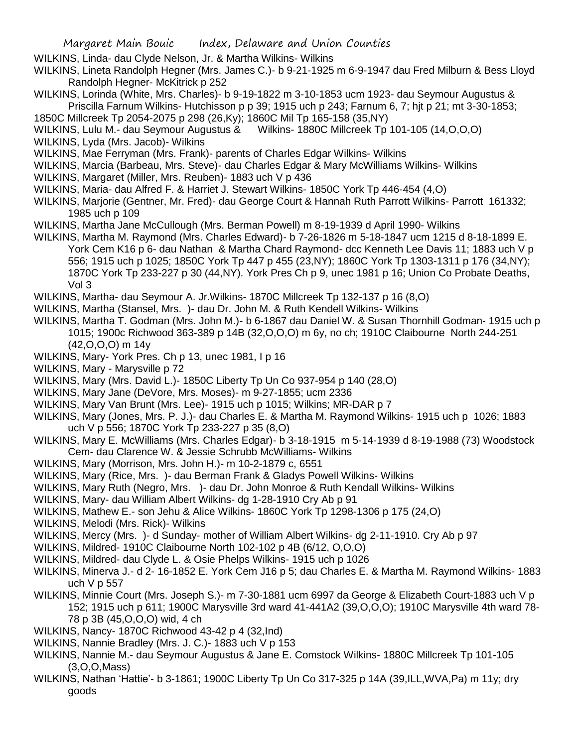- WILKINS, Linda- dau Clyde Nelson, Jr. & Martha Wilkins- Wilkins
- WILKINS, Lineta Randolph Hegner (Mrs. James C.)- b 9-21-1925 m 6-9-1947 dau Fred Milburn & Bess Lloyd Randolph Hegner- McKitrick p 252
- WILKINS, Lorinda (White, Mrs. Charles)- b 9-19-1822 m 3-10-1853 ucm 1923- dau Seymour Augustus & Priscilla Farnum Wilkins- Hutchisson p p 39; 1915 uch p 243; Farnum 6, 7; hjt p 21; mt 3-30-1853;
- 1850C Millcreek Tp 2054-2075 p 298 (26,Ky); 1860C Mil Tp 165-158 (35,NY)
- WILKINS, Lulu M.- dau Seymour Augustus & Wilkins- 1880C Millcreek Tp 101-105 (14,O,O,O)
- WILKINS, Lyda (Mrs. Jacob)- Wilkins
- WILKINS, Mae Ferryman (Mrs. Frank)- parents of Charles Edgar Wilkins- Wilkins
- WILKINS, Marcia (Barbeau, Mrs. Steve)- dau Charles Edgar & Mary McWilliams Wilkins- Wilkins
- WILKINS, Margaret (Miller, Mrs. Reuben)- 1883 uch V p 436
- WILKINS, Maria- dau Alfred F. & Harriet J. Stewart Wilkins- 1850C York Tp 446-454 (4,O)
- WILKINS, Marjorie (Gentner, Mr. Fred)- dau George Court & Hannah Ruth Parrott Wilkins- Parrott 161332; 1985 uch p 109
- WILKINS, Martha Jane McCullough (Mrs. Berman Powell) m 8-19-1939 d April 1990- Wilkins
- WILKINS, Martha M. Raymond (Mrs. Charles Edward)- b 7-26-1826 m 5-18-1847 ucm 1215 d 8-18-1899 E. York Cem K16 p 6- dau Nathan & Martha Chard Raymond- dcc Kenneth Lee Davis 11; 1883 uch V p 556; 1915 uch p 1025; 1850C York Tp 447 p 455 (23,NY); 1860C York Tp 1303-1311 p 176 (34,NY); 1870C York Tp 233-227 p 30 (44,NY). York Pres Ch p 9, unec 1981 p 16; Union Co Probate Deaths, Vol 3
- WILKINS, Martha- dau Seymour A. Jr.Wilkins- 1870C Millcreek Tp 132-137 p 16 (8,O)
- WILKINS, Martha (Stansel, Mrs. )- dau Dr. John M. & Ruth Kendell Wilkins- Wilkins
- WILKINS, Martha T. Godman (Mrs. John M.)- b 6-1867 dau Daniel W. & Susan Thornhill Godman- 1915 uch p 1015; 1900c Richwood 363-389 p 14B (32,O,O,O) m 6y, no ch; 1910C Claibourne North 244-251 (42,O,O,O) m 14y
- WILKINS, Mary- York Pres. Ch p 13, unec 1981, I p 16
- WILKINS, Mary Marysville p 72
- WILKINS, Mary (Mrs. David L.)- 1850C Liberty Tp Un Co 937-954 p 140 (28,O)
- WILKINS, Mary Jane (DeVore, Mrs. Moses)- m 9-27-1855; ucm 2336
- WILKINS, Mary Van Brunt (Mrs. Lee)- 1915 uch p 1015; Wilkins; MR-DAR p 7
- WILKINS, Mary (Jones, Mrs. P. J.)- dau Charles E. & Martha M. Raymond Wilkins- 1915 uch p 1026; 1883 uch V p 556; 1870C York Tp 233-227 p 35 (8,O)
- WILKINS, Mary E. McWilliams (Mrs. Charles Edgar)- b 3-18-1915 m 5-14-1939 d 8-19-1988 (73) Woodstock Cem- dau Clarence W. & Jessie Schrubb McWilliams- Wilkins
- WILKINS, Mary (Morrison, Mrs. John H.)- m 10-2-1879 c, 6551
- WILKINS, Mary (Rice, Mrs. )- dau Berman Frank & Gladys Powell Wilkins- Wilkins
- WILKINS, Mary Ruth (Negro, Mrs. )- dau Dr. John Monroe & Ruth Kendall Wilkins- Wilkins
- WILKINS, Mary- dau William Albert Wilkins- dg 1-28-1910 Cry Ab p 91
- WILKINS, Mathew E.- son Jehu & Alice Wilkins- 1860C York Tp 1298-1306 p 175 (24,O)
- WILKINS, Melodi (Mrs. Rick)- Wilkins
- WILKINS, Mercy (Mrs. )- d Sunday- mother of William Albert Wilkins- dg 2-11-1910. Cry Ab p 97
- WILKINS, Mildred- 1910C Claibourne North 102-102 p 4B (6/12, O,O,O)
- WILKINS, Mildred- dau Clyde L. & Osie Phelps Wilkins- 1915 uch p 1026
- WILKINS, Minerva J.- d 2- 16-1852 E. York Cem J16 p 5; dau Charles E. & Martha M. Raymond Wilkins- 1883 uch V p 557
- WILKINS, Minnie Court (Mrs. Joseph S.)- m 7-30-1881 ucm 6997 da George & Elizabeth Court-1883 uch V p 152; 1915 uch p 611; 1900C Marysville 3rd ward 41-441A2 (39,O,O,O); 1910C Marysville 4th ward 78- 78 p 3B (45,O,O,O) wid, 4 ch
- WILKINS, Nancy- 1870C Richwood 43-42 p 4 (32,Ind)
- WILKINS, Nannie Bradley (Mrs. J. C.)- 1883 uch V p 153
- WILKINS, Nannie M.- dau Seymour Augustus & Jane E. Comstock Wilkins- 1880C Millcreek Tp 101-105 (3,O,O,Mass)
- WILKINS, Nathan 'Hattie'- b 3-1861; 1900C Liberty Tp Un Co 317-325 p 14A (39,ILL,WVA,Pa) m 11y; dry goods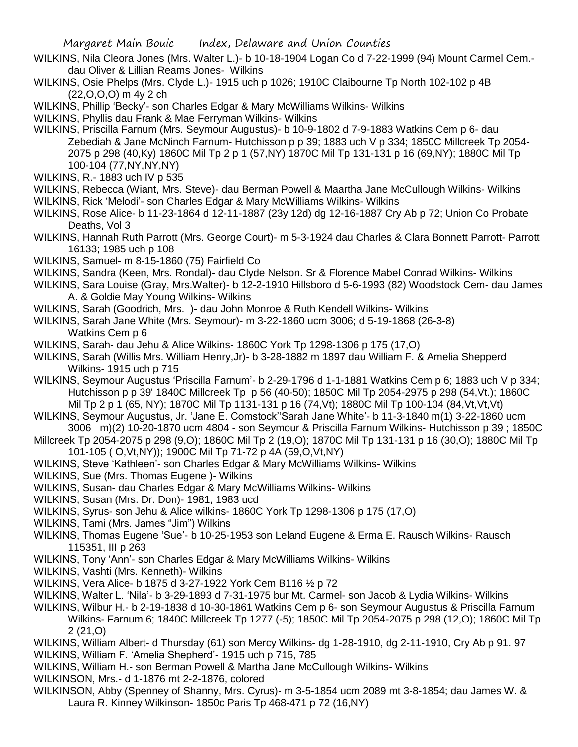- WILKINS, Nila Cleora Jones (Mrs. Walter L.)- b 10-18-1904 Logan Co d 7-22-1999 (94) Mount Carmel Cem. dau Oliver & Lillian Reams Jones- Wilkins
- WILKINS, Osie Phelps (Mrs. Clyde L.)- 1915 uch p 1026; 1910C Claibourne Tp North 102-102 p 4B (22,O,O,O) m 4y 2 ch
- WILKINS, Phillip 'Becky'- son Charles Edgar & Mary McWilliams Wilkins- Wilkins
- WILKINS, Phyllis dau Frank & Mae Ferryman Wilkins- Wilkins
- WILKINS, Priscilla Farnum (Mrs. Seymour Augustus)- b 10-9-1802 d 7-9-1883 Watkins Cem p 6- dau Zebediah & Jane McNinch Farnum- Hutchisson p p 39; 1883 uch V p 334; 1850C Millcreek Tp 2054- 2075 p 298 (40,Ky) 1860C Mil Tp 2 p 1 (57,NY) 1870C Mil Tp 131-131 p 16 (69,NY); 1880C Mil Tp 100-104 (77,NY,NY,NY)
- WILKINS, R.- 1883 uch IV p 535
- WILKINS, Rebecca (Wiant, Mrs. Steve)- dau Berman Powell & Maartha Jane McCullough Wilkins- Wilkins
- WILKINS, Rick 'Melodi'- son Charles Edgar & Mary McWilliams Wilkins- Wilkins
- WILKINS, Rose Alice- b 11-23-1864 d 12-11-1887 (23y 12d) dg 12-16-1887 Cry Ab p 72; Union Co Probate Deaths, Vol 3
- WILKINS, Hannah Ruth Parrott (Mrs. George Court)- m 5-3-1924 dau Charles & Clara Bonnett Parrott- Parrott 16133; 1985 uch p 108
- WILKINS, Samuel- m 8-15-1860 (75) Fairfield Co
- WILKINS, Sandra (Keen, Mrs. Rondal)- dau Clyde Nelson. Sr & Florence Mabel Conrad Wilkins- Wilkins
- WILKINS, Sara Louise (Gray, Mrs.Walter)- b 12-2-1910 Hillsboro d 5-6-1993 (82) Woodstock Cem- dau James A. & Goldie May Young Wilkins- Wilkins
- WILKINS, Sarah (Goodrich, Mrs. )- dau John Monroe & Ruth Kendell Wilkins- Wilkins
- WILKINS, Sarah Jane White (Mrs. Seymour)- m 3-22-1860 ucm 3006; d 5-19-1868 (26-3-8) Watkins Cem p 6
- WILKINS, Sarah- dau Jehu & Alice Wilkins- 1860C York Tp 1298-1306 p 175 (17,O)
- WILKINS, Sarah (Willis Mrs. William Henry,Jr)- b 3-28-1882 m 1897 dau William F. & Amelia Shepperd Wilkins- 1915 uch p 715
- WILKINS, Seymour Augustus 'Priscilla Farnum'- b 2-29-1796 d 1-1-1881 Watkins Cem p 6; 1883 uch V p 334; Hutchisson p p 39' 1840C Millcreek Tp p 56 (40-50); 1850C Mil Tp 2054-2975 p 298 (54,Vt.); 1860C Mil Tp 2 p 1 (65, NY); 1870C Mil Tp 1131-131 p 16 (74,Vt); 1880C Mil Tp 100-104 (84,Vt,Vt,Vt)
- WILKINS, Seymour Augustus, Jr. 'Jane E. Comstock''Sarah Jane White'- b 11-3-1840 m(1) 3-22-1860 ucm 3006 m)(2) 10-20-1870 ucm 4804 - son Seymour & Priscilla Farnum Wilkins- Hutchisson p 39 ; 1850C
- Millcreek Tp 2054-2075 p 298 (9,O); 1860C Mil Tp 2 (19,O); 1870C Mil Tp 131-131 p 16 (30,O); 1880C Mil Tp 101-105 ( O,Vt,NY)); 1900C Mil Tp 71-72 p 4A (59,O,Vt,NY)
- WILKINS, Steve 'Kathleen'- son Charles Edgar & Mary McWilliams Wilkins- Wilkins
- WILKINS, Sue (Mrs. Thomas Eugene )- Wilkins
- WILKINS, Susan- dau Charles Edgar & Mary McWilliams Wilkins- Wilkins
- WILKINS, Susan (Mrs. Dr. Don)- 1981, 1983 ucd
- WILKINS, Syrus- son Jehu & Alice wilkins- 1860C York Tp 1298-1306 p 175 (17,O)
- WILKINS, Tami (Mrs. James "Jim") Wilkins
- WILKINS, Thomas Eugene 'Sue'- b 10-25-1953 son Leland Eugene & Erma E. Rausch Wilkins- Rausch 115351, III p 263
- WILKINS, Tony 'Ann'- son Charles Edgar & Mary McWilliams Wilkins- Wilkins
- WILKINS, Vashti (Mrs. Kenneth)- Wilkins
- WILKINS, Vera Alice- b 1875 d 3-27-1922 York Cem B116 ½ p 72
- WILKINS, Walter L. 'Nila'- b 3-29-1893 d 7-31-1975 bur Mt. Carmel- son Jacob & Lydia Wilkins- Wilkins
- WILKINS, Wilbur H.- b 2-19-1838 d 10-30-1861 Watkins Cem p 6- son Seymour Augustus & Priscilla Farnum Wilkins- Farnum 6; 1840C Millcreek Tp 1277 (-5); 1850C Mil Tp 2054-2075 p 298 (12,O); 1860C Mil Tp 2 (21,O)
- WILKINS, William Albert- d Thursday (61) son Mercy Wilkins- dg 1-28-1910, dg 2-11-1910, Cry Ab p 91. 97 WILKINS, William F. 'Amelia Shepherd'- 1915 uch p 715, 785
- WILKINS, William H.- son Berman Powell & Martha Jane McCullough Wilkins- Wilkins
- WILKINSON, Mrs.- d 1-1876 mt 2-2-1876, colored
- WILKINSON, Abby (Spenney of Shanny, Mrs. Cyrus)- m 3-5-1854 ucm 2089 mt 3-8-1854; dau James W. & Laura R. Kinney Wilkinson- 1850c Paris Tp 468-471 p 72 (16,NY)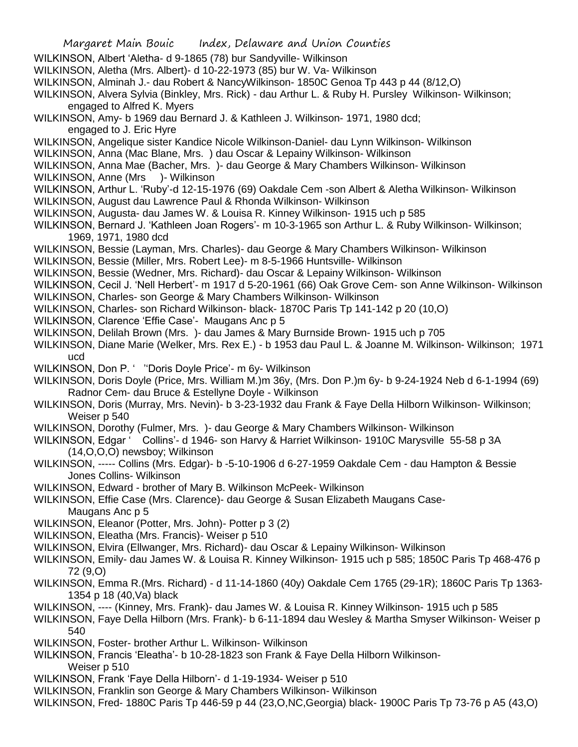- Margaret Main Bouic Index, Delaware and Union Counties WILKINSON, Albert 'Aletha- d 9-1865 (78) bur Sandyville- Wilkinson WILKINSON, Aletha (Mrs. Albert)- d 10-22-1973 (85) bur W. Va- Wilkinson WILKINSON, Alminah J.- dau Robert & NancyWilkinson- 1850C Genoa Tp 443 p 44 (8/12,O) WILKINSON, Alvera Sylvia (Binkley, Mrs. Rick) - dau Arthur L. & Ruby H. Pursley Wilkinson- Wilkinson; engaged to Alfred K. Myers WILKINSON, Amy- b 1969 dau Bernard J. & Kathleen J. Wilkinson- 1971, 1980 dcd; engaged to J. Eric Hyre WILKINSON, Angelique sister Kandice Nicole Wilkinson-Daniel- dau Lynn Wilkinson- Wilkinson WILKINSON, Anna (Mac Blane, Mrs. ) dau Oscar & Lepainy Wilkinson- Wilkinson WILKINSON, Anna Mae (Bacher, Mrs. )- dau George & Mary Chambers Wilkinson- Wilkinson WILKINSON, Anne (Mrs ) - Wilkinson WILKINSON, Arthur L. 'Ruby'-d 12-15-1976 (69) Oakdale Cem -son Albert & Aletha Wilkinson- Wilkinson WILKINSON, August dau Lawrence Paul & Rhonda Wilkinson- Wilkinson WILKINSON, Augusta- dau James W. & Louisa R. Kinney Wilkinson- 1915 uch p 585 WILKINSON, Bernard J. 'Kathleen Joan Rogers'- m 10-3-1965 son Arthur L. & Ruby Wilkinson- Wilkinson; 1969, 1971, 1980 dcd WILKINSON, Bessie (Layman, Mrs. Charles)- dau George & Mary Chambers Wilkinson- Wilkinson WILKINSON, Bessie (Miller, Mrs. Robert Lee)- m 8-5-1966 Huntsville- Wilkinson WILKINSON, Bessie (Wedner, Mrs. Richard)- dau Oscar & Lepainy Wilkinson- Wilkinson WILKINSON, Cecil J. 'Nell Herbert'- m 1917 d 5-20-1961 (66) Oak Grove Cem- son Anne Wilkinson- Wilkinson WILKINSON, Charles- son George & Mary Chambers Wilkinson- Wilkinson WILKINSON, Charles- son Richard Wilkinson- black- 1870C Paris Tp 141-142 p 20 (10,O) WILKINSON, Clarence 'Effie Case'- Maugans Anc p 5 WILKINSON, Delilah Brown (Mrs. )- dau James & Mary Burnside Brown- 1915 uch p 705 WILKINSON, Diane Marie (Welker, Mrs. Rex E.) - b 1953 dau Paul L. & Joanne M. Wilkinson- Wilkinson; 1971 ucd WILKINSON, Don P. ' ''Doris Doyle Price'- m 6y- Wilkinson WILKINSON, Doris Doyle (Price, Mrs. William M.)m 36y, (Mrs. Don P.)m 6y- b 9-24-1924 Neb d 6-1-1994 (69) Radnor Cem- dau Bruce & Estellyne Doyle - Wilkinson WILKINSON, Doris (Murray, Mrs. Nevin)- b 3-23-1932 dau Frank & Faye Della Hilborn Wilkinson- Wilkinson; Weiser p 540 WILKINSON, Dorothy (Fulmer, Mrs. )- dau George & Mary Chambers Wilkinson- Wilkinson WILKINSON, Edgar ' Collins'- d 1946- son Harvy & Harriet Wilkinson- 1910C Marysville 55-58 p 3A (14,O,O,O) newsboy; Wilkinson WILKINSON, ----- Collins (Mrs. Edgar)- b -5-10-1906 d 6-27-1959 Oakdale Cem - dau Hampton & Bessie Jones Collins- Wilkinson WILKINSON, Edward - brother of Mary B. Wilkinson McPeek- Wilkinson WILKINSON, Effie Case (Mrs. Clarence)- dau George & Susan Elizabeth Maugans Case-Maugans Anc p 5 WILKINSON, Eleanor (Potter, Mrs. John)- Potter p 3 (2) WILKINSON, Eleatha (Mrs. Francis)- Weiser p 510 WILKINSON, Elvira (Ellwanger, Mrs. Richard)- dau Oscar & Lepainy Wilkinson- Wilkinson WILKINSON, Emily- dau James W. & Louisa R. Kinney Wilkinson- 1915 uch p 585; 1850C Paris Tp 468-476 p 72 (9,O) WILKINSON, Emma R.(Mrs. Richard) - d 11-14-1860 (40y) Oakdale Cem 1765 (29-1R); 1860C Paris Tp 1363- 1354 p 18 (40,Va) black WILKINSON, ---- (Kinney, Mrs. Frank)- dau James W. & Louisa R. Kinney Wilkinson- 1915 uch p 585
- WILKINSON, Faye Della Hilborn (Mrs. Frank)- b 6-11-1894 dau Wesley & Martha Smyser Wilkinson- Weiser p 540
- WILKINSON, Foster- brother Arthur L. Wilkinson- Wilkinson
- WILKINSON, Francis 'Eleatha'- b 10-28-1823 son Frank & Faye Della Hilborn Wilkinson-Weiser p 510
- WILKINSON, Frank 'Faye Della Hilborn'- d 1-19-1934- Weiser p 510
- WILKINSON, Franklin son George & Mary Chambers Wilkinson- Wilkinson

WILKINSON, Fred- 1880C Paris Tp 446-59 p 44 (23,O,NC,Georgia) black- 1900C Paris Tp 73-76 p A5 (43,O)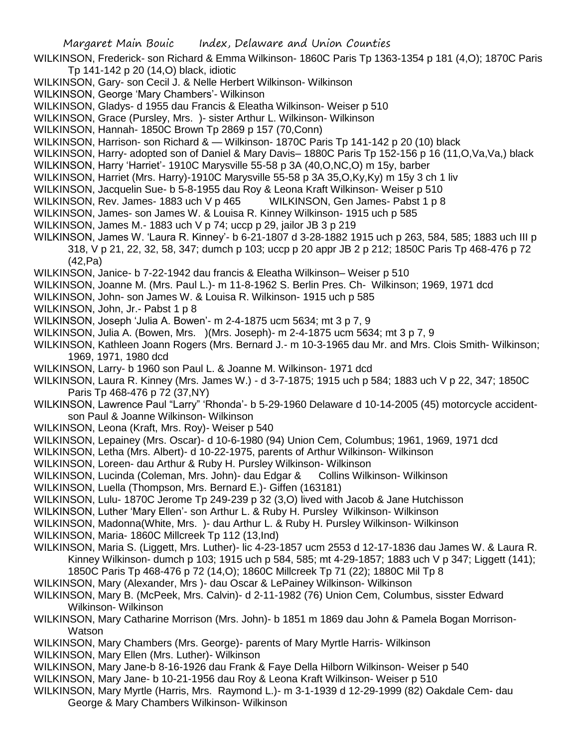- WILKINSON, Frederick- son Richard & Emma Wilkinson- 1860C Paris Tp 1363-1354 p 181 (4,O); 1870C Paris Tp 141-142 p 20 (14,O) black, idiotic
- WILKINSON, Gary- son Cecil J. & Nelle Herbert Wilkinson- Wilkinson
- WILKINSON, George 'Mary Chambers'- Wilkinson
- WILKINSON, Gladys- d 1955 dau Francis & Eleatha Wilkinson- Weiser p 510
- WILKINSON, Grace (Pursley, Mrs. )- sister Arthur L. Wilkinson- Wilkinson
- WILKINSON, Hannah- 1850C Brown Tp 2869 p 157 (70,Conn)
- WILKINSON, Harrison- son Richard & Wilkinson- 1870C Paris Tp 141-142 p 20 (10) black
- WILKINSON, Harry- adopted son of Daniel & Mary Davis– 1880C Paris Tp 152-156 p 16 (11,O,Va,Va,) black
- WILKINSON, Harry 'Harriet'- 1910C Marysville 55-58 p 3A (40,O,NC,O) m 15y, barber
- WILKINSON, Harriet (Mrs. Harry)-1910C Marysville 55-58 p 3A 35,O,Ky,Ky) m 15y 3 ch 1 liv
- WILKINSON, Jacquelin Sue- b 5-8-1955 dau Roy & Leona Kraft Wilkinson- Weiser p 510
- WILKINSON, Rev. James- 1883 uch V p 465 WILKINSON, Gen James- Pabst 1 p 8
- WILKINSON, James- son James W. & Louisa R. Kinney Wilkinson- 1915 uch p 585
- WILKINSON, James M.- 1883 uch V p 74; uccp p 29, jailor JB 3 p 219
- WILKINSON, James W. 'Laura R. Kinney'- b 6-21-1807 d 3-28-1882 1915 uch p 263, 584, 585; 1883 uch III p 318, V p 21, 22, 32, 58, 347; dumch p 103; uccp p 20 appr JB 2 p 212; 1850C Paris Tp 468-476 p 72 (42,Pa)
- WILKINSON, Janice- b 7-22-1942 dau francis & Eleatha Wilkinson– Weiser p 510
- WILKINSON, Joanne M. (Mrs. Paul L.)- m 11-8-1962 S. Berlin Pres. Ch- Wilkinson; 1969, 1971 dcd
- WILKINSON, John- son James W. & Louisa R. Wilkinson- 1915 uch p 585
- WILKINSON, John, Jr.- Pabst 1 p 8
- WILKINSON, Joseph 'Julia A. Bowen'- m 2-4-1875 ucm 5634; mt 3 p 7, 9
- WILKINSON, Julia A. (Bowen, Mrs. )(Mrs. Joseph)- m 2-4-1875 ucm 5634; mt 3 p 7, 9
- WILKINSON, Kathleen Joann Rogers (Mrs. Bernard J.- m 10-3-1965 dau Mr. and Mrs. Clois Smith- Wilkinson; 1969, 1971, 1980 dcd
- WILKINSON, Larry- b 1960 son Paul L. & Joanne M. Wilkinson- 1971 dcd
- WILKINSON, Laura R. Kinney (Mrs. James W.) d 3-7-1875; 1915 uch p 584; 1883 uch V p 22, 347; 1850C Paris Tp 468-476 p 72 (37,NY)
- WILKINSON, Lawrence Paul "Larry" 'Rhonda'- b 5-29-1960 Delaware d 10-14-2005 (45) motorcycle accidentson Paul & Joanne Wilkinson- Wilkinson
- WILKINSON, Leona (Kraft, Mrs. Roy)- Weiser p 540
- WILKINSON, Lepainey (Mrs. Oscar)- d 10-6-1980 (94) Union Cem, Columbus; 1961, 1969, 1971 dcd
- WILKINSON, Letha (Mrs. Albert)- d 10-22-1975, parents of Arthur Wilkinson- Wilkinson
- WILKINSON, Loreen- dau Arthur & Ruby H. Pursley Wilkinson- Wilkinson
- WILKINSON, Lucinda (Coleman, Mrs. John)- dau Edgar & Collins Wilkinson- Wilkinson
- WILKINSON, Luella (Thompson, Mrs. Bernard E.)- Giffen (163181)
- WILKINSON, Lulu- 1870C Jerome Tp 249-239 p 32 (3,O) lived with Jacob & Jane Hutchisson
- WILKINSON, Luther 'Mary Ellen'- son Arthur L. & Ruby H. Pursley Wilkinson- Wilkinson
- WILKINSON, Madonna(White, Mrs. )- dau Arthur L. & Ruby H. Pursley Wilkinson- Wilkinson
- WILKINSON, Maria- 1860C Millcreek Tp 112 (13,Ind)
- WILKINSON, Maria S. (Liggett, Mrs. Luther)- lic 4-23-1857 ucm 2553 d 12-17-1836 dau James W. & Laura R. Kinney Wilkinson- dumch p 103; 1915 uch p 584, 585; mt 4-29-1857; 1883 uch V p 347; Liggett (141); 1850C Paris Tp 468-476 p 72 (14,O); 1860C Millcreek Tp 71 (22); 1880C Mil Tp 8
- WILKINSON, Mary (Alexander, Mrs )- dau Oscar & LePainey Wilkinson- Wilkinson
- WILKINSON, Mary B. (McPeek, Mrs. Calvin)- d 2-11-1982 (76) Union Cem, Columbus, sisster Edward Wilkinson- Wilkinson
- WILKINSON, Mary Catharine Morrison (Mrs. John)- b 1851 m 1869 dau John & Pamela Bogan Morrison-Watson
- WILKINSON, Mary Chambers (Mrs. George)- parents of Mary Myrtle Harris- Wilkinson
- WILKINSON, Mary Ellen (Mrs. Luther)- Wilkinson
- WILKINSON, Mary Jane-b 8-16-1926 dau Frank & Faye Della Hilborn Wilkinson- Weiser p 540
- WILKINSON, Mary Jane- b 10-21-1956 dau Roy & Leona Kraft Wilkinson- Weiser p 510
- WILKINSON, Mary Myrtle (Harris, Mrs. Raymond L.)- m 3-1-1939 d 12-29-1999 (82) Oakdale Cem- dau George & Mary Chambers Wilkinson- Wilkinson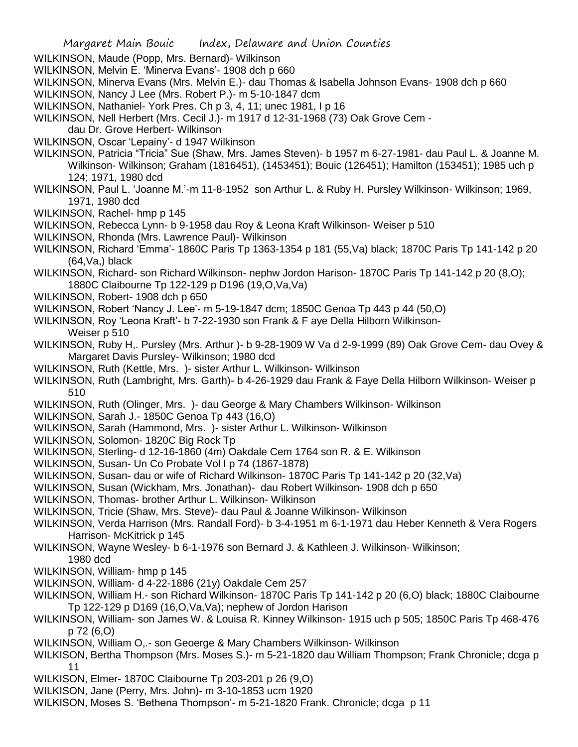WILKINSON, Maude (Popp, Mrs. Bernard)- Wilkinson

- WILKINSON, Melvin E. 'Minerva Evans'- 1908 dch p 660
- WILKINSON, Minerva Evans (Mrs. Melvin E.)- dau Thomas & Isabella Johnson Evans- 1908 dch p 660
- WILKINSON, Nancy J Lee (Mrs. Robert P.)- m 5-10-1847 dcm
- WILKINSON, Nathaniel- York Pres. Ch p 3, 4, 11; unec 1981, I p 16
- WILKINSON, Nell Herbert (Mrs. Cecil J.)- m 1917 d 12-31-1968 (73) Oak Grove Cem -
- dau Dr. Grove Herbert- Wilkinson
- WILKINSON, Oscar 'Lepainy'- d 1947 Wilkinson
- WILKINSON, Patricia "Tricia" Sue (Shaw, Mrs. James Steven)- b 1957 m 6-27-1981- dau Paul L. & Joanne M. Wilkinson- Wilkinson; Graham (1816451), (1453451); Bouic (126451); Hamilton (153451); 1985 uch p 124; 1971, 1980 dcd
- WILKINSON, Paul L. 'Joanne M.'-m 11-8-1952 son Arthur L. & Ruby H. Pursley Wilkinson- Wilkinson; 1969, 1971, 1980 dcd
- WILKINSON, Rachel- hmp p 145
- WILKINSON, Rebecca Lynn- b 9-1958 dau Roy & Leona Kraft Wilkinson- Weiser p 510
- WILKINSON, Rhonda (Mrs. Lawrence Paul)- Wilkinson
- WILKINSON, Richard 'Emma'- 1860C Paris Tp 1363-1354 p 181 (55,Va) black; 1870C Paris Tp 141-142 p 20 (64,Va,) black
- WILKINSON, Richard- son Richard Wilkinson- nephw Jordon Harison- 1870C Paris Tp 141-142 p 20 (8,O); 1880C Claibourne Tp 122-129 p D196 (19,O,Va,Va)
- WILKINSON, Robert- 1908 dch p 650
- WILKINSON, Robert 'Nancy J. Lee'- m 5-19-1847 dcm; 1850C Genoa Tp 443 p 44 (50,O)
- WILKINSON, Roy 'Leona Kraft'- b 7-22-1930 son Frank & F aye Della Hilborn Wilkinson-
	- Weiser p 510
- WILKINSON, Ruby H,. Pursley (Mrs. Arthur )- b 9-28-1909 W Va d 2-9-1999 (89) Oak Grove Cem- dau Ovey & Margaret Davis Pursley- Wilkinson; 1980 dcd
- WILKINSON, Ruth (Kettle, Mrs. )- sister Arthur L. Wilkinson- Wilkinson
- WILKINSON, Ruth (Lambright, Mrs. Garth)- b 4-26-1929 dau Frank & Faye Della Hilborn Wilkinson- Weiser p 510
- WILKINSON, Ruth (Olinger, Mrs. )- dau George & Mary Chambers Wilkinson- Wilkinson
- WILKINSON, Sarah J.- 1850C Genoa Tp 443 (16,O)
- WILKINSON, Sarah (Hammond, Mrs. )- sister Arthur L. Wilkinson- Wilkinson
- WILKINSON, Solomon- 1820C Big Rock Tp
- WILKINSON, Sterling- d 12-16-1860 (4m) Oakdale Cem 1764 son R. & E. Wilkinson
- WILKINSON, Susan- Un Co Probate Vol I p 74 (1867-1878)
- WILKINSON, Susan- dau or wife of Richard Wilkinson- 1870C Paris Tp 141-142 p 20 (32,Va)
- WILKINSON, Susan (Wickham, Mrs. Jonathan)- dau Robert Wilkinson- 1908 dch p 650
- WILKINSON, Thomas- brother Arthur L. Wilkinson- Wilkinson
- WILKINSON, Tricie (Shaw, Mrs. Steve)- dau Paul & Joanne Wilkinson- Wilkinson
- WILKINSON, Verda Harrison (Mrs. Randall Ford)- b 3-4-1951 m 6-1-1971 dau Heber Kenneth & Vera Rogers Harrison- McKitrick p 145
- WILKINSON, Wayne Wesley- b 6-1-1976 son Bernard J. & Kathleen J. Wilkinson- Wilkinson;
- 1980 dcd
- WILKINSON, William- hmp p 145 WILKINSON, William- d 4-22-1886 (21y) Oakdale Cem 257
- WILKINSON, William H.- son Richard Wilkinson- 1870C Paris Tp 141-142 p 20 (6,O) black; 1880C Claibourne Tp 122-129 p D169 (16,O,Va,Va); nephew of Jordon Harison
- WILKINSON, William- son James W. & Louisa R. Kinney Wilkinson- 1915 uch p 505; 1850C Paris Tp 468-476 p 72 (6,O)
- WILKINSON, William O,.- son Geoerge & Mary Chambers Wilkinson- Wilkinson
- WILKISON, Bertha Thompson (Mrs. Moses S.)- m 5-21-1820 dau William Thompson; Frank Chronicle; dcga p 11
- WILKISON, Elmer- 1870C Claibourne Tp 203-201 p 26 (9,O)
- WILKISON, Jane (Perry, Mrs. John)- m 3-10-1853 ucm 1920
- WILKISON, Moses S. 'Bethena Thompson'- m 5-21-1820 Frank. Chronicle; dcga p 11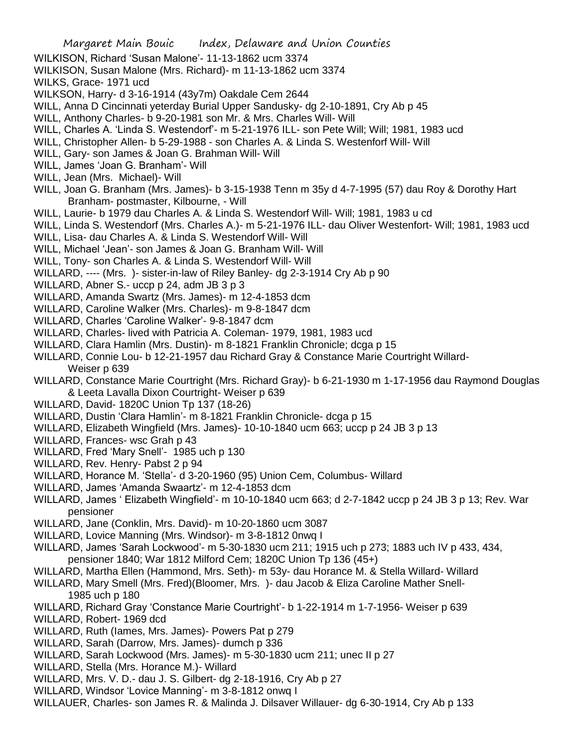WILKS, Grace- 1971 ucd

- WILKSON, Harry- d 3-16-1914 (43y7m) Oakdale Cem 2644
- WILL, Anna D Cincinnati yeterday Burial Upper Sandusky- dg 2-10-1891, Cry Ab p 45
- WILL, Anthony Charles- b 9-20-1981 son Mr. & Mrs. Charles Will- Will
- WILL, Charles A. 'Linda S. Westendorf'- m 5-21-1976 ILL- son Pete Will; Will; 1981, 1983 ucd
- WILL, Christopher Allen- b 5-29-1988 son Charles A. & Linda S. Westenforf Will- Will
- WILL, Gary- son James & Joan G. Brahman Will- Will
- WILL, James 'Joan G. Branham'- Will
- WILL, Jean (Mrs. Michael)- Will
- WILL, Joan G. Branham (Mrs. James)- b 3-15-1938 Tenn m 35y d 4-7-1995 (57) dau Roy & Dorothy Hart Branham- postmaster, Kilbourne, - Will
- WILL, Laurie- b 1979 dau Charles A. & Linda S. Westendorf Will- Will; 1981, 1983 u cd
- WILL, Linda S. Westendorf (Mrs. Charles A.)- m 5-21-1976 ILL- dau Oliver Westenfort- Will; 1981, 1983 ucd
- WILL, Lisa- dau Charles A. & Linda S. Westendorf Will- Will
- WILL, Michael 'Jean'- son James & Joan G. Branham Will- Will
- WILL, Tony- son Charles A. & Linda S. Westendorf Will- Will
- WILLARD, ---- (Mrs. )- sister-in-law of Riley Banley- dg 2-3-1914 Cry Ab p 90
- WILLARD, Abner S.- uccp p 24, adm JB 3 p 3
- WILLARD, Amanda Swartz (Mrs. James)- m 12-4-1853 dcm
- WILLARD, Caroline Walker (Mrs. Charles)- m 9-8-1847 dcm
- WILLARD, Charles 'Caroline Walker'- 9-8-1847 dcm
- WILLARD, Charles- lived with Patricia A. Coleman- 1979, 1981, 1983 ucd
- WILLARD, Clara Hamlin (Mrs. Dustin)- m 8-1821 Franklin Chronicle; dcga p 15
- WILLARD, Connie Lou- b 12-21-1957 dau Richard Gray & Constance Marie Courtright Willard-Weiser p 639
- WILLARD, Constance Marie Courtright (Mrs. Richard Gray)- b 6-21-1930 m 1-17-1956 dau Raymond Douglas & Leeta Lavalla Dixon Courtright- Weiser p 639
- WILLARD, David- 1820C Union Tp 137 (18-26)
- WILLARD, Dustin 'Clara Hamlin'- m 8-1821 Franklin Chronicle- dcga p 15
- WILLARD, Elizabeth Wingfield (Mrs. James)- 10-10-1840 ucm 663; uccp p 24 JB 3 p 13
- WILLARD, Frances- wsc Grah p 43
- WILLARD, Fred 'Mary Snell'- 1985 uch p 130
- WILLARD, Rev. Henry- Pabst 2 p 94
- WILLARD, Horance M. 'Stella'- d 3-20-1960 (95) Union Cem, Columbus- Willard
- WILLARD, James 'Amanda Swaartz'- m 12-4-1853 dcm
- WILLARD, James ' Elizabeth Wingfield'- m 10-10-1840 ucm 663; d 2-7-1842 uccp p 24 JB 3 p 13; Rev. War pensioner
- WILLARD, Jane (Conklin, Mrs. David)- m 10-20-1860 ucm 3087
- WILLARD, Lovice Manning (Mrs. Windsor)- m 3-8-1812 0nwq I
- WILLARD, James 'Sarah Lockwood'- m 5-30-1830 ucm 211; 1915 uch p 273; 1883 uch IV p 433, 434, pensioner 1840; War 1812 Milford Cem; 1820C Union Tp 136 (45+)
- WILLARD, Martha Ellen (Hammond, Mrs. Seth)- m 53y- dau Horance M. & Stella Willard- Willard
- WILLARD, Mary Smell (Mrs. Fred)(Bloomer, Mrs. )- dau Jacob & Eliza Caroline Mather Snell-1985 uch p 180
- WILLARD, Richard Gray 'Constance Marie Courtright'- b 1-22-1914 m 1-7-1956- Weiser p 639
- WILLARD, Robert- 1969 dcd
- WILLARD, Ruth (Iames, Mrs. James)- Powers Pat p 279
- WILLARD, Sarah (Darrow, Mrs. James)- dumch p 336
- WILLARD, Sarah Lockwood (Mrs. James)- m 5-30-1830 ucm 211; unec II p 27
- WILLARD, Stella (Mrs. Horance M.)- Willard
- WILLARD, Mrs. V. D.- dau J. S. Gilbert- dg 2-18-1916, Cry Ab p 27
- WILLARD, Windsor 'Lovice Manning'- m 3-8-1812 onwq I
- WILLAUER, Charles- son James R. & Malinda J. Dilsaver Willauer- dg 6-30-1914, Cry Ab p 133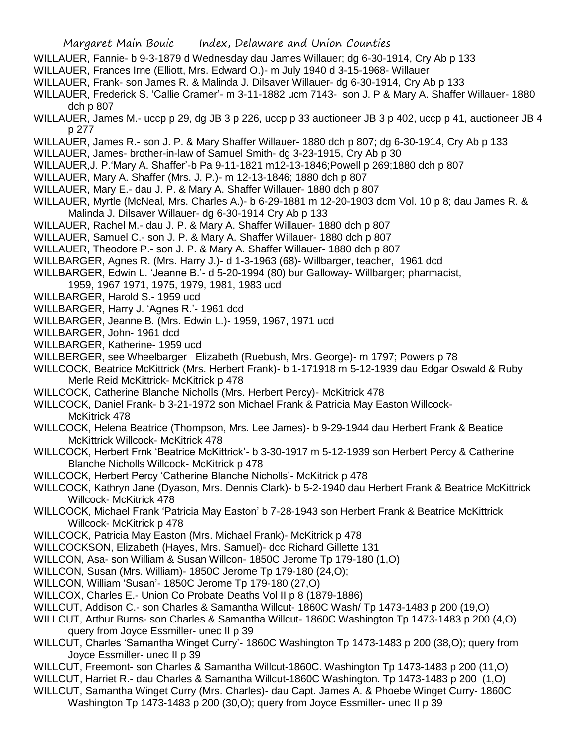- WILLAUER, Fannie- b 9-3-1879 d Wednesday dau James Willauer; dg 6-30-1914, Cry Ab p 133
- WILLAUER, Frances Irne (Elliott, Mrs. Edward O.)- m July 1940 d 3-15-1968- Willauer
- WILLAUER, Frank- son James R. & Malinda J. Dilsaver Willauer- dg 6-30-1914, Cry Ab p 133
- WILLAUER, Frederick S. 'Callie Cramer'- m 3-11-1882 ucm 7143- son J. P & Mary A. Shaffer Willauer- 1880 dch p 807
- WILLAUER, James M.- uccp p 29, dg JB 3 p 226, uccp p 33 auctioneer JB 3 p 402, uccp p 41, auctioneer JB 4 p 277
- WILLAUER, James R.- son J. P. & Mary Shaffer Willauer- 1880 dch p 807; dg 6-30-1914, Cry Ab p 133
- WILLAUER, James- brother-in-law of Samuel Smith- dg 3-23-1915, Cry Ab p 30
- WILLAUER,J. P.'Mary A. Shaffer'-b Pa 9-11-1821 m12-13-1846;Powell p 269;1880 dch p 807
- WILLAUER, Mary A. Shaffer (Mrs. J. P.)- m 12-13-1846; 1880 dch p 807
- WILLAUER, Mary E.- dau J. P. & Mary A. Shaffer Willauer- 1880 dch p 807
- WILLAUER, Myrtle (McNeal, Mrs. Charles A.)- b 6-29-1881 m 12-20-1903 dcm Vol. 10 p 8; dau James R. & Malinda J. Dilsaver Willauer- dg 6-30-1914 Cry Ab p 133
- WILLAUER, Rachel M.- dau J. P. & Mary A. Shaffer Willauer- 1880 dch p 807
- WILLAUER, Samuel C.- son J. P. & Mary A. Shaffer Willauer- 1880 dch p 807
- WILLAUER, Theodore P.- son J. P. & Mary A. Shaffer Willauer- 1880 dch p 807
- WILLBARGER, Agnes R. (Mrs. Harry J.)- d 1-3-1963 (68)- Willbarger, teacher, 1961 dcd
- WILLBARGER, Edwin L. 'Jeanne B.'- d 5-20-1994 (80) bur Galloway- Willbarger; pharmacist,
	- 1959, 1967 1971, 1975, 1979, 1981, 1983 ucd
- WILLBARGER, Harold S.- 1959 ucd
- WILLBARGER, Harry J. 'Agnes R.'- 1961 dcd
- WILLBARGER, Jeanne B. (Mrs. Edwin L.)- 1959, 1967, 1971 ucd
- WILLBARGER, John- 1961 dcd
- WILLBARGER, Katherine- 1959 ucd
- WILLBERGER, see Wheelbarger Elizabeth (Ruebush, Mrs. George)- m 1797; Powers p 78
- WILLCOCK, Beatrice McKittrick (Mrs. Herbert Frank)- b 1-171918 m 5-12-1939 dau Edgar Oswald & Ruby Merle Reid McKittrick- McKitrick p 478
- WILLCOCK, Catherine Blanche Nicholls (Mrs. Herbert Percy)- McKitrick 478
- WILLCOCK, Daniel Frank- b 3-21-1972 son Michael Frank & Patricia May Easton Willcock-McKitrick 478
- WILLCOCK, Helena Beatrice (Thompson, Mrs. Lee James)- b 9-29-1944 dau Herbert Frank & Beatice McKittrick Willcock- McKitrick 478
- WILLCOCK, Herbert Frnk 'Beatrice McKittrick'- b 3-30-1917 m 5-12-1939 son Herbert Percy & Catherine Blanche Nicholls Willcock- McKitrick p 478
- WILLCOCK, Herbert Percy 'Catherine Blanche Nicholls'- McKitrick p 478
- WILLCOCK, Kathryn Jane (Dyason, Mrs. Dennis Clark)- b 5-2-1940 dau Herbert Frank & Beatrice McKittrick Willcock- McKitrick 478
- WILLCOCK, Michael Frank 'Patricia May Easton' b 7-28-1943 son Herbert Frank & Beatrice McKittrick Willcock- McKitrick p 478
- WILLCOCK, Patricia May Easton (Mrs. Michael Frank)- McKitrick p 478
- WILLCOCKSON, Elizabeth (Hayes, Mrs. Samuel)- dcc Richard Gillette 131
- WILLCON, Asa- son William & Susan Willcon- 1850C Jerome Tp 179-180 (1,O)
- WILLCON, Susan (Mrs. William)- 1850C Jerome Tp 179-180 (24,O);
- WILLCON, William 'Susan'- 1850C Jerome Tp 179-180 (27,O)
- WILLCOX, Charles E.- Union Co Probate Deaths Vol II p 8 (1879-1886)
- WILLCUT, Addison C.- son Charles & Samantha Willcut- 1860C Wash/ Tp 1473-1483 p 200 (19,O)
- WILLCUT, Arthur Burns- son Charles & Samantha Willcut- 1860C Washington Tp 1473-1483 p 200 (4,O) query from Joyce Essmiller- unec II p 39
- WILLCUT, Charles 'Samantha Winget Curry'- 1860C Washington Tp 1473-1483 p 200 (38,O); query from Joyce Essmiller- unec II p 39
- WILLCUT, Freemont- son Charles & Samantha Willcut-1860C. Washington Tp 1473-1483 p 200 (11,O)
- WILLCUT, Harriet R.- dau Charles & Samantha Willcut-1860C Washington. Tp 1473-1483 p 200 (1,O)
- WILLCUT, Samantha Winget Curry (Mrs. Charles)- dau Capt. James A. & Phoebe Winget Curry- 1860C Washington Tp 1473-1483 p 200 (30,O); query from Joyce Essmiller- unec II p 39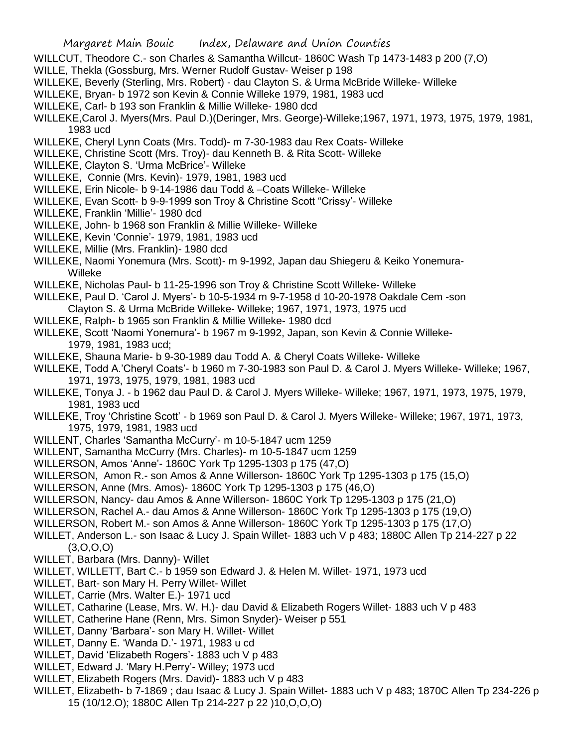- WILLCUT, Theodore C.- son Charles & Samantha Willcut- 1860C Wash Tp 1473-1483 p 200 (7,O)
- WILLE, Thekla (Gossburg, Mrs. Werner Rudolf Gustav- Weiser p 198
- WILLEKE, Beverly (Sterling, Mrs. Robert) dau Clayton S. & Urma McBride Willeke- Willeke
- WILLEKE, Bryan- b 1972 son Kevin & Connie Willeke 1979, 1981, 1983 ucd
- WILLEKE, Carl- b 193 son Franklin & Millie Willeke- 1980 dcd
- WILLEKE,Carol J. Myers(Mrs. Paul D.)(Deringer, Mrs. George)-Willeke;1967, 1971, 1973, 1975, 1979, 1981, 1983 ucd
- WILLEKE, Cheryl Lynn Coats (Mrs. Todd)- m 7-30-1983 dau Rex Coats- Willeke
- WILLEKE, Christine Scott (Mrs. Troy)- dau Kenneth B. & Rita Scott- Willeke
- WILLEKE, Clayton S. 'Urma McBrice'- Willeke
- WILLEKE, Connie (Mrs. Kevin)- 1979, 1981, 1983 ucd
- WILLEKE, Erin Nicole- b 9-14-1986 dau Todd & –Coats Willeke- Willeke
- WILLEKE, Evan Scott- b 9-9-1999 son Troy & Christine Scott "Crissy'- Willeke
- WILLEKE, Franklin 'Millie'- 1980 dcd
- WILLEKE, John- b 1968 son Franklin & Millie Willeke- Willeke
- WILLEKE, Kevin 'Connie'- 1979, 1981, 1983 ucd
- WILLEKE, Millie (Mrs. Franklin)- 1980 dcd
- WILLEKE, Naomi Yonemura (Mrs. Scott)- m 9-1992, Japan dau Shiegeru & Keiko Yonemura- Willeke
- WILLEKE, Nicholas Paul- b 11-25-1996 son Troy & Christine Scott Willeke- Willeke
- WILLEKE, Paul D. 'Carol J. Myers'- b 10-5-1934 m 9-7-1958 d 10-20-1978 Oakdale Cem -son
- Clayton S. & Urma McBride Willeke- Willeke; 1967, 1971, 1973, 1975 ucd
- WILLEKE, Ralph- b 1965 son Franklin & Millie Willeke- 1980 dcd
- WILLEKE, Scott 'Naomi Yonemura'- b 1967 m 9-1992, Japan, son Kevin & Connie Willeke-1979, 1981, 1983 ucd;
- WILLEKE, Shauna Marie- b 9-30-1989 dau Todd A. & Cheryl Coats Willeke- Willeke
- WILLEKE, Todd A.'Cheryl Coats'- b 1960 m 7-30-1983 son Paul D. & Carol J. Myers Willeke- Willeke; 1967, 1971, 1973, 1975, 1979, 1981, 1983 ucd
- WILLEKE, Tonya J. b 1962 dau Paul D. & Carol J. Myers Willeke- Willeke; 1967, 1971, 1973, 1975, 1979, 1981, 1983 ucd
- WILLEKE, Troy 'Christine Scott' b 1969 son Paul D. & Carol J. Myers Willeke- Willeke; 1967, 1971, 1973, 1975, 1979, 1981, 1983 ucd
- WILLENT, Charles 'Samantha McCurry'- m 10-5-1847 ucm 1259
- WILLENT, Samantha McCurry (Mrs. Charles)- m 10-5-1847 ucm 1259
- WILLERSON, Amos 'Anne'- 1860C York Tp 1295-1303 p 175 (47,O)
- WILLERSON, Amon R.- son Amos & Anne Willerson- 1860C York Tp 1295-1303 p 175 (15,O)
- WILLERSON, Anne (Mrs. Amos)- 1860C York Tp 1295-1303 p 175 (46,O)
- WILLERSON, Nancy- dau Amos & Anne Willerson- 1860C York Tp 1295-1303 p 175 (21,O)
- WILLERSON, Rachel A.- dau Amos & Anne Willerson- 1860C York Tp 1295-1303 p 175 (19,O)
- WILLERSON, Robert M.- son Amos & Anne Willerson- 1860C York Tp 1295-1303 p 175 (17,O)
- WILLET, Anderson L.- son Isaac & Lucy J. Spain Willet- 1883 uch V p 483; 1880C Allen Tp 214-227 p 22  $(3,0,0,0)$
- WILLET, Barbara (Mrs. Danny)- Willet
- WILLET, WILLETT, Bart C.- b 1959 son Edward J. & Helen M. Willet- 1971, 1973 ucd
- WILLET, Bart- son Mary H. Perry Willet- Willet
- WILLET, Carrie (Mrs. Walter E.)- 1971 ucd
- WILLET, Catharine (Lease, Mrs. W. H.)- dau David & Elizabeth Rogers Willet- 1883 uch V p 483
- WILLET, Catherine Hane (Renn, Mrs. Simon Snyder)- Weiser p 551
- WILLET, Danny 'Barbara'- son Mary H. Willet- Willet
- WILLET, Danny E. 'Wanda D.'- 1971, 1983 u cd
- WILLET, David 'Elizabeth Rogers'- 1883 uch V p 483
- WILLET, Edward J. 'Mary H.Perry'- Willey; 1973 ucd
- WILLET, Elizabeth Rogers (Mrs. David)- 1883 uch V p 483
- WILLET, Elizabeth- b 7-1869 ; dau Isaac & Lucy J. Spain Willet- 1883 uch V p 483; 1870C Allen Tp 234-226 p 15 (10/12.O); 1880C Allen Tp 214-227 p 22 )10,O,O,O)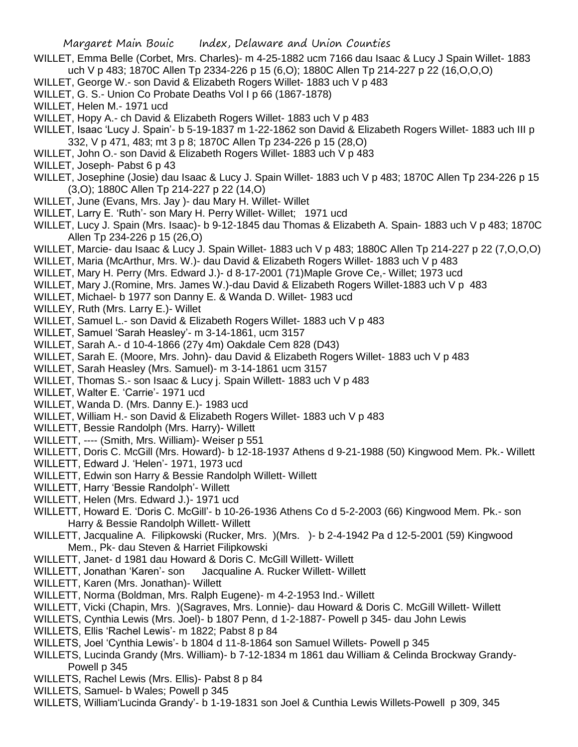- WILLET, Emma Belle (Corbet, Mrs. Charles)- m 4-25-1882 ucm 7166 dau Isaac & Lucy J Spain Willet- 1883 uch V p 483; 1870C Allen Tp 2334-226 p 15 (6,O); 1880C Allen Tp 214-227 p 22 (16,O,O,O)
- WILLET, George W.- son David & Elizabeth Rogers Willet- 1883 uch V p 483
- WILLET, G. S.- Union Co Probate Deaths Vol I p 66 (1867-1878)
- WILLET, Helen M.- 1971 ucd
- WILLET, Hopy A.- ch David & Elizabeth Rogers Willet- 1883 uch V p 483
- WILLET, Isaac 'Lucy J. Spain'- b 5-19-1837 m 1-22-1862 son David & Elizabeth Rogers Willet- 1883 uch III p 332, V p 471, 483; mt 3 p 8; 1870C Allen Tp 234-226 p 15 (28,O)
- WILLET, John O.- son David & Elizabeth Rogers Willet- 1883 uch V p 483
- WILLET, Joseph- Pabst 6 p 43
- WILLET, Josephine (Josie) dau Isaac & Lucy J. Spain Willet- 1883 uch V p 483; 1870C Allen Tp 234-226 p 15 (3,O); 1880C Allen Tp 214-227 p 22 (14,O)
- WILLET, June (Evans, Mrs. Jay )- dau Mary H. Willet- Willet
- WILLET, Larry E. 'Ruth'- son Mary H. Perry Willet- Willet; 1971 ucd
- WILLET, Lucy J. Spain (Mrs. Isaac)- b 9-12-1845 dau Thomas & Elizabeth A. Spain- 1883 uch V p 483; 1870C Allen Tp 234-226 p 15 (26,O)
- WILLET, Marcie- dau Isaac & Lucy J. Spain Willet- 1883 uch V p 483; 1880C Allen Tp 214-227 p 22 (7,O,O,O)
- WILLET, Maria (McArthur, Mrs. W.)- dau David & Elizabeth Rogers Willet- 1883 uch V p 483
- WILLET, Mary H. Perry (Mrs. Edward J.)- d 8-17-2001 (71)Maple Grove Ce,- Willet; 1973 ucd
- WILLET, Mary J.(Romine, Mrs. James W.)-dau David & Elizabeth Rogers Willet-1883 uch V p 483
- WILLET, Michael- b 1977 son Danny E. & Wanda D. Willet- 1983 ucd
- WILLEY, Ruth (Mrs. Larry E.)- Willet
- WILLET, Samuel L.- son David & Elizabeth Rogers Willet- 1883 uch V p 483
- WILLET, Samuel 'Sarah Heasley'- m 3-14-1861, ucm 3157
- WILLET, Sarah A.- d 10-4-1866 (27y 4m) Oakdale Cem 828 (D43)
- WILLET, Sarah E. (Moore, Mrs. John)- dau David & Elizabeth Rogers Willet- 1883 uch V p 483
- WILLET, Sarah Heasley (Mrs. Samuel)- m 3-14-1861 ucm 3157
- WILLET, Thomas S.- son Isaac & Lucy j. Spain Willett- 1883 uch V p 483
- WILLET, Walter E. 'Carrie'- 1971 ucd
- WILLET, Wanda D. (Mrs. Danny E.)- 1983 ucd
- WILLET, William H.- son David & Elizabeth Rogers Willet- 1883 uch V p 483
- WILLETT, Bessie Randolph (Mrs. Harry)- Willett
- WILLETT, ---- (Smith, Mrs. William)- Weiser p 551
- WILLETT, Doris C. McGill (Mrs. Howard)- b 12-18-1937 Athens d 9-21-1988 (50) Kingwood Mem. Pk.- Willett
- WILLETT, Edward J. 'Helen'- 1971, 1973 ucd
- WILLETT, Edwin son Harry & Bessie Randolph Willett- Willett
- WILLETT, Harry 'Bessie Randolph'- Willett
- WILLETT, Helen (Mrs. Edward J.)- 1971 ucd
- WILLETT, Howard E. 'Doris C. McGill'- b 10-26-1936 Athens Co d 5-2-2003 (66) Kingwood Mem. Pk.- son Harry & Bessie Randolph Willett- Willett
- WILLETT, Jacqualine A. Filipkowski (Rucker, Mrs. )(Mrs. )- b 2-4-1942 Pa d 12-5-2001 (59) Kingwood Mem., Pk- dau Steven & Harriet Filipkowski
- WILLETT, Janet- d 1981 dau Howard & Doris C. McGill Willett- Willett
- WILLETT, Jonathan 'Karen'- son Jacqualine A. Rucker Willett- Willett
- WILLETT, Karen (Mrs. Jonathan)- Willett
- WILLETT, Norma (Boldman, Mrs. Ralph Eugene)- m 4-2-1953 Ind.- Willett
- WILLETT, Vicki (Chapin, Mrs. )(Sagraves, Mrs. Lonnie)- dau Howard & Doris C. McGill Willett- Willett
- WILLETS, Cynthia Lewis (Mrs. Joel)- b 1807 Penn, d 1-2-1887- Powell p 345- dau John Lewis
- WILLETS, Ellis 'Rachel Lewis'- m 1822; Pabst 8 p 84
- WILLETS, Joel 'Cynthia Lewis'- b 1804 d 11-8-1864 son Samuel Willets- Powell p 345
- WILLETS, Lucinda Grandy (Mrs. William)- b 7-12-1834 m 1861 dau William & Celinda Brockway Grandy-Powell p 345
- WILLETS, Rachel Lewis (Mrs. Ellis)- Pabst 8 p 84
- WILLETS, Samuel- b Wales; Powell p 345
- WILLETS, William'Lucinda Grandy'- b 1-19-1831 son Joel & Cunthia Lewis Willets-Powell p 309, 345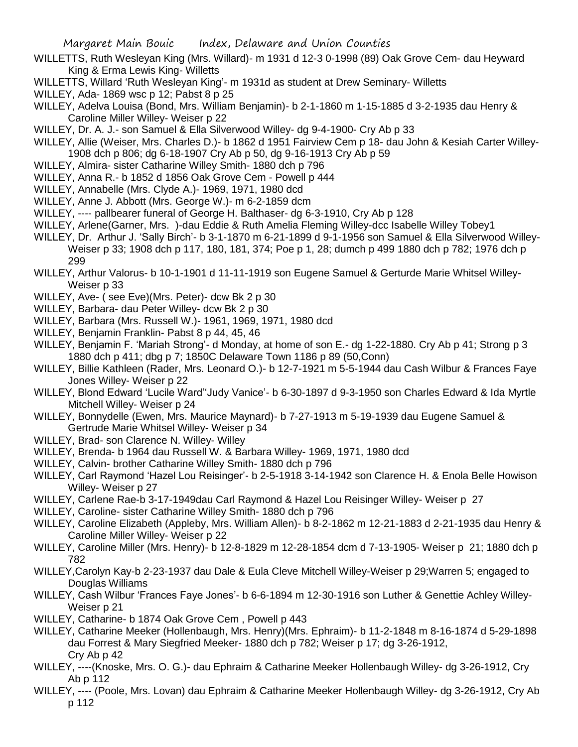- WILLETTS, Ruth Wesleyan King (Mrs. Willard)- m 1931 d 12-3 0-1998 (89) Oak Grove Cem- dau Heyward King & Erma Lewis King- Willetts
- WILLETTS, Willard 'Ruth Wesleyan King'- m 1931d as student at Drew Seminary- Willetts
- WILLEY, Ada- 1869 wsc p 12; Pabst 8 p 25
- WILLEY, Adelva Louisa (Bond, Mrs. William Benjamin)- b 2-1-1860 m 1-15-1885 d 3-2-1935 dau Henry & Caroline Miller Willey- Weiser p 22
- WILLEY, Dr. A. J.- son Samuel & Ella Silverwood Willey- dg 9-4-1900- Cry Ab p 33
- WILLEY, Allie (Weiser, Mrs. Charles D.)- b 1862 d 1951 Fairview Cem p 18- dau John & Kesiah Carter Willey-1908 dch p 806; dg 6-18-1907 Cry Ab p 50, dg 9-16-1913 Cry Ab p 59
- WILLEY, Almira- sister Catharine Willey Smith- 1880 dch p 796
- WILLEY, Anna R.- b 1852 d 1856 Oak Grove Cem Powell p 444
- WILLEY, Annabelle (Mrs. Clyde A.)- 1969, 1971, 1980 dcd
- WILLEY, Anne J. Abbott (Mrs. George W.)- m 6-2-1859 dcm
- WILLEY, ---- pallbearer funeral of George H. Balthaser- dg 6-3-1910, Cry Ab p 128
- WILLEY, Arlene(Garner, Mrs. )-dau Eddie & Ruth Amelia Fleming Willey-dcc Isabelle Willey Tobey1
- WILLEY, Dr. Arthur J. 'Sally Birch'- b 3-1-1870 m 6-21-1899 d 9-1-1956 son Samuel & Ella Silverwood Willey-Weiser p 33; 1908 dch p 117, 180, 181, 374; Poe p 1, 28; dumch p 499 1880 dch p 782; 1976 dch p 299
- WILLEY, Arthur Valorus- b 10-1-1901 d 11-11-1919 son Eugene Samuel & Gerturde Marie Whitsel Willey-Weiser p 33
- WILLEY, Ave- ( see Eve)(Mrs. Peter)- dcw Bk 2 p 30
- WILLEY, Barbara- dau Peter Willey- dcw Bk 2 p 30
- WILLEY, Barbara (Mrs. Russell W.)- 1961, 1969, 1971, 1980 dcd
- WILLEY, Benjamin Franklin- Pabst 8 p 44, 45, 46
- WILLEY, Benjamin F. 'Mariah Strong'- d Monday, at home of son E.- dg 1-22-1880. Cry Ab p 41; Strong p 3 1880 dch p 411; dbg p 7; 1850C Delaware Town 1186 p 89 (50,Conn)
- WILLEY, Billie Kathleen (Rader, Mrs. Leonard O.)- b 12-7-1921 m 5-5-1944 dau Cash Wilbur & Frances Faye Jones Willey- Weiser p 22
- WILLEY, Blond Edward 'Lucile Ward''Judy Vanice'- b 6-30-1897 d 9-3-1950 son Charles Edward & Ida Myrtle Mitchell Willey- Weiser p 24
- WILLEY, Bonnydelle (Ewen, Mrs. Maurice Maynard)- b 7-27-1913 m 5-19-1939 dau Eugene Samuel & Gertrude Marie Whitsel Willey- Weiser p 34
- WILLEY, Brad- son Clarence N. Willey- Willey
- WILLEY, Brenda- b 1964 dau Russell W. & Barbara Willey- 1969, 1971, 1980 dcd
- WILLEY, Calvin- brother Catharine Willey Smith- 1880 dch p 796
- WILLEY, Carl Raymond 'Hazel Lou Reisinger'- b 2-5-1918 3-14-1942 son Clarence H. & Enola Belle Howison Willey- Weiser p 27
- WILLEY, Carlene Rae-b 3-17-1949dau Carl Raymond & Hazel Lou Reisinger Willey- Weiser p 27
- WILLEY, Caroline- sister Catharine Willey Smith- 1880 dch p 796
- WILLEY, Caroline Elizabeth (Appleby, Mrs. William Allen)- b 8-2-1862 m 12-21-1883 d 2-21-1935 dau Henry & Caroline Miller Willey- Weiser p 22
- WILLEY, Caroline Miller (Mrs. Henry)- b 12-8-1829 m 12-28-1854 dcm d 7-13-1905- Weiser p 21; 1880 dch p 782
- WILLEY,Carolyn Kay-b 2-23-1937 dau Dale & Eula Cleve Mitchell Willey-Weiser p 29;Warren 5; engaged to Douglas Williams
- WILLEY, Cash Wilbur 'Frances Faye Jones'- b 6-6-1894 m 12-30-1916 son Luther & Genettie Achley Willey-Weiser p 21
- WILLEY, Catharine- b 1874 Oak Grove Cem , Powell p 443
- WILLEY, Catharine Meeker (Hollenbaugh, Mrs. Henry)(Mrs. Ephraim)- b 11-2-1848 m 8-16-1874 d 5-29-1898 dau Forrest & Mary Siegfried Meeker- 1880 dch p 782; Weiser p 17; dg 3-26-1912, Cry Ab p 42
- WILLEY, ----(Knoske, Mrs. O. G.)- dau Ephraim & Catharine Meeker Hollenbaugh Willey- dg 3-26-1912, Cry Ab p 112
- WILLEY, ---- (Poole, Mrs. Lovan) dau Ephraim & Catharine Meeker Hollenbaugh Willey- dg 3-26-1912, Cry Ab p 112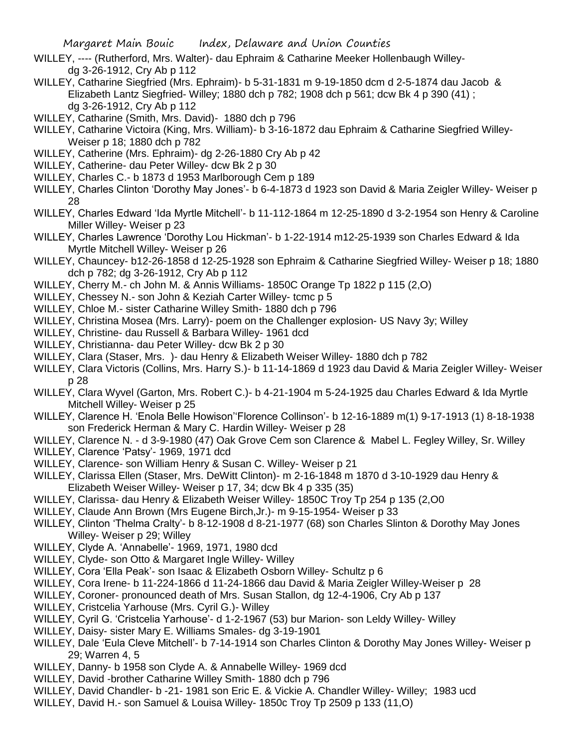Margaret Main Bouic Index, Delaware and Union Counties

- WILLEY, ---- (Rutherford, Mrs. Walter)- dau Ephraim & Catharine Meeker Hollenbaugh Willeydg 3-26-1912, Cry Ab p 112
- WILLEY, Catharine Siegfried (Mrs. Ephraim)- b 5-31-1831 m 9-19-1850 dcm d 2-5-1874 dau Jacob & Elizabeth Lantz Siegfried- Willey; 1880 dch p 782; 1908 dch p 561; dcw Bk 4 p 390 (41) ; dg 3-26-1912, Cry Ab p 112
- WILLEY, Catharine (Smith, Mrs. David)- 1880 dch p 796
- WILLEY, Catharine Victoira (King, Mrs. William)- b 3-16-1872 dau Ephraim & Catharine Siegfried Willey-Weiser p 18; 1880 dch p 782
- WILLEY, Catherine (Mrs. Ephraim)- dg 2-26-1880 Cry Ab p 42
- WILLEY, Catherine- dau Peter Willey- dcw Bk 2 p 30
- WILLEY, Charles C.- b 1873 d 1953 Marlborough Cem p 189
- WILLEY, Charles Clinton 'Dorothy May Jones'- b 6-4-1873 d 1923 son David & Maria Zeigler Willey- Weiser p 28
- WILLEY, Charles Edward 'Ida Myrtle Mitchell'- b 11-112-1864 m 12-25-1890 d 3-2-1954 son Henry & Caroline Miller Willey- Weiser p 23
- WILLEY, Charles Lawrence 'Dorothy Lou Hickman'- b 1-22-1914 m12-25-1939 son Charles Edward & Ida Myrtle Mitchell Willey- Weiser p 26
- WILLEY, Chauncey- b12-26-1858 d 12-25-1928 son Ephraim & Catharine Siegfried Willey- Weiser p 18; 1880 dch p 782; dg 3-26-1912, Cry Ab p 112
- WILLEY, Cherry M.- ch John M. & Annis Williams- 1850C Orange Tp 1822 p 115 (2,O)
- WILLEY, Chessey N.- son John & Keziah Carter Willey- tcmc p 5
- WILLEY, Chloe M.- sister Catharine Willey Smith- 1880 dch p 796
- WILLEY, Christina Mosea (Mrs. Larry)- poem on the Challenger explosion- US Navy 3y; Willey
- WILLEY, Christine- dau Russell & Barbara Willey- 1961 dcd
- WILLEY, Christianna- dau Peter Willey- dcw Bk 2 p 30
- WILLEY, Clara (Staser, Mrs. )- dau Henry & Elizabeth Weiser Willey- 1880 dch p 782
- WILLEY, Clara Victoris (Collins, Mrs. Harry S.)- b 11-14-1869 d 1923 dau David & Maria Zeigler Willey- Weiser p 28
- WILLEY, Clara Wyvel (Garton, Mrs. Robert C.)- b 4-21-1904 m 5-24-1925 dau Charles Edward & Ida Myrtle Mitchell Willey- Weiser p 25
- WILLEY, Clarence H. 'Enola Belle Howison''Florence Collinson'- b 12-16-1889 m(1) 9-17-1913 (1) 8-18-1938 son Frederick Herman & Mary C. Hardin Willey- Weiser p 28
- WILLEY, Clarence N. d 3-9-1980 (47) Oak Grove Cem son Clarence & Mabel L. Fegley Willey, Sr. Willey
- WILLEY, Clarence 'Patsy'- 1969, 1971 dcd
- WILLEY, Clarence- son William Henry & Susan C. Willey- Weiser p 21
- WILLEY, Clarissa Ellen (Staser, Mrs. DeWitt Clinton)- m 2-16-1848 m 1870 d 3-10-1929 dau Henry & Elizabeth Weiser Willey- Weiser p 17, 34; dcw Bk 4 p 335 (35)
- WILLEY, Clarissa- dau Henry & Elizabeth Weiser Willey- 1850C Troy Tp 254 p 135 (2,O0
- WILLEY, Claude Ann Brown (Mrs Eugene Birch,Jr.)- m 9-15-1954- Weiser p 33
- WILLEY, Clinton 'Thelma Cralty'- b 8-12-1908 d 8-21-1977 (68) son Charles Slinton & Dorothy May Jones Willey- Weiser p 29; Willey
- WILLEY, Clyde A. 'Annabelle'- 1969, 1971, 1980 dcd
- WILLEY, Clyde- son Otto & Margaret Ingle Willey- Willey
- WILLEY, Cora 'Ella Peak'- son Isaac & Elizabeth Osborn Willey- Schultz p 6
- WILLEY, Cora Irene- b 11-224-1866 d 11-24-1866 dau David & Maria Zeigler Willey-Weiser p 28
- WILLEY, Coroner- pronounced death of Mrs. Susan Stallon, dg 12-4-1906, Cry Ab p 137
- WILLEY, Cristcelia Yarhouse (Mrs. Cyril G.)- Willey
- WILLEY, Cyril G. 'Cristcelia Yarhouse'- d 1-2-1967 (53) bur Marion- son Leldy Willey- Willey
- WILLEY, Daisy- sister Mary E. Williams Smales- dg 3-19-1901
- WILLEY, Dale 'Eula Cleve Mitchell'- b 7-14-1914 son Charles Clinton & Dorothy May Jones Willey- Weiser p 29; Warren 4, 5
- WILLEY, Danny- b 1958 son Clyde A. & Annabelle Willey- 1969 dcd
- WILLEY, David -brother Catharine Willey Smith- 1880 dch p 796
- WILLEY, David Chandler- b -21- 1981 son Eric E. & Vickie A. Chandler Willey- Willey; 1983 ucd
- WILLEY, David H.- son Samuel & Louisa Willey- 1850c Troy Tp 2509 p 133 (11,O)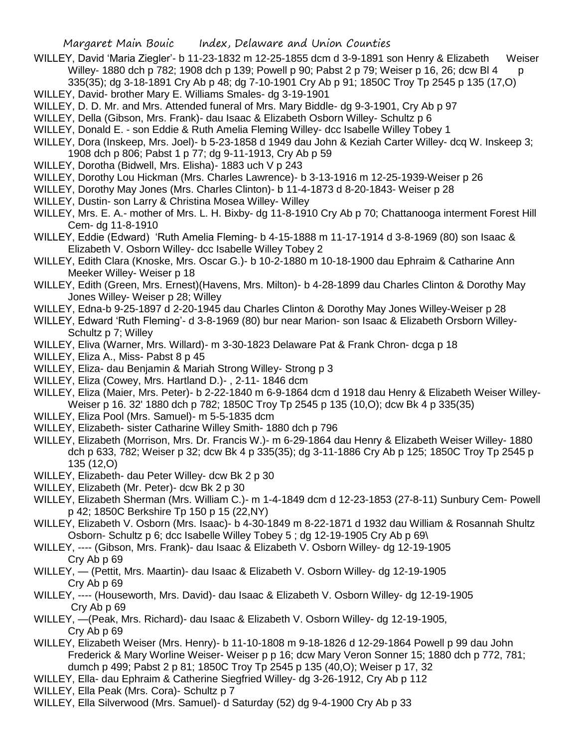Margaret Main Bouic Index, Delaware and Union Counties

- WILLEY, David 'Maria Ziegler'- b 11-23-1832 m 12-25-1855 dcm d 3-9-1891 son Henry & Elizabeth Weiser Willey- 1880 dch p 782; 1908 dch p 139; Powell p 90; Pabst 2 p 79; Weiser p 16, 26; dcw Bl 4 p 335(35); dg 3-18-1891 Cry Ab p 48; dg 7-10-1901 Cry Ab p 91; 1850C Troy Tp 2545 p 135 (17,O)
- WILLEY, David- brother Mary E. Williams Smales- dg 3-19-1901
- WILLEY, D. D. Mr. and Mrs. Attended funeral of Mrs. Mary Biddle- dg 9-3-1901, Cry Ab p 97
- WILLEY, Della (Gibson, Mrs. Frank)- dau Isaac & Elizabeth Osborn Willey- Schultz p 6
- WILLEY, Donald E. son Eddie & Ruth Amelia Fleming Willey- dcc Isabelle Willey Tobey 1
- WILLEY, Dora (Inskeep, Mrs. Joel)- b 5-23-1858 d 1949 dau John & Keziah Carter Willey- dcq W. Inskeep 3; 1908 dch p 806; Pabst 1 p 77; dg 9-11-1913, Cry Ab p 59
- WILLEY, Dorotha (Bidwell, Mrs. Elisha)- 1883 uch V p 243
- WILLEY, Dorothy Lou Hickman (Mrs. Charles Lawrence)- b 3-13-1916 m 12-25-1939-Weiser p 26
- WILLEY, Dorothy May Jones (Mrs. Charles Clinton)- b 11-4-1873 d 8-20-1843- Weiser p 28
- WILLEY, Dustin- son Larry & Christina Mosea Willey- Willey
- WILLEY, Mrs. E. A.- mother of Mrs. L. H. Bixby- dg 11-8-1910 Cry Ab p 70; Chattanooga interment Forest Hill Cem- dg 11-8-1910
- WILLEY, Eddie (Edward) 'Ruth Amelia Fleming- b 4-15-1888 m 11-17-1914 d 3-8-1969 (80) son Isaac & Elizabeth V. Osborn Willey- dcc Isabelle Willey Tobey 2
- WILLEY, Edith Clara (Knoske, Mrs. Oscar G.)- b 10-2-1880 m 10-18-1900 dau Ephraim & Catharine Ann Meeker Willey- Weiser p 18
- WILLEY, Edith (Green, Mrs. Ernest)(Havens, Mrs. Milton)- b 4-28-1899 dau Charles Clinton & Dorothy May Jones Willey- Weiser p 28; Willey
- WILLEY, Edna-b 9-25-1897 d 2-20-1945 dau Charles Clinton & Dorothy May Jones Willey-Weiser p 28
- WILLEY, Edward 'Ruth Fleming'- d 3-8-1969 (80) bur near Marion- son Isaac & Elizabeth Orsborn Willey-Schultz p 7; Willey
- WILLEY, Eliva (Warner, Mrs. Willard)- m 3-30-1823 Delaware Pat & Frank Chron- dcga p 18
- WILLEY, Eliza A., Miss- Pabst 8 p 45
- WILLEY, Eliza- dau Benjamin & Mariah Strong Willey- Strong p 3
- WILLEY, Eliza (Cowey, Mrs. Hartland D.)- , 2-11- 1846 dcm
- WILLEY, Eliza (Maier, Mrs. Peter)- b 2-22-1840 m 6-9-1864 dcm d 1918 dau Henry & Elizabeth Weiser Willey-Weiser p 16. 32' 1880 dch p 782; 1850C Troy Tp 2545 p 135 (10,O); dcw Bk 4 p 335(35)
- WILLEY, Eliza Pool (Mrs. Samuel)- m 5-5-1835 dcm
- WILLEY, Elizabeth- sister Catharine Willey Smith- 1880 dch p 796
- WILLEY, Elizabeth (Morrison, Mrs. Dr. Francis W.)- m 6-29-1864 dau Henry & Elizabeth Weiser Willey- 1880 dch p 633, 782; Weiser p 32; dcw Bk 4 p 335(35); dg 3-11-1886 Cry Ab p 125; 1850C Troy Tp 2545 p 135 (12,O)
- WILLEY, Elizabeth- dau Peter Willey- dcw Bk 2 p 30
- WILLEY, Elizabeth (Mr. Peter)- dcw Bk 2 p 30
- WILLEY, Elizabeth Sherman (Mrs. William C.)- m 1-4-1849 dcm d 12-23-1853 (27-8-11) Sunbury Cem- Powell p 42; 1850C Berkshire Tp 150 p 15 (22,NY)
- WILLEY, Elizabeth V. Osborn (Mrs. Isaac)- b 4-30-1849 m 8-22-1871 d 1932 dau William & Rosannah Shultz Osborn- Schultz p 6; dcc Isabelle Willey Tobey 5 ; dg 12-19-1905 Cry Ab p 69\
- WILLEY, ---- (Gibson, Mrs. Frank)- dau Isaac & Elizabeth V. Osborn Willey- dg 12-19-1905 Cry Ab p 69
- WILLEY, (Pettit, Mrs. Maartin)- dau Isaac & Elizabeth V. Osborn Willey- dg 12-19-1905 Cry Ab p 69
- WILLEY, ---- (Houseworth, Mrs. David)- dau Isaac & Elizabeth V. Osborn Willey- dg 12-19-1905 Cry Ab p 69
- WILLEY, —(Peak, Mrs. Richard)- dau Isaac & Elizabeth V. Osborn Willey- dg 12-19-1905, Cry Ab p 69
- WILLEY, Elizabeth Weiser (Mrs. Henry)- b 11-10-1808 m 9-18-1826 d 12-29-1864 Powell p 99 dau John Frederick & Mary Worline Weiser- Weiser p p 16; dcw Mary Veron Sonner 15; 1880 dch p 772, 781; dumch p 499; Pabst 2 p 81; 1850C Troy Tp 2545 p 135 (40,O); Weiser p 17, 32
- WILLEY, Ella- dau Ephraim & Catherine Siegfried Willey- dg 3-26-1912, Cry Ab p 112
- WILLEY, Ella Peak (Mrs. Cora)- Schultz p 7
- WILLEY, Ella Silverwood (Mrs. Samuel)- d Saturday (52) dg 9-4-1900 Cry Ab p 33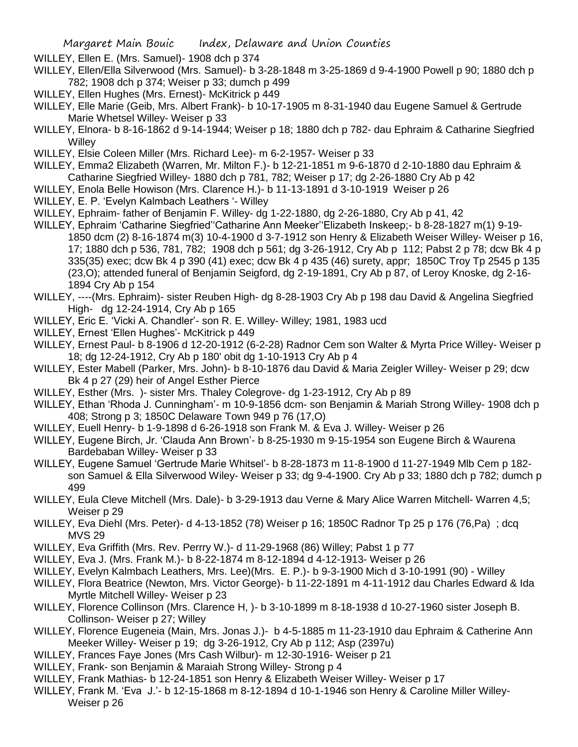WILLEY, Ellen E. (Mrs. Samuel)- 1908 dch p 374

- WILLEY, Ellen/Ella Silverwood (Mrs. Samuel)- b 3-28-1848 m 3-25-1869 d 9-4-1900 Powell p 90; 1880 dch p 782; 1908 dch p 374; Weiser p 33; dumch p 499
- WILLEY, Ellen Hughes (Mrs. Ernest)- McKitrick p 449
- WILLEY, Elle Marie (Geib, Mrs. Albert Frank)- b 10-17-1905 m 8-31-1940 dau Eugene Samuel & Gertrude Marie Whetsel Willey- Weiser p 33
- WILLEY, Elnora- b 8-16-1862 d 9-14-1944; Weiser p 18; 1880 dch p 782- dau Ephraim & Catharine Siegfried **Willey**
- WILLEY, Elsie Coleen Miller (Mrs. Richard Lee)- m 6-2-1957- Weiser p 33
- WILLEY, Emma2 Elizabeth (Warren, Mr. Milton F.)- b 12-21-1851 m 9-6-1870 d 2-10-1880 dau Ephraim & Catharine Siegfried Willey- 1880 dch p 781, 782; Weiser p 17; dg 2-26-1880 Cry Ab p 42
- WILLEY, Enola Belle Howison (Mrs. Clarence H.)- b 11-13-1891 d 3-10-1919 Weiser p 26
- WILLEY, E. P. 'Evelyn Kalmbach Leathers '- Willey
- WILLEY, Ephraim- father of Benjamin F. Willey- dg 1-22-1880, dg 2-26-1880, Cry Ab p 41, 42
- WILLEY, Ephraim 'Catharine Siegfried''Catharine Ann Meeker''Elizabeth Inskeep;- b 8-28-1827 m(1) 9-19- 1850 dcm (2) 8-16-1874 m(3) 10-4-1900 d 3-7-1912 son Henry & Elizabeth Weiser Willey- Weiser p 16, 17; 1880 dch p 536, 781, 782; 1908 dch p 561; dg 3-26-1912, Cry Ab p 112; Pabst 2 p 78; dcw Bk 4 p 335(35) exec; dcw Bk 4 p 390 (41) exec; dcw Bk 4 p 435 (46) surety, appr; 1850C Troy Tp 2545 p 135 (23,O); attended funeral of Benjamin Seigford, dg 2-19-1891, Cry Ab p 87, of Leroy Knoske, dg 2-16- 1894 Cry Ab p 154
- WILLEY, ----(Mrs. Ephraim)- sister Reuben High- dg 8-28-1903 Cry Ab p 198 dau David & Angelina Siegfried High- dg 12-24-1914, Cry Ab p 165
- WILLEY, Eric E. 'Vicki A. Chandler'- son R. E. Willey- Willey; 1981, 1983 ucd
- WILLEY, Ernest 'Ellen Hughes'- McKitrick p 449
- WILLEY, Ernest Paul- b 8-1906 d 12-20-1912 (6-2-28) Radnor Cem son Walter & Myrta Price Willey- Weiser p 18; dg 12-24-1912, Cry Ab p 180' obit dg 1-10-1913 Cry Ab p 4
- WILLEY, Ester Mabell (Parker, Mrs. John)- b 8-10-1876 dau David & Maria Zeigler Willey- Weiser p 29; dcw Bk 4 p 27 (29) heir of Angel Esther Pierce
- WILLEY, Esther (Mrs. )- sister Mrs. Thaley Colegrove- dg 1-23-1912, Cry Ab p 89
- WILLEY, Ethan 'Rhoda J. Cunningham'- m 10-9-1856 dcm- son Benjamin & Mariah Strong Willey- 1908 dch p 408; Strong p 3; 1850C Delaware Town 949 p 76 (17,O)
- WILLEY, Euell Henry- b 1-9-1898 d 6-26-1918 son Frank M. & Eva J. Willey- Weiser p 26
- WILLEY, Eugene Birch, Jr. 'Clauda Ann Brown'- b 8-25-1930 m 9-15-1954 son Eugene Birch & Waurena Bardebaban Willey- Weiser p 33
- WILLEY, Eugene Samuel 'Gertrude Marie Whitsel'- b 8-28-1873 m 11-8-1900 d 11-27-1949 Mlb Cem p 182 son Samuel & Ella Silverwood Wiley- Weiser p 33; dg 9-4-1900. Cry Ab p 33; 1880 dch p 782; dumch p 499
- WILLEY, Eula Cleve Mitchell (Mrs. Dale)- b 3-29-1913 dau Verne & Mary Alice Warren Mitchell- Warren 4,5; Weiser p 29
- WILLEY, Eva Diehl (Mrs. Peter)- d 4-13-1852 (78) Weiser p 16; 1850C Radnor Tp 25 p 176 (76,Pa) ; dcq MVS 29
- WILLEY, Eva Griffith (Mrs. Rev. Perrry W.)- d 11-29-1968 (86) Willey; Pabst 1 p 77
- WILLEY, Eva J. (Mrs. Frank M.)- b 8-22-1874 m 8-12-1894 d 4-12-1913- Weiser p 26
- WILLEY, Evelyn Kalmbach Leathers, Mrs. Lee)(Mrs. E. P.)- b 9-3-1900 Mich d 3-10-1991 (90) Willey
- WILLEY, Flora Beatrice (Newton, Mrs. Victor George)- b 11-22-1891 m 4-11-1912 dau Charles Edward & Ida Myrtle Mitchell Willey- Weiser p 23
- WILLEY, Florence Collinson (Mrs. Clarence H, )- b 3-10-1899 m 8-18-1938 d 10-27-1960 sister Joseph B. Collinson- Weiser p 27; Willey
- WILLEY, Florence Eugeneia (Main, Mrs. Jonas J.)- b 4-5-1885 m 11-23-1910 dau Ephraim & Catherine Ann Meeker Willey- Weiser p 19; dg 3-26-1912, Cry Ab p 112; Asp (2397u)
- WILLEY, Frances Faye Jones (Mrs Cash Wilbur)- m 12-30-1916- Weiser p 21
- WILLEY, Frank- son Benjamin & Maraiah Strong Willey- Strong p 4
- WILLEY, Frank Mathias- b 12-24-1851 son Henry & Elizabeth Weiser Willey- Weiser p 17
- WILLEY, Frank M. 'Eva J.'- b 12-15-1868 m 8-12-1894 d 10-1-1946 son Henry & Caroline Miller Willey-Weiser p 26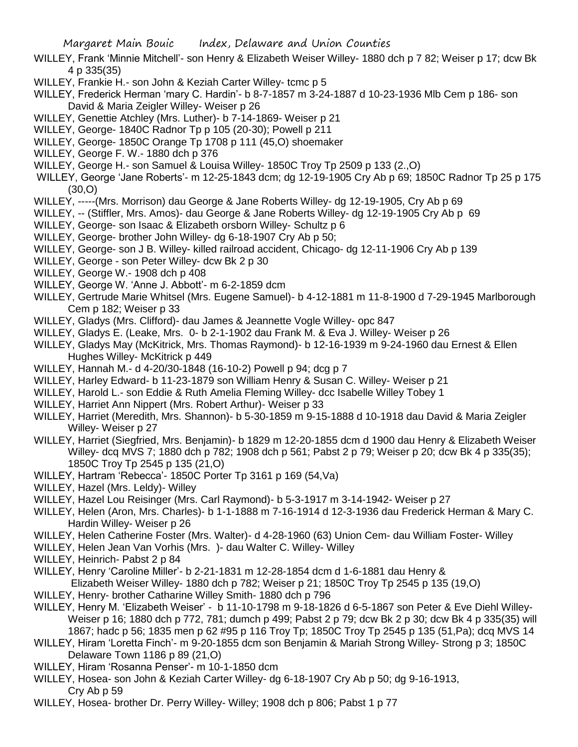- WILLEY, Frank 'Minnie Mitchell'- son Henry & Elizabeth Weiser Willey- 1880 dch p 7 82; Weiser p 17; dcw Bk 4 p 335(35)
- WILLEY, Frankie H.- son John & Keziah Carter Willey- tcmc p 5
- WILLEY, Frederick Herman 'mary C. Hardin'- b 8-7-1857 m 3-24-1887 d 10-23-1936 Mlb Cem p 186- son David & Maria Zeigler Willey- Weiser p 26
- WILLEY, Genettie Atchley (Mrs. Luther)- b 7-14-1869- Weiser p 21
- WILLEY, George- 1840C Radnor Tp p 105 (20-30); Powell p 211
- WILLEY, George- 1850C Orange Tp 1708 p 111 (45,O) shoemaker
- WILLEY, George F. W.- 1880 dch p 376
- WILLEY, George H.- son Samuel & Louisa Willey- 1850C Troy Tp 2509 p 133 (2.,O)
- WILLEY, George 'Jane Roberts'- m 12-25-1843 dcm; dg 12-19-1905 Cry Ab p 69; 1850C Radnor Tp 25 p 175 (30,O)
- WILLEY, -----(Mrs. Morrison) dau George & Jane Roberts Willey- dg 12-19-1905, Cry Ab p 69
- WILLEY, -- (Stiffler, Mrs. Amos)- dau George & Jane Roberts Willey- dg 12-19-1905 Cry Ab p 69
- WILLEY, George- son Isaac & Elizabeth orsborn Willey- Schultz p 6
- WILLEY, George- brother John Willey- dg 6-18-1907 Cry Ab p 50;
- WILLEY, George- son J B. Willey- killed railroad accident, Chicago- dg 12-11-1906 Cry Ab p 139
- WILLEY, George son Peter Willey- dcw Bk 2 p 30
- WILLEY, George W.- 1908 dch p 408
- WILLEY, George W. 'Anne J. Abbott'- m 6-2-1859 dcm
- WILLEY, Gertrude Marie Whitsel (Mrs. Eugene Samuel)- b 4-12-1881 m 11-8-1900 d 7-29-1945 Marlborough Cem p 182; Weiser p 33
- WILLEY, Gladys (Mrs. Clifford)- dau James & Jeannette Vogle Willey- opc 847
- WILLEY, Gladys E. (Leake, Mrs. 0- b 2-1-1902 dau Frank M. & Eva J. Willey- Weiser p 26
- WILLEY, Gladys May (McKitrick, Mrs. Thomas Raymond)- b 12-16-1939 m 9-24-1960 dau Ernest & Ellen Hughes Willey- McKitrick p 449
- WILLEY, Hannah M.- d 4-20/30-1848 (16-10-2) Powell p 94; dcg p 7
- WILLEY, Harley Edward- b 11-23-1879 son William Henry & Susan C. Willey- Weiser p 21
- WILLEY, Harold L.- son Eddie & Ruth Amelia Fleming Willey- dcc Isabelle Willey Tobey 1
- WILLEY, Harriet Ann Nippert (Mrs. Robert Arthur)- Weiser p 33
- WILLEY, Harriet (Meredith, Mrs. Shannon)- b 5-30-1859 m 9-15-1888 d 10-1918 dau David & Maria Zeigler Willey- Weiser p 27
- WILLEY, Harriet (Siegfried, Mrs. Benjamin)- b 1829 m 12-20-1855 dcm d 1900 dau Henry & Elizabeth Weiser Willey- dcq MVS 7; 1880 dch p 782; 1908 dch p 561; Pabst 2 p 79; Weiser p 20; dcw Bk 4 p 335(35); 1850C Troy Tp 2545 p 135 (21,O)
- WILLEY, Hartram 'Rebecca'- 1850C Porter Tp 3161 p 169 (54,Va)
- WILLEY, Hazel (Mrs. Leldy)- Willey
- WILLEY, Hazel Lou Reisinger (Mrs. Carl Raymond)- b 5-3-1917 m 3-14-1942- Weiser p 27
- WILLEY, Helen (Aron, Mrs. Charles)- b 1-1-1888 m 7-16-1914 d 12-3-1936 dau Frederick Herman & Mary C. Hardin Willey- Weiser p 26
- WILLEY, Helen Catherine Foster (Mrs. Walter)- d 4-28-1960 (63) Union Cem- dau William Foster- Willey
- WILLEY, Helen Jean Van Vorhis (Mrs. )- dau Walter C. Willey- Willey
- WILLEY, Heinrich- Pabst 2 p 84
- WILLEY, Henry 'Caroline Miller'- b 2-21-1831 m 12-28-1854 dcm d 1-6-1881 dau Henry &
	- Elizabeth Weiser Willey- 1880 dch p 782; Weiser p 21; 1850C Troy Tp 2545 p 135 (19,O)
- WILLEY, Henry- brother Catharine Willey Smith- 1880 dch p 796
- WILLEY, Henry M. 'Elizabeth Weiser' b 11-10-1798 m 9-18-1826 d 6-5-1867 son Peter & Eve Diehl Willey-Weiser p 16; 1880 dch p 772, 781; dumch p 499; Pabst 2 p 79; dcw Bk 2 p 30; dcw Bk 4 p 335(35) will 1867; hadc p 56; 1835 men p 62 #95 p 116 Troy Tp; 1850C Troy Tp 2545 p 135 (51,Pa); dcq MVS 14
- WILLEY, Hiram 'Loretta Finch'- m 9-20-1855 dcm son Benjamin & Mariah Strong Willey- Strong p 3; 1850C Delaware Town 1186 p 89 (21,O)
- WILLEY, Hiram 'Rosanna Penser'- m 10-1-1850 dcm
- WILLEY, Hosea- son John & Keziah Carter Willey- dg 6-18-1907 Cry Ab p 50; dg 9-16-1913, Cry Ab p 59
- WILLEY, Hosea- brother Dr. Perry Willey- Willey; 1908 dch p 806; Pabst 1 p 77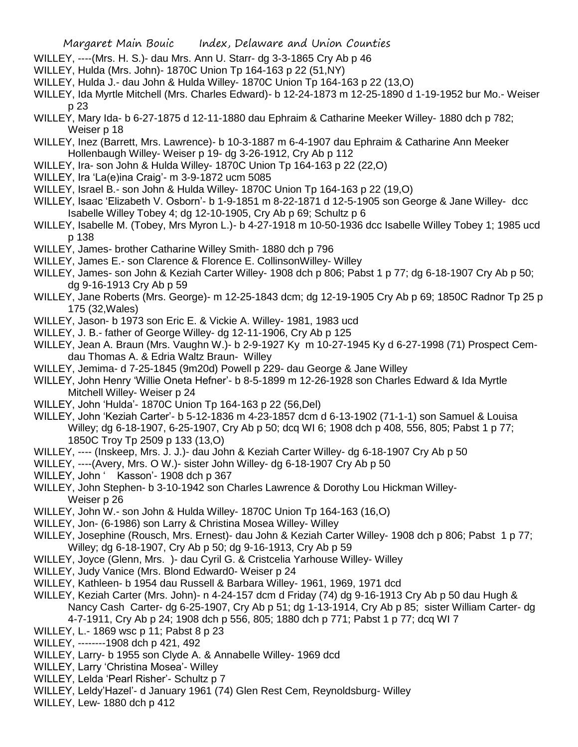- WILLEY, ----(Mrs. H. S.)- dau Mrs. Ann U. Starr- dg 3-3-1865 Cry Ab p 46
- WILLEY, Hulda (Mrs. John)- 1870C Union Tp 164-163 p 22 (51,NY)
- WILLEY, Hulda J.- dau John & Hulda Willey- 1870C Union Tp 164-163 p 22 (13,O)
- WILLEY, Ida Myrtle Mitchell (Mrs. Charles Edward)- b 12-24-1873 m 12-25-1890 d 1-19-1952 bur Mo.- Weiser p 23
- WILLEY, Mary Ida- b 6-27-1875 d 12-11-1880 dau Ephraim & Catharine Meeker Willey- 1880 dch p 782; Weiser p 18
- WILLEY, Inez (Barrett, Mrs. Lawrence)- b 10-3-1887 m 6-4-1907 dau Ephraim & Catharine Ann Meeker Hollenbaugh Willey- Weiser p 19- dg 3-26-1912, Cry Ab p 112
- WILLEY, Ira- son John & Hulda Willey- 1870C Union Tp 164-163 p 22 (22,O)
- WILLEY, Ira 'La(e)ina Craig'- m 3-9-1872 ucm 5085
- WILLEY, Israel B.- son John & Hulda Willey- 1870C Union Tp 164-163 p 22 (19,O)
- WILLEY, Isaac 'Elizabeth V. Osborn'- b 1-9-1851 m 8-22-1871 d 12-5-1905 son George & Jane Willey- dcc Isabelle Willey Tobey 4; dg 12-10-1905, Cry Ab p 69; Schultz p 6
- WILLEY, Isabelle M. (Tobey, Mrs Myron L.)- b 4-27-1918 m 10-50-1936 dcc Isabelle Willey Tobey 1; 1985 ucd p 138
- WILLEY, James- brother Catharine Willey Smith- 1880 dch p 796
- WILLEY, James E.- son Clarence & Florence E. CollinsonWilley- Willey
- WILLEY, James- son John & Keziah Carter Willey- 1908 dch p 806; Pabst 1 p 77; dg 6-18-1907 Cry Ab p 50; dg 9-16-1913 Cry Ab p 59
- WILLEY, Jane Roberts (Mrs. George)- m 12-25-1843 dcm; dg 12-19-1905 Cry Ab p 69; 1850C Radnor Tp 25 p 175 (32,Wales)
- WILLEY, Jason- b 1973 son Eric E. & Vickie A. Willey- 1981, 1983 ucd
- WILLEY, J. B.- father of George Willey- dg 12-11-1906, Cry Ab p 125
- WILLEY, Jean A. Braun (Mrs. Vaughn W.)- b 2-9-1927 Ky m 10-27-1945 Ky d 6-27-1998 (71) Prospect Cemdau Thomas A. & Edria Waltz Braun- Willey
- WILLEY, Jemima- d 7-25-1845 (9m20d) Powell p 229- dau George & Jane Willey
- WILLEY, John Henry 'Willie Oneta Hefner'- b 8-5-1899 m 12-26-1928 son Charles Edward & Ida Myrtle Mitchell Willey- Weiser p 24
- WILLEY, John 'Hulda'- 1870C Union Tp 164-163 p 22 (56,Del)
- WILLEY, John 'Keziah Carter'- b 5-12-1836 m 4-23-1857 dcm d 6-13-1902 (71-1-1) son Samuel & Louisa Willey; dg 6-18-1907, 6-25-1907, Cry Ab p 50; dcq WI 6; 1908 dch p 408, 556, 805; Pabst 1 p 77; 1850C Troy Tp 2509 p 133 (13,O)
- WILLEY, ---- (Inskeep, Mrs. J. J.)- dau John & Keziah Carter Willey- dg 6-18-1907 Cry Ab p 50
- WILLEY, ----(Avery, Mrs. O W.)- sister John Willey- dg 6-18-1907 Cry Ab p 50
- WILLEY, John ' Kasson'- 1908 dch p 367
- WILLEY, John Stephen- b 3-10-1942 son Charles Lawrence & Dorothy Lou Hickman Willey-Weiser p 26
- WILLEY, John W.- son John & Hulda Willey- 1870C Union Tp 164-163 (16,O)
- WILLEY, Jon- (6-1986) son Larry & Christina Mosea Willey- Willey
- WILLEY, Josephine (Rousch, Mrs. Ernest)- dau John & Keziah Carter Willey- 1908 dch p 806; Pabst 1 p 77; Willey; dg 6-18-1907, Cry Ab p 50; dg 9-16-1913, Cry Ab p 59
- WILLEY, Joyce (Glenn, Mrs. )- dau Cyril G. & Cristcelia Yarhouse Willey- Willey
- WILLEY, Judy Vanice (Mrs. Blond Edward0- Weiser p 24
- WILLEY, Kathleen- b 1954 dau Russell & Barbara Willey- 1961, 1969, 1971 dcd
- WILLEY, Keziah Carter (Mrs. John)- n 4-24-157 dcm d Friday (74) dg 9-16-1913 Cry Ab p 50 dau Hugh & Nancy Cash Carter- dg 6-25-1907, Cry Ab p 51; dg 1-13-1914, Cry Ab p 85; sister William Carter- dg 4-7-1911, Cry Ab p 24; 1908 dch p 556, 805; 1880 dch p 771; Pabst 1 p 77; dcq WI 7
- WILLEY, L.- 1869 wsc p 11; Pabst 8 p 23
- WILLEY, --------1908 dch p 421, 492
- WILLEY, Larry- b 1955 son Clyde A. & Annabelle Willey- 1969 dcd
- WILLEY, Larry 'Christina Mosea'- Willey
- WILLEY, Lelda 'Pearl Risher'- Schultz p 7
- WILLEY, Leldy'Hazel'- d January 1961 (74) Glen Rest Cem, Reynoldsburg- Willey
- WILLEY, Lew- 1880 dch p 412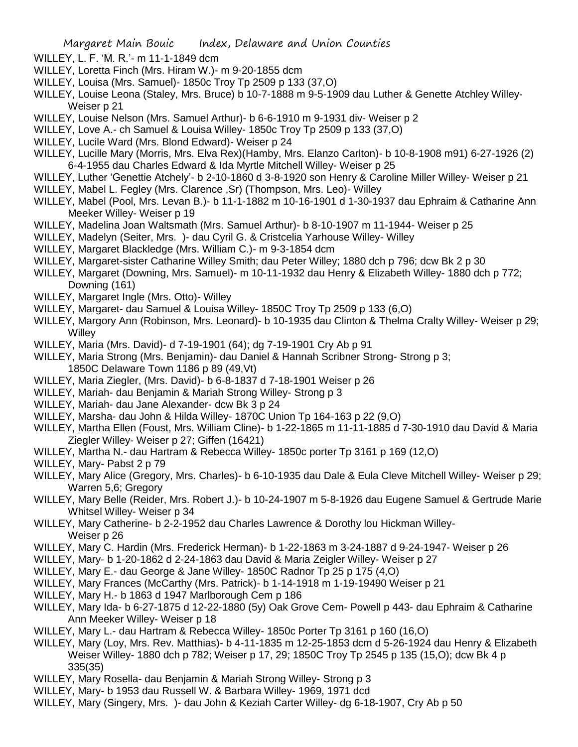- WILLEY, L. F. 'M. R.'- m 11-1-1849 dcm
- WILLEY, Loretta Finch (Mrs. Hiram W.)- m 9-20-1855 dcm
- WILLEY, Louisa (Mrs. Samuel)- 1850c Troy Tp 2509 p 133 (37,O)
- WILLEY, Louise Leona (Staley, Mrs. Bruce) b 10-7-1888 m 9-5-1909 dau Luther & Genette Atchley Willey-Weiser p 21
- WILLEY, Louise Nelson (Mrs. Samuel Arthur)- b 6-6-1910 m 9-1931 div- Weiser p 2
- WILLEY, Love A.- ch Samuel & Louisa Willey- 1850c Troy Tp 2509 p 133 (37,O)
- WILLEY, Lucile Ward (Mrs. Blond Edward)- Weiser p 24
- WILLEY, Lucille Mary (Morris, Mrs. Elva Rex)(Hamby, Mrs. Elanzo Carlton)- b 10-8-1908 m91) 6-27-1926 (2) 6-4-1955 dau Charles Edward & Ida Myrtle Mitchell Willey- Weiser p 25
- WILLEY, Luther 'Genettie Atchely'- b 2-10-1860 d 3-8-1920 son Henry & Caroline Miller Willey- Weiser p 21
- WILLEY, Mabel L. Fegley (Mrs. Clarence ,Sr) (Thompson, Mrs. Leo)- Willey
- WILLEY, Mabel (Pool, Mrs. Levan B.)- b 11-1-1882 m 10-16-1901 d 1-30-1937 dau Ephraim & Catharine Ann Meeker Willey- Weiser p 19
- WILLEY, Madelina Joan Waltsmath (Mrs. Samuel Arthur)- b 8-10-1907 m 11-1944- Weiser p 25
- WILLEY, Madelyn (Seiter, Mrs. )- dau Cyril G. & Cristcelia Yarhouse Willey- Willey
- WILLEY, Margaret Blackledge (Mrs. William C.)- m 9-3-1854 dcm
- WILLEY, Margaret-sister Catharine Willey Smith; dau Peter Willey; 1880 dch p 796; dcw Bk 2 p 30
- WILLEY, Margaret (Downing, Mrs. Samuel)- m 10-11-1932 dau Henry & Elizabeth Willey- 1880 dch p 772; Downing (161)
- WILLEY, Margaret Ingle (Mrs. Otto)- Willey
- WILLEY, Margaret- dau Samuel & Louisa Willey- 1850C Troy Tp 2509 p 133 (6,O)
- WILLEY, Margory Ann (Robinson, Mrs. Leonard)- b 10-1935 dau Clinton & Thelma Cralty Willey- Weiser p 29; **Willey**
- WILLEY, Maria (Mrs. David)- d 7-19-1901 (64); dg 7-19-1901 Cry Ab p 91
- WILLEY, Maria Strong (Mrs. Benjamin)- dau Daniel & Hannah Scribner Strong- Strong p 3; 1850C Delaware Town 1186 p 89 (49,Vt)
- WILLEY, Maria Ziegler, (Mrs. David)- b 6-8-1837 d 7-18-1901 Weiser p 26
- WILLEY, Mariah- dau Benjamin & Mariah Strong Willey- Strong p 3
- WILLEY, Mariah- dau Jane Alexander- dcw Bk 3 p 24
- WILLEY, Marsha- dau John & Hilda Willey- 1870C Union Tp 164-163 p 22 (9,O)
- WILLEY, Martha Ellen (Foust, Mrs. William Cline)- b 1-22-1865 m 11-11-1885 d 7-30-1910 dau David & Maria Ziegler Willey- Weiser p 27; Giffen (16421)
- WILLEY, Martha N.- dau Hartram & Rebecca Willey- 1850c porter Tp 3161 p 169 (12,O)
- WILLEY, Mary- Pabst 2 p 79
- WILLEY, Mary Alice (Gregory, Mrs. Charles)- b 6-10-1935 dau Dale & Eula Cleve Mitchell Willey- Weiser p 29; Warren 5,6; Gregory
- WILLEY, Mary Belle (Reider, Mrs. Robert J.)- b 10-24-1907 m 5-8-1926 dau Eugene Samuel & Gertrude Marie Whitsel Willey- Weiser p 34
- WILLEY, Mary Catherine- b 2-2-1952 dau Charles Lawrence & Dorothy lou Hickman Willey-Weiser p 26
- WILLEY, Mary C. Hardin (Mrs. Frederick Herman)- b 1-22-1863 m 3-24-1887 d 9-24-1947- Weiser p 26
- WILLEY, Mary- b 1-20-1862 d 2-24-1863 dau David & Maria Zeigler Willey- Weiser p 27
- WILLEY, Mary E.- dau George & Jane Willey- 1850C Radnor Tp 25 p 175 (4,O)
- WILLEY, Mary Frances (McCarthy (Mrs. Patrick)- b 1-14-1918 m 1-19-19490 Weiser p 21
- WILLEY, Mary H.- b 1863 d 1947 Marlborough Cem p 186
- WILLEY, Mary Ida- b 6-27-1875 d 12-22-1880 (5y) Oak Grove Cem- Powell p 443- dau Ephraim & Catharine Ann Meeker Willey- Weiser p 18
- WILLEY, Mary L.- dau Hartram & Rebecca Willey- 1850c Porter Tp 3161 p 160 (16,O)
- WILLEY, Mary (Loy, Mrs. Rev. Matthias)- b 4-11-1835 m 12-25-1853 dcm d 5-26-1924 dau Henry & Elizabeth Weiser Willey- 1880 dch p 782; Weiser p 17, 29; 1850C Troy Tp 2545 p 135 (15,O); dcw Bk 4 p 335(35)
- WILLEY, Mary Rosella- dau Benjamin & Mariah Strong Willey- Strong p 3
- WILLEY, Mary- b 1953 dau Russell W. & Barbara Willey- 1969, 1971 dcd
- WILLEY, Mary (Singery, Mrs. )- dau John & Keziah Carter Willey- dg 6-18-1907, Cry Ab p 50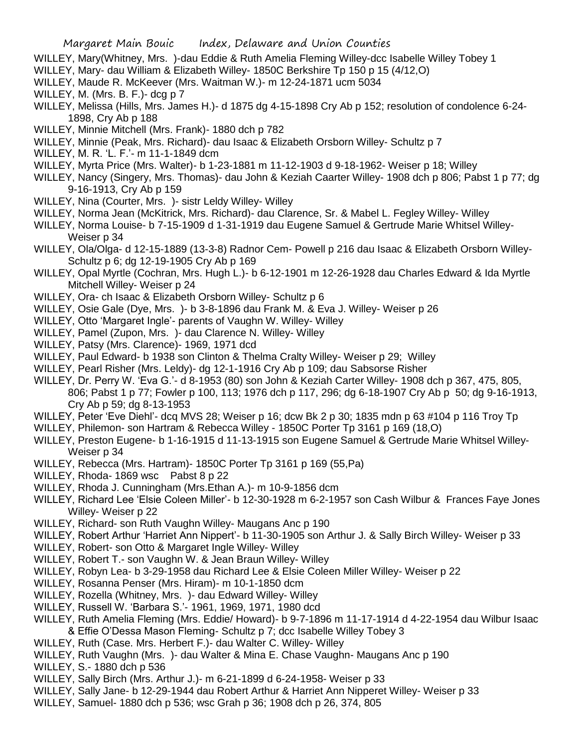- WILLEY, Mary(Whitney, Mrs. )-dau Eddie & Ruth Amelia Fleming Willey-dcc Isabelle Willey Tobey 1
- WILLEY, Mary- dau William & Elizabeth Willey- 1850C Berkshire Tp 150 p 15 (4/12,O)
- WILLEY, Maude R. McKeever (Mrs. Waitman W.)- m 12-24-1871 ucm 5034
- WILLEY, M. (Mrs. B. F.)- dcg p 7
- WILLEY, Melissa (Hills, Mrs. James H.)- d 1875 dg 4-15-1898 Cry Ab p 152; resolution of condolence 6-24- 1898, Cry Ab p 188
- WILLEY, Minnie Mitchell (Mrs. Frank)- 1880 dch p 782
- WILLEY, Minnie (Peak, Mrs. Richard)- dau Isaac & Elizabeth Orsborn Willey- Schultz p 7
- WILLEY, M. R. 'L. F.'- m 11-1-1849 dcm
- WILLEY, Myrta Price (Mrs. Walter)- b 1-23-1881 m 11-12-1903 d 9-18-1962- Weiser p 18; Willey
- WILLEY, Nancy (Singery, Mrs. Thomas)- dau John & Keziah Caarter Willey- 1908 dch p 806; Pabst 1 p 77; dg 9-16-1913, Cry Ab p 159
- WILLEY, Nina (Courter, Mrs. )- sistr Leldy Willey- Willey
- WILLEY, Norma Jean (McKitrick, Mrs. Richard)- dau Clarence, Sr. & Mabel L. Fegley Willey- Willey
- WILLEY, Norma Louise- b 7-15-1909 d 1-31-1919 dau Eugene Samuel & Gertrude Marie Whitsel Willey-Weiser p 34
- WILLEY, Ola/Olga- d 12-15-1889 (13-3-8) Radnor Cem- Powell p 216 dau Isaac & Elizabeth Orsborn Willey-Schultz p 6; dg 12-19-1905 Cry Ab p 169
- WILLEY, Opal Myrtle (Cochran, Mrs. Hugh L.)- b 6-12-1901 m 12-26-1928 dau Charles Edward & Ida Myrtle Mitchell Willey- Weiser p 24
- WILLEY, Ora- ch Isaac & Elizabeth Orsborn Willey- Schultz p 6
- WILLEY, Osie Gale (Dye, Mrs. )- b 3-8-1896 dau Frank M. & Eva J. Willey- Weiser p 26
- WILLEY, Otto 'Margaret Ingle'- parents of Vaughn W. Willey- Willey
- WILLEY, Pamel (Zupon, Mrs. )- dau Clarence N. Willey- Willey
- WILLEY, Patsy (Mrs. Clarence)- 1969, 1971 dcd
- WILLEY, Paul Edward- b 1938 son Clinton & Thelma Cralty Willey- Weiser p 29; Willey
- WILLEY, Pearl Risher (Mrs. Leldy)- dg 12-1-1916 Cry Ab p 109; dau Sabsorse Risher
- WILLEY, Dr. Perry W. 'Eva G.'- d 8-1953 (80) son John & Keziah Carter Willey- 1908 dch p 367, 475, 805, 806; Pabst 1 p 77; Fowler p 100, 113; 1976 dch p 117, 296; dg 6-18-1907 Cry Ab p 50; dg 9-16-1913, Cry Ab p 59; dg 8-13-1953
- WILLEY, Peter 'Eve Diehl'- dcq MVS 28; Weiser p 16; dcw Bk 2 p 30; 1835 mdn p 63 #104 p 116 Troy Tp
- WILLEY, Philemon- son Hartram & Rebecca Willey 1850C Porter Tp 3161 p 169 (18,O)
- WILLEY, Preston Eugene- b 1-16-1915 d 11-13-1915 son Eugene Samuel & Gertrude Marie Whitsel Willey-Weiser p 34
- WILLEY, Rebecca (Mrs. Hartram)- 1850C Porter Tp 3161 p 169 (55,Pa)
- WILLEY, Rhoda- 1869 wsc Pabst 8 p 22
- WILLEY, Rhoda J. Cunningham (Mrs.Ethan A.)- m 10-9-1856 dcm
- WILLEY, Richard Lee 'Elsie Coleen Miller'- b 12-30-1928 m 6-2-1957 son Cash Wilbur & Frances Faye Jones Willey- Weiser p 22
- WILLEY, Richard- son Ruth Vaughn Willey- Maugans Anc p 190
- WILLEY, Robert Arthur 'Harriet Ann Nippert'- b 11-30-1905 son Arthur J. & Sally Birch Willey- Weiser p 33
- WILLEY, Robert- son Otto & Margaret Ingle Willey- Willey
- WILLEY, Robert T.- son Vaughn W. & Jean Braun Willey- Willey
- WILLEY, Robyn Lea- b 3-29-1958 dau Richard Lee & Elsie Coleen Miller Willey- Weiser p 22
- WILLEY, Rosanna Penser (Mrs. Hiram)- m 10-1-1850 dcm
- WILLEY, Rozella (Whitney, Mrs. )- dau Edward Willey- Willey
- WILLEY, Russell W. 'Barbara S.'- 1961, 1969, 1971, 1980 dcd
- WILLEY, Ruth Amelia Fleming (Mrs. Eddie/ Howard)- b 9-7-1896 m 11-17-1914 d 4-22-1954 dau Wilbur Isaac
	- & Effie O'Dessa Mason Fleming- Schultz p 7; dcc Isabelle Willey Tobey 3
- WILLEY, Ruth (Case. Mrs. Herbert F.)- dau Walter C. Willey- Willey
- WILLEY, Ruth Vaughn (Mrs. )- dau Walter & Mina E. Chase Vaughn- Maugans Anc p 190
- WILLEY, S.- 1880 dch p 536
- WILLEY, Sally Birch (Mrs. Arthur J.)- m 6-21-1899 d 6-24-1958- Weiser p 33
- WILLEY, Sally Jane- b 12-29-1944 dau Robert Arthur & Harriet Ann Nipperet Willey- Weiser p 33
- WILLEY, Samuel- 1880 dch p 536; wsc Grah p 36; 1908 dch p 26, 374, 805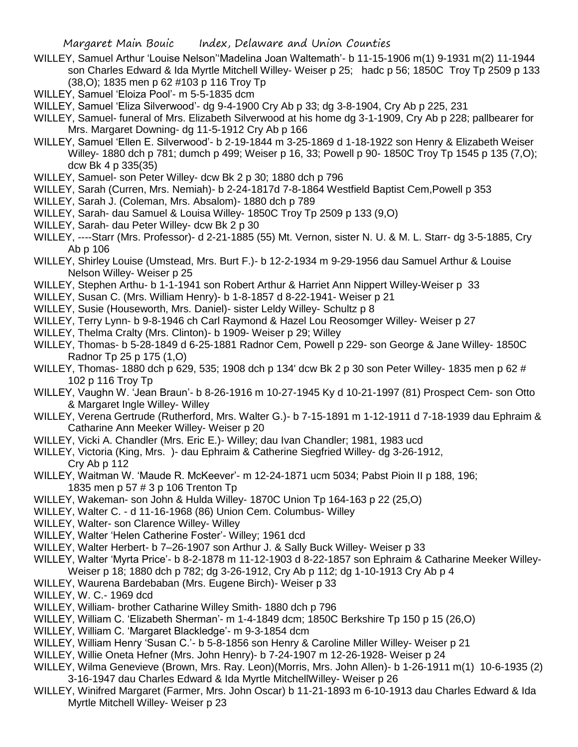Margaret Main Bouic Index, Delaware and Union Counties

- WILLEY, Samuel Arthur 'Louise Nelson''Madelina Joan Waltemath'- b 11-15-1906 m(1) 9-1931 m(2) 11-1944 son Charles Edward & Ida Myrtle Mitchell Willey- Weiser p 25; hadc p 56; 1850C Troy Tp 2509 p 133 (38,O); 1835 men p 62 #103 p 116 Troy Tp
- WILLEY, Samuel 'Eloiza Pool'- m 5-5-1835 dcm
- WILLEY, Samuel 'Eliza Silverwood'- dg 9-4-1900 Cry Ab p 33; dg 3-8-1904, Cry Ab p 225, 231
- WILLEY, Samuel- funeral of Mrs. Elizabeth Silverwood at his home dg 3-1-1909, Cry Ab p 228; pallbearer for Mrs. Margaret Downing- dg 11-5-1912 Cry Ab p 166
- WILLEY, Samuel 'Ellen E. Silverwood'- b 2-19-1844 m 3-25-1869 d 1-18-1922 son Henry & Elizabeth Weiser Willey- 1880 dch p 781; dumch p 499; Weiser p 16, 33; Powell p 90- 1850C Troy Tp 1545 p 135 (7,O); dcw Bk 4 p 335(35)
- WILLEY, Samuel- son Peter Willey- dcw Bk 2 p 30; 1880 dch p 796
- WILLEY, Sarah (Curren, Mrs. Nemiah)- b 2-24-1817d 7-8-1864 Westfield Baptist Cem,Powell p 353
- WILLEY, Sarah J. (Coleman, Mrs. Absalom)- 1880 dch p 789
- WILLEY, Sarah- dau Samuel & Louisa Willey- 1850C Troy Tp 2509 p 133 (9,O)
- WILLEY, Sarah- dau Peter Willey- dcw Bk 2 p 30
- WILLEY, ----Starr (Mrs. Professor)- d 2-21-1885 (55) Mt. Vernon, sister N. U. & M. L. Starr- dg 3-5-1885, Cry Ab p 106
- WILLEY, Shirley Louise (Umstead, Mrs. Burt F.)- b 12-2-1934 m 9-29-1956 dau Samuel Arthur & Louise Nelson Willey- Weiser p 25
- WILLEY, Stephen Arthu- b 1-1-1941 son Robert Arthur & Harriet Ann Nippert Willey-Weiser p 33
- WILLEY, Susan C. (Mrs. William Henry)- b 1-8-1857 d 8-22-1941- Weiser p 21
- WILLEY, Susie (Houseworth, Mrs. Daniel)- sister Leldy Willey- Schultz p 8
- WILLEY, Terry Lynn- b 9-8-1946 ch Carl Raymond & Hazel Lou Reosomger Willey- Weiser p 27
- WILLEY, Thelma Cralty (Mrs. Clinton)- b 1909- Weiser p 29; Willey
- WILLEY, Thomas- b 5-28-1849 d 6-25-1881 Radnor Cem, Powell p 229- son George & Jane Willey- 1850C Radnor Tp 25 p 175 (1,O)
- WILLEY, Thomas- 1880 dch p 629, 535; 1908 dch p 134' dcw Bk 2 p 30 son Peter Willey- 1835 men p 62 # 102 p 116 Troy Tp
- WILLEY, Vaughn W. 'Jean Braun'- b 8-26-1916 m 10-27-1945 Ky d 10-21-1997 (81) Prospect Cem- son Otto & Margaret Ingle Willey- Willey
- WILLEY, Verena Gertrude (Rutherford, Mrs. Walter G.)- b 7-15-1891 m 1-12-1911 d 7-18-1939 dau Ephraim & Catharine Ann Meeker Willey- Weiser p 20
- WILLEY, Vicki A. Chandler (Mrs. Eric E.)- Willey; dau Ivan Chandler; 1981, 1983 ucd
- WILLEY, Victoria (King, Mrs. )- dau Ephraim & Catherine Siegfried Willey- dg 3-26-1912, Cry Ab p 112
- WILLEY, Waitman W. 'Maude R. McKeever'- m 12-24-1871 ucm 5034; Pabst Pioin II p 188, 196; 1835 men p 57 # 3 p 106 Trenton Tp
- WILLEY, Wakeman- son John & Hulda Willey- 1870C Union Tp 164-163 p 22 (25,O)
- WILLEY, Walter C. d 11-16-1968 (86) Union Cem. Columbus- Willey
- WILLEY, Walter- son Clarence Willey- Willey
- WILLEY, Walter 'Helen Catherine Foster'- Willey; 1961 dcd
- WILLEY, Walter Herbert- b 7–26-1907 son Arthur J. & Sally Buck Willey- Weiser p 33
- WILLEY, Walter 'Myrta Price'- b 8-2-1878 m 11-12-1903 d 8-22-1857 son Ephraim & Catharine Meeker Willey-Weiser p 18; 1880 dch p 782; dg 3-26-1912, Cry Ab p 112; dg 1-10-1913 Cry Ab p 4
- WILLEY, Waurena Bardebaban (Mrs. Eugene Birch)- Weiser p 33
- WILLEY, W. C.- 1969 dcd
- WILLEY, William- brother Catharine Willey Smith- 1880 dch p 796
- WILLEY, William C. 'Elizabeth Sherman'- m 1-4-1849 dcm; 1850C Berkshire Tp 150 p 15 (26,O)
- WILLEY, William C. 'Margaret Blackledge'- m 9-3-1854 dcm
- WILLEY, William Henry 'Susan C.'- b 5-8-1856 son Henry & Caroline Miller Willey- Weiser p 21
- WILLEY, Willie Oneta Hefner (Mrs. John Henry)- b 7-24-1907 m 12-26-1928- Weiser p 24
- WILLEY, Wilma Genevieve (Brown, Mrs. Ray. Leon)(Morris, Mrs. John Allen)- b 1-26-1911 m(1) 10-6-1935 (2)
- 3-16-1947 dau Charles Edward & Ida Myrtle MitchellWilley- Weiser p 26
- WILLEY, Winifred Margaret (Farmer, Mrs. John Oscar) b 11-21-1893 m 6-10-1913 dau Charles Edward & Ida Myrtle Mitchell Willey- Weiser p 23